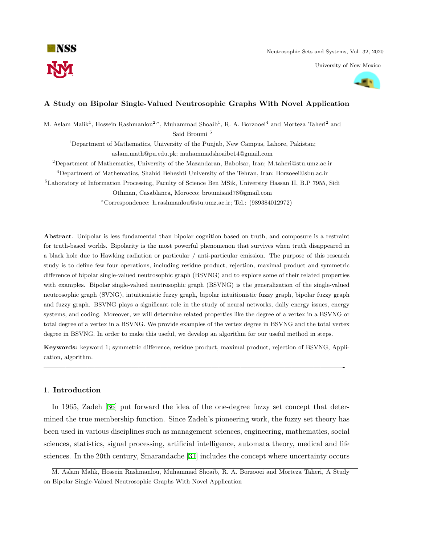University of New Mexico



# **A Study on Bipolar Single-Valued Neutrosophic Graphs With Novel Application**

M. Aslam Malik<sup>1</sup>, Hossein Rashmanlou<sup>2,\*</sup>, Muhammad Shoaib<sup>1</sup>, R. A. Borzooei<sup>4</sup> and Morteza Taheri<sup>2</sup> and Said Broumi<sup>5</sup>

<sup>1</sup>Department of Mathematics, University of the Punjab, New Campus, Lahore, Pakistan; aslam.math@pu.edu.pk; muhammadshoaibe14@gmail.com

<sup>2</sup>Department of Mathematics, University of the Mazandaran, Babolsar, Iran; M.taheri@stu.umz.ac.ir

<sup>4</sup>Department of Mathematics, Shahid Beheshti University of the Tehran, Iran; Borzoeei@sbu.ac.ir

<sup>5</sup>Laboratory of Information Processing, Faculty of Science Ben MSik, University Hassan II, B.P 7955, Sidi

Othman, Casablanca, Morocco; broumisaid78@gmail.com

*<sup>∗</sup>*Correspondence: h.rashmanlou@stu.umz.ac.ir; Tel.: (989384012972)

**Abstract**. Unipolar is less fundamental than bipolar cognition based on truth, and composure is a restraint for truth-based worlds. Bipolarity is the most powerful phenomenon that survives when truth disappeared in a black hole due to Hawking radiation or particular / anti-particular emission. The purpose of this research study is to define few four operations, including residue product, rejection, maximal product and symmetric difference of bipolar single-valued neutrosophic graph (BSVNG) and to explore some of their related properties with examples. Bipolar single-valued neutrosophic graph (BSVNG) is the generalization of the single-valued neutrosophic graph (SVNG), intuitionistic fuzzy graph, bipolar intuitionistic fuzzy graph, bipolar fuzzy graph and fuzzy graph. BSVNG plays a significant role in the study of neural networks, daily energy issues, energy systems, and coding. Moreover, we will determine related properties like the degree of a vertex in a BSVNG or total degree of a vertex in a BSVNG. We provide examples of the vertex degree in BSVNG and the total vertex degree in BSVNG. In order to make this useful, we develop an algorithm for our useful method in steps.

**Keywords:** keyword 1; symmetric difference, residue product, maximal product, rejection of BSVNG, Application, algorithm.

**—————————————————————————————————————————-**

## 1. **Introduction**

In 1965, Zadeh [\[36](#page-47-0)] put forward the idea of the one-degree fuzzy set concept that determined the true membership function. Since Zadeh's pioneering work, the fuzzy set theory has been used in various disciplines such as management sciences, engineering, mathematics, social sciences, statistics, signal processing, artificial intelligence, automata theory, medical and life sciences. In the 20th century, Smarandache [\[31](#page-47-1)] includes the concept where uncertainty occurs

M. Aslam Malik, Hossein Rashmanlou, Muhammad Shoaib, R. A. Borzooei and Morteza Taheri, A Study on Bipolar Single-Valued Neutrosophic Graphs With Novel Application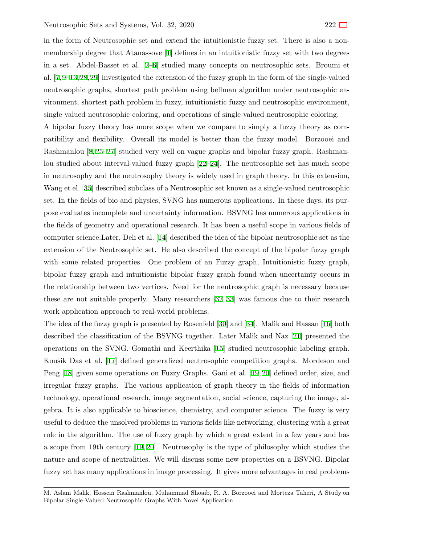in the form of Neutrosophic set and extend the intuitionistic fuzzy set. There is also a nonmembership degree that Atanassove [\[1\]](#page-46-0) defines in an intuitionistic fuzzy set with two degrees in a set. Abdel-Basset et al. [\[2–](#page-46-1)[6](#page-46-2)] studied many concepts on neutrosophic sets. Broumi et al. [\[7,](#page-46-3)[9](#page-46-4)[–13](#page-46-5),[28](#page-47-2),[29\]](#page-47-3) investigated the extension of the fuzzy graph in the form of the single-valued neutrosophic graphs, shortest path problem using bellman algorithm under neutrosophic environment, shortest path problem in fuzzy, intuitionistic fuzzy and neutrosophic environment, single valued neutrosophic coloring, and operations of single valued neutrosophic coloring.

A bipolar fuzzy theory has more scope when we compare to simply a fuzzy theory as compatibility and flexibility. Overall its model is better than the fuzzy model. Borzooei and Rashmanlou [\[8,](#page-46-6) [25](#page-47-4)[–27](#page-47-5)] studied very well on vague graphs and bipolar fuzzy graph. Rashmanlou studied about interval-valued fuzzy graph [\[22](#page-47-6)–[24\]](#page-47-7). The neutrosophic set has much scope in neutrosophy and the neutrosophy theory is widely used in graph theory. In this extension, Wang et el. [\[35](#page-47-8)] described subclass of a Neutrosophic set known as a single-valued neutrosophic set. In the fields of bio and physics, SVNG has numerous applications. In these days, its purpose evaluates incomplete and uncertainty information. BSVNG has numerous applications in the fields of geometry and operational research. It has been a useful scope in various fields of computer science.Later, Deli et al. [\[14](#page-46-7)] described the idea of the bipolar neutrosophic set as the extension of the Neutrosophic set. He also described the concept of the bipolar fuzzy graph with some related properties. One problem of an Fuzzy graph, Intuitionistic fuzzy graph, bipolar fuzzy graph and intuitionistic bipolar fuzzy graph found when uncertainty occurs in the relationship between two vertices. Need for the neutrosophic graph is necessary because these are not suitable properly. Many researchers [\[32](#page-47-9), [33](#page-47-10)] was famous due to their research work application approach to real-world problems.

The idea of the fuzzy graph is presented by Rosenfeld [\[30](#page-47-11)] and [\[34](#page-47-12)]. Malik and Hassan [[16\]](#page-47-13) both described the classification of the BSVNG together. Later Malik and Naz [\[21](#page-47-14)] presented the operations on the SVNG. Gomathi and Keerthika [[15\]](#page-46-8) studied neutrosophic labeling graph. Kousik Das et al. [[17\]](#page-47-15) defined generalized neutrosophic competition graphs. Mordeson and Peng [[18](#page-47-16)] given some operations on Fuzzy Graphs. Gani et al. [[19,](#page-47-17) [20\]](#page-47-18) defined order, size, and irregular fuzzy graphs. The various application of graph theory in the fields of information technology, operational research, image segmentation, social science, capturing the image, algebra. It is also applicable to bioscience, chemistry, and computer science. The fuzzy is very useful to deduce the unsolved problems in various fields like networking, clustering with a great role in the algorithm. The use of fuzzy graph by which a great extent in a few years and has a scope from 19th century [[19](#page-47-17), [20](#page-47-18)]. Neutrosophy is the type of philosophy which studies the nature and scope of neutralities. We will discuss some new properties on a BSVNG. Bipolar fuzzy set has many applications in image processing. It gives more advantages in real problems

M. Aslam Malik, Hossein Rashmanlou, Muhammad Shoaib, R. A. Borzooei and Morteza Taheri, A Study on Bipolar Single-Valued Neutrosophic Graphs With Novel Application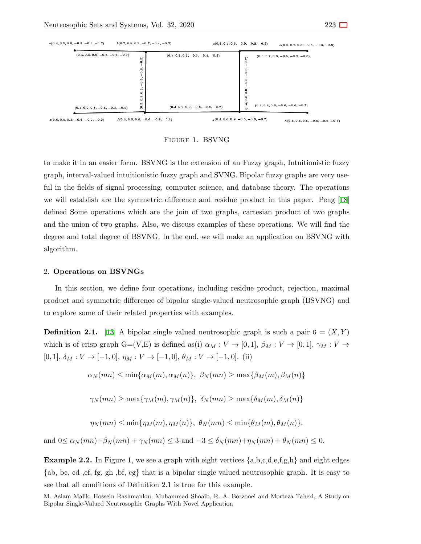

Figure 1. BSVNG

to make it in an easier form. BSVNG is the extension of an Fuzzy graph, Intuitionistic fuzzy graph, interval-valued intuitionistic fuzzy graph and SVNG. Bipolar fuzzy graphs are very useful in the fields of signal processing, computer science, and database theory. The operations we will establish are the symmetric difference and residue product in this paper. Peng [[18\]](#page-47-16) defined Some operations which are the join of two graphs, cartesian product of two graphs and the union of two graphs. Also, we discuss examples of these operations. We will find the degree and total degree of BSVNG. In the end, we will make an application on BSVNG with algorithm.

# 2. **Operations on BSVNGs**

In this section, we define four operations, including residue product, rejection, maximal product and symmetric difference of bipolar single-valued neutrosophic graph (BSVNG) and to explore some of their related properties with examples.

**Definition 2.1.** [[13\]](#page-46-5) A bipolar single valued neutrosophic graph is such a pair  $G = (X, Y)$ which is of crisp graph  $G=(V,E)$  is defined as(i)  $\alpha_M: V \to [0,1], \beta_M: V \to [0,1], \gamma_M: V \to$  $[0,1], \delta_M : V \to [-1,0], \eta_M : V \to [-1,0], \theta_M : V \to [-1,0].$  (ii)

$$
\alpha_N(mn) \le \min\{\alpha_M(m), \alpha_M(n)\}, \ \beta_N(mn) \ge \max\{\beta_M(m), \beta_M(n)\}\
$$

$$
\gamma_N(mn) \ge \max\{\gamma_M(m), \gamma_M(n)\}, \ \delta_N(mn) \ge \max\{\delta_M(m), \delta_M(n)\}\
$$

$$
\eta_N(mn) \le \min\{\eta_M(m), \eta_M(n)\}, \ \theta_N(mn) \le \min\{\theta_M(m), \theta_M(n)\}.
$$

and  $0 \le \alpha_N(mn) + \beta_N(mn) + \gamma_N(mn) \le 3$  and  $-3 \le \delta_N(mn) + \eta_N(mn) + \theta_N(mn) \le 0$ .

**Example 2.2.** In Figure 1, we see a graph with eight vertices *{*a,b,c,d,e,f,g,h*}* and eight edges *{*ab, bc, cd ,ef, fg, gh ,bf, cg*}* that is a bipolar single valued neutrosophic graph. It is easy to see that all conditions of Definition 2.1 is true for this example.

M. Aslam Malik, Hossein Rashmanlou, Muhammad Shoaib, R. A. Borzooei and Morteza Taheri, A Study on Bipolar Single-Valued Neutrosophic Graphs With Novel Application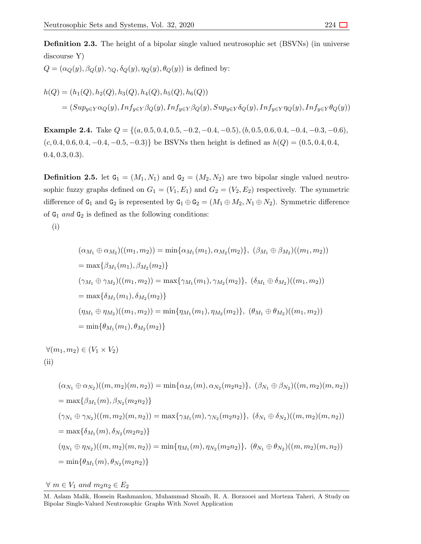**Definition 2.3.** The height of a bipolar single valued neutrosophic set (BSVNs) (in universe discourse Y)

 $Q = (\alpha_Q(y), \beta_Q(y), \gamma_Q, \delta_Q(y), \eta_Q(y), \theta_Q(y))$  is defined by:

$$
h(Q) = (h_1(Q), h_2(Q), h_3(Q), h_4(Q), h_5(Q), h_6(Q))
$$
  
=  $(Sup_{y \in Y} \alpha_Q(y), Inf_{y \in Y} \beta_Q(y), Inf_{y \in Y} \beta_Q(y), Sup_{y \in Y} \delta_Q(y), Inf_{y \in Y} \eta_Q(y), Inf_{y \in Y} \theta_Q(y))$ 

**Example 2.4.** Take  $Q = \{(a, 0.5, 0.4, 0.5, -0.2, -0.4, -0.5), (b, 0.5, 0.6, 0.4, -0.4, -0.3, -0.6),\}$ (*c,* 0*.*4*,* 0*.*6*,* 0*.*4*, −*0*.*4*, −*0*.*5*, −*0*.*3)*}* be BSVNs then height is defined as *h*(*Q*) = (0*.*5*,* 0*.*4*,* 0*.*4*,* 0*.*4*,* 0*.*3*,* 0*.*3).

**Definition 2.5.** let  $G_1 = (M_1, N_1)$  and  $G_2 = (M_2, N_2)$  are two bipolar single valued neutrosophic fuzzy graphs defined on  $G_1 = (V_1, E_1)$  and  $G_2 = (V_2, E_2)$  respectively. The symmetric difference of  $G_1$  and  $G_2$  is represented by  $G_1 \oplus G_2 = (M_1 \oplus M_2, N_1 \oplus N_2)$ . Symmetric difference of  $G_1$  *and*  $G_2$  is defined as the following conditions:

(i)

$$
(\alpha_{M_1} \oplus \alpha_{M_2})((m_1, m_2)) = \min{\{\alpha_{M_1}(m_1), \alpha_{M_2}(m_2)\}}, (\beta_{M_1} \oplus \beta_{M_2})((m_1, m_2))
$$
  
\n
$$
= \max{\{\beta_{M_1}(m_1), \beta_{M_2}(m_2)\}}
$$
  
\n
$$
(\gamma_{M_1} \oplus \gamma_{M_2})((m_1, m_2)) = \max{\{\gamma_{M_1}(m_1), \gamma_{M_2}(m_2)\}}, (\delta_{M_1} \oplus \delta_{M_2})((m_1, m_2))
$$
  
\n
$$
= \max{\{\delta_{M_1}(m_1), \delta_{M_2}(m_2)\}}
$$
  
\n
$$
(\eta_{M_1} \oplus \eta_{M_2})((m_1, m_2)) = \min{\{\eta_{M_1}(m_1), \eta_{M_2}(m_2)\}}, (\theta_{M_1} \oplus \theta_{M_2})((m_1, m_2))
$$
  
\n
$$
= \min{\{\theta_{M_1}(m_1), \theta_{M_2}(m_2)\}}
$$

 $∀(m_1, m_2) ∈ (V_1 × V_2)$  $(ii)$ 

$$
(\alpha_{N_1} \oplus \alpha_{N_2})((m, m_2)(m, n_2)) = \min{\{\alpha_{M_1}(m), \alpha_{N_2}(m_2n_2)\}}, (\beta_{N_1} \oplus \beta_{N_2})((m, m_2)(m, n_2))
$$
  
\n
$$
= \max{\{\beta_{M_1}(m), \beta_{N_2}(m_2n_2)\}}
$$
  
\n
$$
(\gamma_{N_1} \oplus \gamma_{N_2})((m, m_2)(m, n_2)) = \max{\{\gamma_{M_1}(m), \gamma_{N_2}(m_2n_2)\}}, (\delta_{N_1} \oplus \delta_{N_2})((m, m_2)(m, n_2))
$$
  
\n
$$
= \max{\{\delta_{M_1}(m), \delta_{N_2}(m_2n_2)\}}
$$
  
\n
$$
(\eta_{N_1} \oplus \eta_{N_2})((m, m_2)(m, n_2)) = \min{\{\eta_{M_1}(m), \eta_{N_2}(m_2n_2)\}}, (\theta_{N_1} \oplus \theta_{N_2})((m, m_2)(m, n_2))
$$
  
\n
$$
= \min{\{\theta_{M_1}(m), \theta_{N_2}(m_2n_2)\}}
$$

*∀ m ∈ V*<sup>1</sup> *and m*2*n*<sup>2</sup> *∈ E*<sup>2</sup>

M. Aslam Malik, Hossein Rashmanlou, Muhammad Shoaib, R. A. Borzooei and Morteza Taheri, A Study on Bipolar Single-Valued Neutrosophic Graphs With Novel Application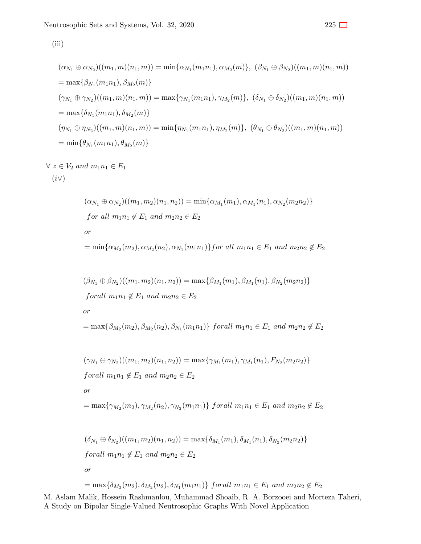(iii)

$$
(\alpha_{N_1} \oplus \alpha_{N_2})((m_1, m)(n_1, m)) = \min{\{\alpha_{N_1}(m_1n_1), \alpha_{M_2}(m)\}}, (\beta_{N_1} \oplus \beta_{N_2})((m_1, m)(n_1, m))
$$
  
\n
$$
= \max{\{\beta_{N_1}(m_1n_1), \beta_{M_2}(m)\}}
$$
  
\n
$$
(\gamma_{N_1} \oplus \gamma_{N_2})((m_1, m)(n_1, m)) = \max{\{\gamma_{N_1}(m_1n_1), \gamma_{M_2}(m)\}}, (\delta_{N_1} \oplus \delta_{N_2})((m_1, m)(n_1, m))
$$
  
\n
$$
= \max{\{\delta_{N_1}(m_1n_1), \delta_{M_2}(m)\}}
$$
  
\n
$$
(\eta_{N_1} \oplus \eta_{N_2})((m_1, m)(n_1, m)) = \min{\{\eta_{N_1}(m_1n_1), \eta_{M_2}(m)\}}, (\theta_{N_1} \oplus \theta_{N_2})((m_1, m)(n_1, m))
$$
  
\n
$$
= \min{\{\theta_{N_1}(m_1n_1), \theta_{M_2}(m)\}}
$$

$$
\forall z \in V_2 \ and \ m_1 n_1 \in E_1
$$

$$
(i \vee)
$$

$$
(\alpha_{N_1} \oplus \alpha_{N_2})((m_1, m_2)(n_1, n_2)) = \min{\{\alpha_{M_1}(m_1), \alpha_{M_1}(n_1), \alpha_{N_2}(m_2n_2)\}}
$$
  
for all  $m_1n_1 \notin E_1$  and  $m_2n_2 \in E_2$   
or  

$$
= \min{\{\alpha_{M_2}(m_2), \alpha_{M_2}(n_2), \alpha_{N_1}(m_1n_1)\}\}
$$
for all  $m_1n_1 \in E_1$  and  $m_2n_2 \notin E_2$ 

$$
(\beta_{N_1} \oplus \beta_{N_2})((m_1, m_2)(n_1, n_2)) = \max{\beta_{M_1}(m_1), \beta_{M_1}(n_1), \beta_{N_2}(m_2n_2)}
$$
  
forall  $m_1n_1 \notin E_1$  and  $m_2n_2 \in E_2$   
or  

$$
= \max{\beta_{M_2}(m_2), \beta_{M_2}(n_2), \beta_{N_1}(m_1n_1)} \text{ for all } m_1n_1 \in E_1
$$
 and  $m_2n_2 \notin E_2$ 

$$
(\gamma_{N_1} \oplus \gamma_{N_2})((m_1, m_2)(n_1, n_2)) = \max{\gamma_{M_1}(m_1), \gamma_{M_1}(n_1), F_{N_2}(m_2n_2)}
$$
  
\n
$$
for all m_1n_1 \notin E_1 \text{ and } m_2n_2 \in E_2
$$
  
\nor  
\n
$$
= \max{\gamma_{M_2}(m_2), \gamma_{M_2}(n_2), \gamma_{N_2}(m_1n_1)} \text{ for all } m_1n_1 \in E_1 \text{ and } m_2n_2 \notin E_2
$$
  
\n
$$
(\delta_{N_1} \oplus \delta_{N_2})((m_1, m_2)(n_1, n_2)) = \max{\delta_{M_1}(m_1), \delta_{M_1}(n_1), \delta_{N_2}(m_2n_2)}
$$
  
\n
$$
for all m_1n_1 \notin E_1 \text{ and } m_2n_2 \in E_2
$$
  
\nor  
\n
$$
= \max{\delta_{M_2}(m_2), \delta_{M_2}(n_2), \delta_{N_1}(m_1n_1)} \text{ for all } m_1n_1 \in E_1 \text{ and } m_2n_2 \notin E_2
$$

```
M. Aslam Malik, Hossein Rashmanlou, Muhammad Shoaib, R. A. Borzooei and Morteza Taheri,
A Study on Bipolar Single-Valued Neutrosophic Graphs With Novel Application
```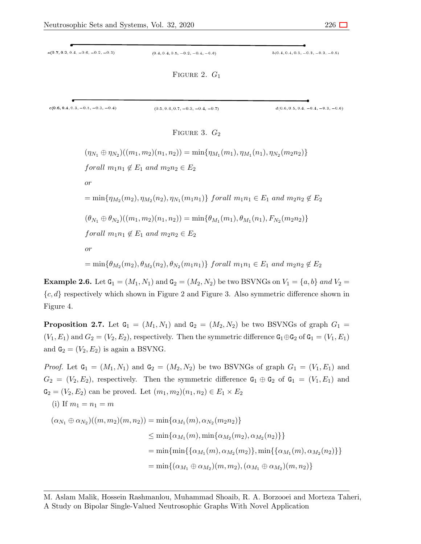| $a(0.7, 0.2, 0.4, -0.6, -0.2, -0.3)$ | $(0.4, 0.4, 0.5, -0.2, -0.4, -0.6)$ | $b(0.4, 0.4, 0.3, -0.3, -0.3, -0.5)$ |
|--------------------------------------|-------------------------------------|--------------------------------------|
|                                      | FIGURE 2. $G_1$                     |                                      |
| $c(0.6, 0.4, 0.3, -0.5, -0.3, -0.4)$ | $(0.5, 0.6, 0.7, -0.3, -0.4, -0.7)$ | $d(0.6, 0.5, 0.4, -0.4, -0.3, -0.6)$ |
|                                      | FIGURE 3. $G_2$                     |                                      |

```
(\eta_{N_1} \oplus \eta_{N_2})((m_1, m_2)(n_1, n_2)) = \min{\eta_{M_1}(m_1), \eta_{M_1}(n_1), \eta_{N_2}(m_2n_2)}forall m_1 n_1 \notin E_1 and m_2 n_2 \in E_2or
= min\{\eta_{M_2}(m_2), \eta_{M_2}(n_2), \eta_{N_1}(m_1n_1)\} forall m_1n_1 \in E_1 and m_2n_2 \notin E_2(\theta_{N_1} \oplus \theta_{N_2})((m_1, m_2)(n_1, n_2)) = \min{\{\theta_{M_1}(m_1), \theta_{M_1}(n_1), F_{N_2}(m_2n_2)\}}forall m_1 n_1 \notin E_1 and m_2 n_2 \in E_2or
= min\{\theta_{M_2}(m_2), \theta_{M_2}(n_2), \theta_{N_2}(m_1n_1)\} forall m_1n_1 \in E_1 and m_2n_2 \notin E_2
```
<span id="page-5-0"></span>**Example 2.6.** Let  $G_1 = (M_1, N_1)$  and  $G_2 = (M_2, N_2)$  be two BSVNGs on  $V_1 = \{a, b\}$  *and*  $V_2 =$ *{c, d}* respectively which shown in Figure 2 and Figure 3. Also symmetric difference shown in Figure 4.

**Proposition 2.7.** Let  $G_1 = (M_1, N_1)$  and  $G_2 = (M_2, N_2)$  be two BSVNGs of graph  $G_1$  $(V_1, E_1)$  and  $G_2 = (V_2, E_2)$ , respectively. Then the symmetric difference  $G_1 \oplus G_2$  of  $G_1 = (V_1, E_1)$ and  $G_2 = (V_2, E_2)$  is again a BSVNG.

*Proof.* Let  $G_1 = (M_1, N_1)$  and  $G_2 = (M_2, N_2)$  be two BSVNGs of graph  $G_1 = (V_1, E_1)$  and  $G_2 = (V_2, E_2)$ , respectively. Then the symmetric difference  $G_1 \oplus G_2$  of  $G_1 = (V_1, E_1)$  and  $G_2 = (V_2, E_2)$  can be proved. Let  $(m_1, m_2)(n_1, n_2) \in E_1 \times E_2$ 

(i) If 
$$
m_1 = n_1 = m
$$
  
\n
$$
(\alpha_{N_1} \oplus \alpha_{N_2})((m, m_2)(m, n_2)) = \min{\{\alpha_{M_1}(m), \alpha_{N_2}(m_2n_2)\}}
$$
\n
$$
\leq \min{\{\alpha_{M_1}(m), \min{\{\alpha_{M_2}(m_2), \alpha_{M_2}(n_2)\}\}}
$$
\n
$$
= \min{\{\min{\{\{\alpha_{M_1}(m), \alpha_{M_2}(m_2)\}, \min{\{\alpha_{M_1}(m), \alpha_{M_2}(n_2)\}\}}\}}
$$
\n
$$
= \min{\{(\alpha_{M_1} \oplus \alpha_{M_2})(m, m_2), (\alpha_{M_1} \oplus \alpha_{M_2})(m, n_2)\}}
$$

M. Aslam Malik, Hossein Rashmanlou, Muhammad Shoaib, R. A. Borzooei and Morteza Taheri, A Study on Bipolar Single-Valued Neutrosophic Graphs With Novel Application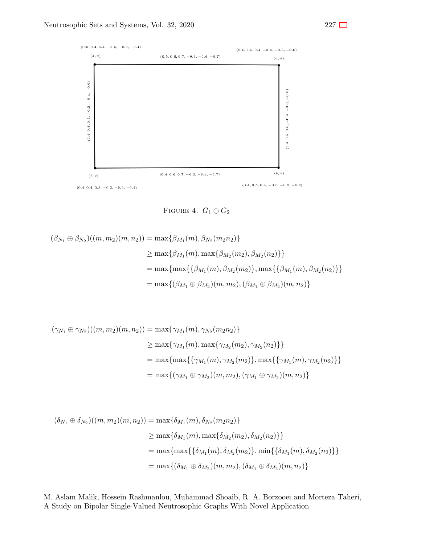

FIGURE 4.  $G_1 \oplus G_2$ 

$$
(\beta_{N_1} \oplus \beta_{N_2})((m, m_2)(m, n_2)) = \max{\beta_{M_1}(m), \beta_{N_2}(m_2 n_2)}
$$
  
\n
$$
\geq \max{\beta_{M_1}(m), \max{\beta_{M_2}(m_2), \beta_{M_2}(n_2)} }
$$
  
\n
$$
= \max{\max{\{\beta_{M_1}(m), \beta_{M_2}(m_2)\}, \max{\{\beta_{M_1}(m), \beta_{M_2}(n_2)\}} }
$$
  
\n
$$
= \max{\{(\beta_{M_1} \oplus \beta_{M_2})(m, m_2), (\beta_{M_1} \oplus \beta_{M_2})(m, n_2)\}}
$$

$$
(\gamma_{N_1} \oplus \gamma_{N_2})((m, m_2)(m, n_2)) = \max{\gamma_{M_1}(m), \gamma_{N_2}(m_2 n_2)}
$$
  
\n
$$
\geq \max{\gamma_{M_1}(m), \max{\gamma_{M_2}(m_2), \gamma_{M_2}(n_2)} }
$$
  
\n
$$
= \max{\max{\{\gamma_{M_1}(m), \gamma_{M_2}(m_2)\}, \max{\{\gamma_{M_1}(m), \gamma_{M_2}(n_2)\}} }
$$
  
\n
$$
= \max{\{\gamma_{M_1} \oplus \gamma_{M_2}(m, m_2), (\gamma_{M_1} \oplus \gamma_{M_2})(m, n_2)\}}
$$

$$
(\delta_{N_1} \oplus \delta_{N_2})((m, m_2)(m, n_2)) = \max{\delta_{M_1}(m), \delta_{N_2}(m_2 n_2)}
$$
  
\n
$$
\geq \max{\delta_{M_1}(m), \max{\delta_{M_2}(m_2), \delta_{M_2}(n_2)} }
$$
  
\n
$$
= \max{\max{\{\delta_{M_1}(m), \delta_{M_2}(m_2)\}, \min{\{\delta_{M_1}(m), \delta_{M_2}(n_2)\}} }
$$
  
\n
$$
= \max{\{\delta_{M_1} \oplus \delta_{M_2}(m, m_2), (\delta_{M_1} \oplus \delta_{M_2})(m, n_2)\}}
$$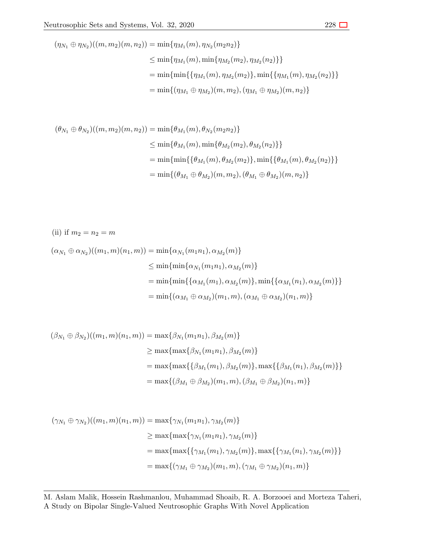$$
(\eta_{N_1} \oplus \eta_{N_2})((m, m_2)(m, n_2)) = \min{\{\eta_{M_1}(m), \eta_{N_2}(m_2 n_2)\}}
$$
  
\n
$$
\leq \min{\{\eta_{M_1}(m), \min{\{\eta_{M_2}(m_2), \eta_{M_2}(n_2)\}}\}}
$$
  
\n
$$
= \min{\{\min{\{\{\eta_{M_1}(m), \eta_{M_2}(m_2)\}}, \min{\{\{\eta_{M_1}(m), \eta_{M_2}(n_2)\}}\}}
$$
  
\n
$$
= \min{\{(\eta_{M_1} \oplus \eta_{M_2})(m, m_2), (\eta_{M_1} \oplus \eta_{M_2})(m, n_2)\}}
$$

$$
(\theta_{N_1} \oplus \theta_{N_2})((m, m_2)(m, n_2)) = \min{\theta_{M_1}(m), \theta_{N_2}(m_2 n_2)}
$$
  

$$
\leq \min{\theta_{M_1}(m), \min{\theta_{M_2}(m_2), \theta_{M_2}(n_2)} }
$$
  

$$
= \min{\{\min{\{\theta_{M_1}(m), \theta_{M_2}(m_2)\}, \min{\{\theta_{M_1}(m), \theta_{M_2}(n_2)\}}\}}
$$
  

$$
= \min{\{(\theta_{M_1} \oplus \theta_{M_2})(m, m_2), (\theta_{M_1} \oplus \theta_{M_2})(m, n_2)\}}
$$

(ii) if 
$$
m_2 = n_2 = m
$$
  
\n
$$
(\alpha_{N_1} \oplus \alpha_{N_2})((m_1, m)(n_1, m)) = \min{\{\alpha_{N_1}(m_1n_1), \alpha_{M_2}(m)\}}
$$
\n
$$
\leq \min{\{\min{\{\alpha_{N_1}(m_1n_1), \alpha_{M_2}(m)\}}\}}
$$
\n
$$
= \min{\{\min{\{\alpha_{M_1}(m_1), \alpha_{M_2}(m)\}}, \min{\{\alpha_{M_1}(n_1), \alpha_{M_2}(m)\}}\}}
$$
\n
$$
= \min{\{(\alpha_{M_1} \oplus \alpha_{M_2})(m_1, m), (\alpha_{M_1} \oplus \alpha_{M_2})(n_1, m)\}}
$$

$$
(\beta_{N_1} \oplus \beta_{N_2})((m_1, m)(n_1, m)) = \max{\beta_{N_1}(m_1n_1), \beta_{M_2}(m)}
$$
  
\n
$$
\geq \max{\max{\beta_{N_1}(m_1n_1), \beta_{M_2}(m)}}
$$
  
\n
$$
= \max{\max{\{\beta_{M_1}(m_1), \beta_{M_2}(m)\}, \max{\{\beta_{M_1}(n_1), \beta_{M_2}(m)\}\}}
$$
  
\n
$$
= \max{\{(\beta_{M_1} \oplus \beta_{M_2})(m_1, m), (\beta_{M_1} \oplus \beta_{M_2})(n_1, m)\}}
$$

$$
(\gamma_{N_1} \oplus \gamma_{N_2})((m_1, m)(n_1, m)) = \max{\gamma_{N_1}(m_1n_1), \gamma_{M_2}(m)}
$$
  
\n
$$
\geq \max{\max{\gamma_{N_1}(m_1n_1), \gamma_{M_2}(m)}}
$$
  
\n
$$
= \max{\max{\{\gamma_{M_1}(m_1), \gamma_{M_2}(m)\}, \max{\{\gamma_{M_1}(n_1), \gamma_{M_2}(m)\}\}}
$$
  
\n
$$
= \max{\{(\gamma_{M_1} \oplus \gamma_{M_2})(m_1, m), (\gamma_{M_1} \oplus \gamma_{M_2})(n_1, m)\}}
$$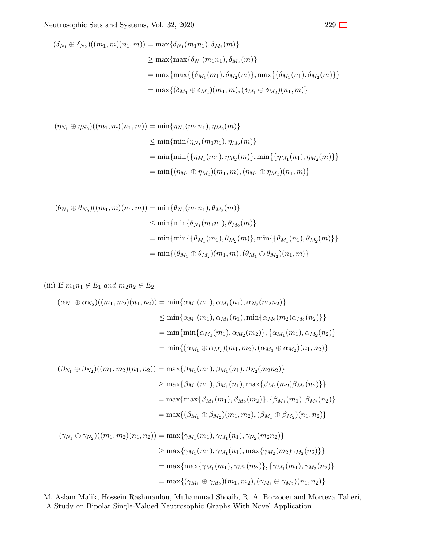$$
(\delta_{N_1} \oplus \delta_{N_2})((m_1, m)(n_1, m)) = \max{\delta_{N_1}(m_1n_1), \delta_{M_2}(m)}
$$
  
\n
$$
\geq \max{\max{\delta_{N_1}(m_1n_1), \delta_{M_2}(m)}}
$$
  
\n
$$
= \max{\max{\{\delta_{M_1}(m_1), \delta_{M_2}(m)\}, \max{\{\delta_{M_1}(n_1), \delta_{M_2}(m)\}\}}
$$
  
\n
$$
= \max{\{(\delta_{M_1} \oplus \delta_{M_2})(m_1, m), (\delta_{M_1} \oplus \delta_{M_2})(n_1, m)\}}
$$

$$
(\eta_{N_1} \oplus \eta_{N_2})((m_1, m)(n_1, m)) = \min{\{\eta_{N_1}(m_1 n_1), \eta_{M_2}(m)\}}
$$
  
\n
$$
\leq \min{\{\min{\{\eta_{N_1}(m_1 n_1), \eta_{M_2}(m)\}}\}}
$$
  
\n
$$
= \min{\{\min{\{\{\eta_{M_1}(m_1), \eta_{M_2}(m)\}}, \min{\{\eta_{M_1}(n_1), \eta_{M_2}(m)\}}\}}
$$
  
\n
$$
= \min{\{\eta_{M_1} \oplus \eta_{M_2}(m_1, m), (\eta_{M_1} \oplus \eta_{M_2})(n_1, m)\}}
$$

$$
(\theta_{N_1} \oplus \theta_{N_2})((m_1, m)(n_1, m)) = \min{\theta_{N_1}(m_1 n_1), \theta_{M_2}(m)}
$$
  

$$
\leq \min{\{\min{\theta_{N_1}(m_1 n_1), \theta_{M_2}(m)\}}
$$
  

$$
= \min{\{\min{\{\theta_{M_1}(m_1), \theta_{M_2}(m)\}, \min{\{\theta_{M_1}(n_1), \theta_{M_2}(m)\}\}}
$$
  

$$
= \min{\{(\theta_{M_1} \oplus \theta_{M_2})(m_1, m), (\theta_{M_1} \oplus \theta_{M_2})(n_1, m)\}}
$$

 $(iii)$  If  $m_1n_1$  ∉  $E_1$  *and*  $m_2n_2 \in E_2$ 

$$
(\alpha_{N_1} \oplus \alpha_{N_2})((m_1, m_2)(n_1, n_2)) = \min{\{\alpha_{M_1}(m_1), \alpha_{M_1}(n_1), \alpha_{N_2}(m_2n_2)\}}
$$
  
\n
$$
\leq \min{\{\alpha_{M_1}(m_1), \alpha_{M_1}(n_1), \min{\{\alpha_{M_2}(m_2)\alpha_{M_2}(n_2)\}}\}}
$$
  
\n
$$
= \min{\{\min{\{\alpha_{M_1}(m_1), \alpha_{M_2}(m_2)\}}, \{\alpha_{M_1}(m_1), \alpha_{M_2}(n_2)\}}
$$
  
\n
$$
= \min{\{\alpha_{M_1} \oplus \alpha_{M_2}(m_1, m_2), (\alpha_{M_1} \oplus \alpha_{M_2})(n_1, n_2)\}}
$$

$$
(\beta_{N_1} \oplus \beta_{N_2})((m_1, m_2)(n_1, n_2)) = \max{\beta_{M_1}(m_1), \beta_{M_1}(n_1), \beta_{N_2}(m_2 n_2)}
$$
  
\n
$$
\geq \max{\beta_{M_1}(m_1), \beta_{M_1}(n_1), \max{\beta_{M_2}(m_2)\beta_{M_2}(n_2)} }
$$
  
\n
$$
= \max{\max{\beta_{M_1}(m_1), \beta_{M_2}(m_2)}}, {\beta_{M_1}(m_1), \beta_{M_2}(n_2)}\n= \max{\beta_{M_1} \oplus \beta_{M_2}(m_1, m_2), (\beta_{M_1} \oplus \beta_{M_2})(n_1, n_2)}
$$

$$
(\gamma_{N_1} \oplus \gamma_{N_2})((m_1, m_2)(n_1, n_2)) = \max{\gamma_{M_1}(m_1), \gamma_{M_1}(n_1), \gamma_{N_2}(m_2 n_2)}
$$
  
\n
$$
\geq \max{\gamma_{M_1}(m_1), \gamma_{M_1}(n_1), \max{\gamma_{M_2}(m_2)\gamma_{M_2}(n_2)}}}
$$
  
\n
$$
= \max{\{\max{\gamma_{M_1}(m_1), \gamma_{M_2}(m_2)\}, \{\gamma_{M_1}(m_1), \gamma_{M_2}(n_2)\}}
$$
  
\n
$$
= \max{\{(\gamma_{M_1} \oplus \gamma_{M_2})(m_1, m_2), (\gamma_{M_1} \oplus \gamma_{M_2})(n_1, n_2)\}}
$$

M. Aslam Malik, Hossein Rashmanlou, Muhammad Shoaib, R. A. Borzooei and Morteza Taheri, A Study on Bipolar Single-Valued Neutrosophic Graphs With Novel Application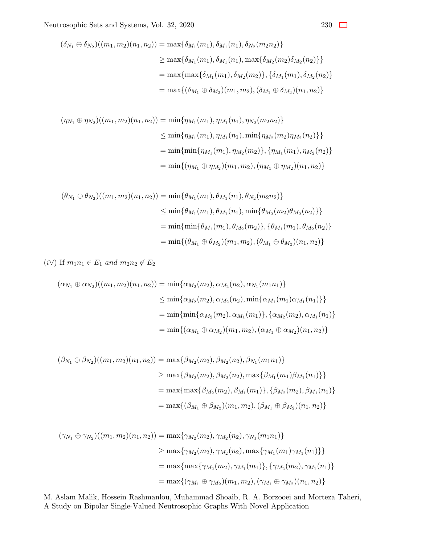$$
(\delta_{N_1} \oplus \delta_{N_2})((m_1, m_2)(n_1, n_2)) = \max{\{\delta_{M_1}(m_1), \delta_{M_1}(n_1), \delta_{N_2}(m_2n_2)\}}
$$
  
\n
$$
\geq \max{\{\delta_{M_1}(m_1), \delta_{M_1}(n_1), \max{\{\delta_{M_2}(m_2)\delta_{M_2}(n_2)\}\}}
$$
  
\n
$$
= \max{\{\max{\{\delta_{M_1}(m_1), \delta_{M_2}(m_2)\}, \{\delta_{M_1}(m_1), \delta_{M_2}(n_2)\}\}}
$$
  
\n
$$
= \max{\{(\delta_{M_1} \oplus \delta_{M_2})(m_1, m_2), (\delta_{M_1} \oplus \delta_{M_2})(n_1, n_2)\}}
$$

$$
(\eta_{N_1} \oplus \eta_{N_2})((m_1, m_2)(n_1, n_2)) = \min{\{\eta_{M_1}(m_1), \eta_{M_1}(n_1), \eta_{N_2}(m_2n_2)\}}
$$
  
\n
$$
\leq \min{\{\eta_{M_1}(m_1), \eta_{M_1}(n_1), \min{\{\eta_{M_2}(m_2)\eta_{M_2}(n_2)\}}\}}
$$
  
\n
$$
= \min{\{\min{\{\eta_{M_1}(m_1), \eta_{M_2}(m_2)\}}, \{\eta_{M_1}(m_1), \eta_{M_2}(n_2)\}}
$$
  
\n
$$
= \min{\{\eta_{M_1} \oplus \eta_{M_2}(m_1, m_2), (\eta_{M_1} \oplus \eta_{M_2})(n_1, n_2)\}}
$$

$$
(\theta_{N_1} \oplus \theta_{N_2})((m_1, m_2)(n_1, n_2)) = \min{\{\theta_{M_1}(m_1), \theta_{M_1}(n_1), \theta_{N_2}(m_2n_2)\}}
$$
  
\n
$$
\leq \min{\{\theta_{M_1}(m_1), \theta_{M_1}(n_1), \min{\{\theta_{M_2}(m_2)\theta_{M_2}(n_2)\}}\}}
$$
  
\n
$$
= \min{\{\min{\{\theta_{M_1}(m_1), \theta_{M_2}(m_2)\}}, \{\theta_{M_1}(m_1), \theta_{M_2}(n_2)\}}
$$
  
\n
$$
= \min{\{(\theta_{M_1} \oplus \theta_{M_2})(m_1, m_2), (\theta_{M_1} \oplus \theta_{M_2})(n_1, n_2)\}}
$$

 $(i \vee)$  If  $m_1 n_1 \in E_1$  *and*  $m_2 n_2 \notin E_2$ 

$$
(\alpha_{N_1} \oplus \alpha_{N_2})((m_1, m_2)(n_1, n_2)) = \min{\{\alpha_{M_2}(m_2), \alpha_{M_2}(n_2), \alpha_{N_1}(m_1n_1)\}}
$$
  
\n
$$
\leq \min{\{\alpha_{M_2}(m_2), \alpha_{M_2}(n_2), \min{\{\alpha_{M_1}(m_1)\alpha_{M_1}(n_1)\}}\}}
$$
  
\n
$$
= \min{\{\min{\{\alpha_{M_2}(m_2), \alpha_{M_1}(m_1)\}}, {\{\alpha_{M_2}(m_2), \alpha_{M_1}(n_1)\}}}
$$
  
\n
$$
= \min{\{\alpha_{M_1} \oplus \alpha_{M_2}(m_1, m_2), (\alpha_{M_1} \oplus \alpha_{M_2})(n_1, n_2)\}}
$$

$$
(\beta_{N_1} \oplus \beta_{N_2})((m_1, m_2)(n_1, n_2)) = \max{\beta_{M_2}(m_2), \beta_{M_2}(n_2), \beta_{N_1}(m_1n_1)}
$$
  
\n
$$
\geq \max{\beta_{M_2}(m_2), \beta_{M_2}(n_2), \max{\beta_{M_1}(m_1)\beta_{M_1}(n_1)} }
$$
  
\n
$$
= \max{\max{\beta_{M_2}(m_2), \beta_{M_1}(m_1)}, \{\beta_{M_2}(m_2), \beta_{M_1}(n_1)\}}
$$
  
\n
$$
= \max{\{(\beta_{M_1} \oplus \beta_{M_2})(m_1, m_2), (\beta_{M_1} \oplus \beta_{M_2})(n_1, n_2)\}}
$$

$$
(\gamma_{N_1} \oplus \gamma_{N_2})((m_1, m_2)(n_1, n_2)) = \max{\gamma_{M_2}(m_2), \gamma_{M_2}(n_2), \gamma_{N_1}(m_1n_1)}
$$
  
\n
$$
\geq \max{\gamma_{M_2}(m_2), \gamma_{M_2}(n_2), \max{\gamma_{M_1}(m_1)\gamma_{M_1}(n_1)} }
$$
  
\n
$$
= \max{\{\max{\gamma_{M_2}(m_2), \gamma_{M_1}(m_1)\}, {\gamma_{M_2}(m_2), \gamma_{M_1}(n_1)} }
$$
  
\n
$$
= \max{\{\gamma_{M_1} \oplus \gamma_{M_2}(m_1, m_2), (\gamma_{M_1} \oplus \gamma_{M_2})(n_1, n_2)\}}
$$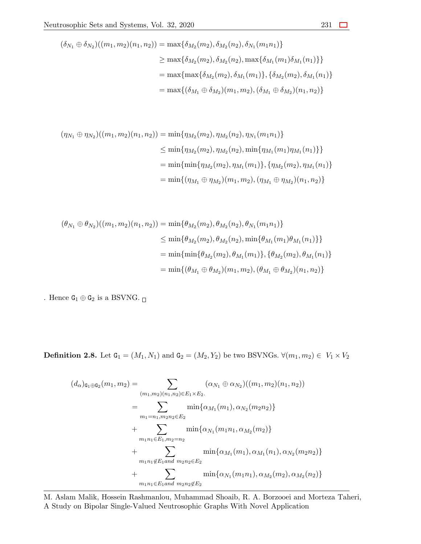$$
(\delta_{N_1} \oplus \delta_{N_2})((m_1, m_2)(n_1, n_2)) = \max{\{\delta_{M_2}(m_2), \delta_{M_2}(n_2), \delta_{N_1}(m_1n_1)\}}
$$
  
\n
$$
\geq \max{\{\delta_{M_2}(m_2), \delta_{M_2}(n_2), \max{\{\delta_{M_1}(m_1)\delta_{M_1}(n_1)\}}\}}
$$
  
\n
$$
= \max{\{\max{\{\delta_{M_2}(m_2), \delta_{M_1}(m_1)\}}, {\{\delta_{M_2}(m_2), \delta_{M_1}(n_1)\}}
$$
  
\n
$$
= \max{\{(\delta_{M_1} \oplus \delta_{M_2})(m_1, m_2), (\delta_{M_1} \oplus \delta_{M_2})(n_1, n_2)\}}
$$

$$
(\eta_{N_1} \oplus \eta_{N_2})((m_1, m_2)(n_1, n_2)) = \min{\{\eta_{M_2}(m_2), \eta_{M_2}(n_2), \eta_{N_1}(m_1n_1)\}}
$$
  
\n
$$
\leq \min{\{\eta_{M_2}(m_2), \eta_{M_2}(n_2), \min{\{\eta_{M_1}(m_1)\eta_{M_1}(n_1)\}}\}}
$$
  
\n
$$
= \min{\{\min{\{\eta_{M_2}(m_2), \eta_{M_1}(m_1)\}}, \{\eta_{M_2}(m_2), \eta_{M_1}(n_1)\}}
$$
  
\n
$$
= \min{\{\eta_{M_1} \oplus \eta_{M_2}(m_1, m_2), (\eta_{M_1} \oplus \eta_{M_2})(n_1, n_2)\}}
$$

$$
(\theta_{N_1} \oplus \theta_{N_2})((m_1, m_2)(n_1, n_2)) = \min{\{\theta_{M_2}(m_2), \theta_{M_2}(n_2), \theta_{N_1}(m_1n_1)\}}
$$
  
\n
$$
\leq \min{\{\theta_{M_2}(m_2), \theta_{M_2}(n_2), \min{\{\theta_{M_1}(m_1)\theta_{M_1}(n_1)\}}\}}
$$
  
\n
$$
= \min{\{\min{\{\theta_{M_2}(m_2), \theta_{M_1}(m_1)\}}, \{\theta_{M_2}(m_2), \theta_{M_1}(n_1)\}}
$$
  
\n
$$
= \min{\{(\theta_{M_1} \oplus \theta_{M_2})(m_1, m_2), (\theta_{M_1} \oplus \theta_{M_2})(n_1, n_2)\}}
$$

. Hence  $\texttt{G}_1 \oplus \texttt{G}_2$  is a BSVNG.  $_\Box$ 

**Definition 2.8.** Let  $G_1 = (M_1, N_1)$  and  $G_2 = (M_2, Y_2)$  be two BSVNGs.  $\forall (m_1, m_2) \in V_1 \times V_2$ 

$$
(d_{\alpha})_{\mathbf{G}_1 \oplus \mathbf{G}_2}(m_1, m_2) = \sum_{(m_1, m_2)(n_1, n_2) \in E_1 \times E_2} (\alpha_{N_1} \oplus \alpha_{N_2})((m_1, m_2)(n_1, n_2))
$$
  
\n
$$
= \sum_{m_1 = n_1, m_2 n_2 \in E_2} \min{\{\alpha_{M_1}(m_1), \alpha_{N_2}(m_2 n_2)\}}
$$
  
\n
$$
+ \sum_{m_1 n_1 \in E_1, m_2 = n_2} \min{\{\alpha_{N_1}(m_1 n_1, \alpha_{M_2}(m_2)\}\}
$$
  
\n
$$
+ \sum_{m_1 n_1 \notin E_1 \text{ and } m_2 n_2 \in E_2} \min{\{\alpha_{M_1}(m_1), \alpha_{M_1}(n_1), \alpha_{N_2}(m_2 n_2)\}\}
$$
  
\n
$$
+ \sum_{m_1 n_1 \in E_1 \text{ and } m_2 n_2 \notin E_2} \min{\{\alpha_{N_1}(m_1 n_1), \alpha_{M_2}(m_2), \alpha_{M_2}(n_2)\}}
$$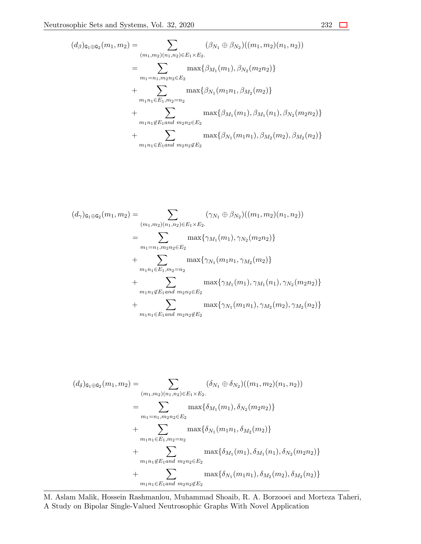$$
(d_{\beta})_{\mathbf{G}_{1}\oplus\mathbf{G}_{2}}(m_{1},m_{2}) = \sum_{(m_{1},m_{2})(n_{1},n_{2})\in E_{1}\times E_{2}.} (\beta_{N_{1}}\oplus\beta_{N_{2}})((m_{1},m_{2})(n_{1},n_{2}))
$$
  
\n
$$
= \sum_{m_{1}=n_{1},m_{2}n_{2}\in E_{2}} \max\{\beta_{M_{1}}(m_{1}),\beta_{N_{2}}(m_{2}n_{2})\}
$$
  
\n
$$
+ \sum_{m_{1}n_{1}\in E_{1},m_{2}=n_{2}} \max\{\beta_{N_{1}}(m_{1}n_{1},\beta_{M_{2}}(m_{2})\}
$$
  
\n
$$
+ \sum_{m_{1}n_{1}\notin E_{1} \text{ and } m_{2}n_{2}\in E_{2}} \max\{\beta_{M_{1}}(m_{1}),\beta_{M_{1}}(n_{1}),\beta_{N_{2}}(m_{2}n_{2})\}
$$
  
\n
$$
+ \sum_{m_{1}n_{1}\in E_{1} \text{ and } m_{2}n_{2}\notin E_{2}} \max\{\beta_{N_{1}}(m_{1}n_{1}),\beta_{M_{2}}(m_{2}),\beta_{M_{2}}(n_{2})\}
$$

$$
(d_{\gamma})_{\mathbf{G}_1 \oplus \mathbf{G}_2}(m_1, m_2) = \sum_{(m_1, m_2)(n_1, n_2) \in E_1 \times E_2} (\gamma_{N_1} \oplus \beta_{N_2})((m_1, m_2)(n_1, n_2))
$$
  
\n
$$
= \sum_{m_1 = n_1, m_2 n_2 \in E_2} \max{\gamma_{M_1}(m_1), \gamma_{N_2}(m_2 n_2)}
$$
  
\n
$$
+ \sum_{m_1 n_1 \in E_1, m_2 = n_2} \max{\gamma_{N_1}(m_1 n_1, \gamma_{M_2}(m_2))}
$$
  
\n
$$
+ \sum_{m_1 n_1 \notin E_1 \text{ and } m_2 n_2 \in E_2} \max{\gamma_{M_1}(m_1), \gamma_{M_1}(n_1), \gamma_{N_2}(m_2 n_2)}
$$
  
\n
$$
+ \sum_{m_1 n_1 \in E_1 \text{ and } m_2 n_2 \notin E_2} \max{\gamma_{N_1}(m_1 n_1), \gamma_{M_2}(m_2), \gamma_{M_2}(n_2)}
$$

$$
(d_{\delta})_{\mathbf{G}_{1}\oplus\mathbf{G}_{2}}(m_{1},m_{2}) = \sum_{(m_{1},m_{2})(n_{1},n_{2})\in E_{1}\times E_{2}.} (\delta_{N_{1}}\oplus\delta_{N_{2}})((m_{1},m_{2})(n_{1},n_{2}))
$$
  
\n
$$
= \sum_{m_{1}=n_{1},m_{2}n_{2}\in E_{2}} \max\{\delta_{M_{1}}(m_{1}),\delta_{N_{2}}(m_{2}n_{2})\}
$$
  
\n
$$
+ \sum_{m_{1}n_{1}\in E_{1},m_{2}=n_{2}} \max\{\delta_{N_{1}}(m_{1}n_{1},\delta_{M_{2}}(m_{2})\}
$$
  
\n
$$
+ \sum_{m_{1}n_{1}\notin E_{1} \text{ and } m_{2}n_{2}\in E_{2}} \max\{\delta_{M_{1}}(m_{1}),\delta_{M_{1}}(n_{1}),\delta_{N_{2}}(m_{2}n_{2})\}
$$
  
\n
$$
+ \sum_{m_{1}n_{1}\in E_{1} \text{ and } m_{2}n_{2}\notin E_{2}} \max\{\delta_{N_{1}}(m_{1}n_{1}),\delta_{M_{2}}(m_{2}),\delta_{M_{2}}(n_{2})\}
$$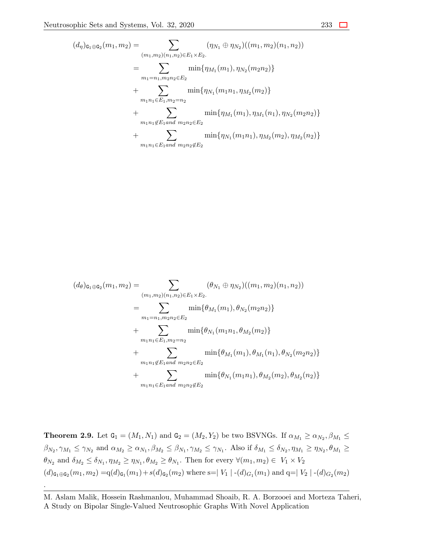$$
(d_{\eta})_{\mathbf{G}_1 \oplus \mathbf{G}_2}(m_1, m_2) = \sum_{\substack{(m_1, m_2)(n_1, n_2) \in E_1 \times E_2. \\ m_1 = n_1, m_2 n_2 \in E_2}} \sum_{\substack{(m_1, m_2)(n_1, n_2) \in E_1 \times E_2. \\ m_1 = n_1, m_2 n_2 \in E_2}} \min\{\eta_{M_1}(m_1), \eta_{N_2}(m_2 n_2)\} + \sum_{\substack{m_1 n_1 \in E_1, m_2 = n_2 \\ m_1 n_1 \notin E_1 \text{ and } m_2 n_2 \in E_2}} \min\{\eta_{M_1}(m_1), \eta_{M_1}(n_1), \eta_{N_2}(m_2 n_2)\} + \sum_{\substack{m_1 n_1 \in E_1 \text{ and } m_2 n_2 \in E_2}} \min\{\eta_{N_1}(m_1 n_1), \eta_{M_2}(m_2), \eta_{M_2}(n_2)\}
$$

$$
(d_{\theta})_{\mathbf{G}_1 \oplus \mathbf{G}_2}(m_1, m_2) = \sum_{(m_1, m_2)(n_1, n_2) \in E_1 \times E_2} (\theta_{N_1} \oplus \eta_{N_2})((m_1, m_2)(n_1, n_2))
$$
  
\n
$$
= \sum_{m_1 = n_1, m_2 n_2 \in E_2} \min{\{\theta_{M_1}(m_1), \theta_{N_2}(m_2 n_2)\}}
$$
  
\n
$$
+ \sum_{m_1 n_1 \in E_1, m_2 = n_2} \min{\{\theta_{N_1}(m_1 n_1, \theta_{M_2}(m_2)\}\}
$$
  
\n
$$
+ \sum_{m_1 n_1 \notin E_1 \text{ and } m_2 n_2 \in E_2} \min{\{\theta_{M_1}(m_1), \theta_{M_1}(n_1), \theta_{N_2}(m_2 n_2)\}\}
$$
  
\n
$$
+ \sum_{m_1 n_1 \in E_1 \text{ and } m_2 n_2 \notin E_2} \min{\{\theta_{N_1}(m_1 n_1), \theta_{M_2}(m_2), \theta_{M_2}(n_2)\}}
$$

**Theorem 2.9.** Let  $G_1 = (M_1, N_1)$  and  $G_2 = (M_2, Y_2)$  be two BSVNGs. If  $\alpha_{M_1} \ge \alpha_{N_2}, \beta_{M_1} \le$  $\beta_{N_2}, \gamma_{M_1} \leq \gamma_{N_2}$  and  $\alpha_{M_2} \geq \alpha_{N_1}, \beta_{M_2} \leq \beta_{N_1}, \gamma_{M_2} \leq \gamma_{N_1}$ . Also if  $\delta_{M_1} \leq \delta_{N_2}, \eta_{M_1} \geq \eta_{N_2}, \theta_{M_1} \geq \theta_{M_1}$  $\theta_{N_2}$  and  $\delta_{M_2} \leq \delta_{N_1}, \eta_{M_2} \geq \eta_{N_1}, \theta_{M_2} \geq \theta_{N_1}$ . Then for every  $\forall (m_1, m_2) \in V_1 \times V_2$ (*d*)G1*⊕*G<sup>2</sup> (*m*1*, m*2) =q(*d*)G<sup>1</sup> (*m*1)+*s*(*d*)G<sup>2</sup> (*m*2) where s=*| V*<sup>1</sup> *|* -(*d*)*G*<sup>1</sup> (*m*1) and q=*| V*<sup>2</sup> *|* -(*d*)*G*<sup>2</sup> (*m*2)

.

M. Aslam Malik, Hossein Rashmanlou, Muhammad Shoaib, R. A. Borzooei and Morteza Taheri, A Study on Bipolar Single-Valued Neutrosophic Graphs With Novel Application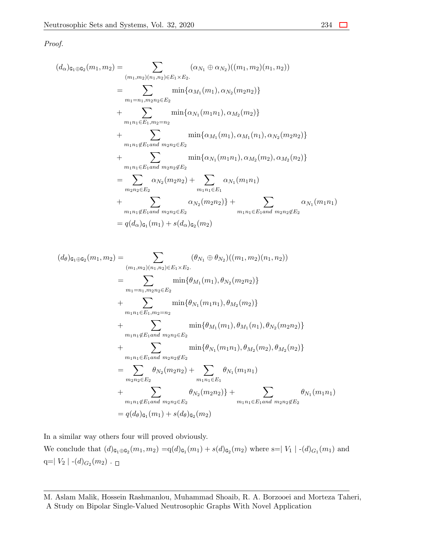*Proof.*

$$
(d_{\alpha})_{\mathbf{G}_{1}\oplus\mathbf{G}_{2}}(m_{1},m_{2}) = \sum_{(m_{1},m_{2})(n_{1},n_{2})\in E_{1}\times E_{2}.} (\alpha_{N_{1}} \oplus \alpha_{N_{2}})((m_{1},m_{2})(n_{1},n_{2}))
$$
  
\n
$$
= \sum_{m_{1}=n_{1},m_{2}n_{2}\in E_{2}} \min\{\alpha_{M_{1}}(m_{1}),\alpha_{N_{2}}(m_{2}n_{2})\}
$$
  
\n
$$
+ \sum_{m_{1}n_{1}\in E_{1},m_{2}=n_{2}} \min\{\alpha_{N_{1}}(m_{1}n_{1}),\alpha_{M_{2}}(m_{2})\}
$$
  
\n
$$
+ \sum_{m_{1}n_{1}\notin E_{1} \text{ and } m_{2}n_{2}\in E_{2}} \min\{\alpha_{M_{1}}(m_{1}),\alpha_{M_{1}}(n_{1}),\alpha_{N_{2}}(m_{2}n_{2})\}
$$
  
\n
$$
+ \sum_{m_{1}n_{1}\in E_{1} \text{ and } m_{2}n_{2}\notin E_{2}} \min\{\alpha_{N_{1}}(m_{1}n_{1}),\alpha_{M_{2}}(m_{2}),\alpha_{M_{2}}(n_{2})\}
$$
  
\n
$$
= \sum_{m_{2}n_{2}\in E_{2}} \alpha_{N_{2}}(m_{2}n_{2}) + \sum_{m_{1}n_{1}\in E_{1}} \alpha_{N_{1}}(m_{1}n_{1})
$$
  
\n
$$
+ \sum_{m_{1}n_{1}\notin E_{1} \text{ and } m_{2}n_{2}\in E_{2}} \alpha_{N_{2}}(m_{2}n_{2}) + \sum_{m_{1}n_{1}\in E_{1} \text{ and } m_{2}n_{2}\notin E_{2}} \alpha_{N_{1}}(m_{1}n_{1})
$$
  
\n
$$
= q(d_{\alpha})_{\mathbf{G}_{1}}(m_{1}) + s(d_{\alpha})_{\mathbf{G}_{2}}(m_{2})
$$

$$
(d_{\theta})_{\mathbf{G}_{1}\oplus\mathbf{G}_{2}}(m_{1},m_{2}) = \sum_{(m_{1},m_{2})(n_{1},n_{2})\in E_{1}\times E_{2}.} (\theta_{N_{1}}\oplus\theta_{N_{2}})((m_{1},m_{2})(n_{1},n_{2}))
$$
  
\n
$$
= \sum_{m_{1}=n_{1},m_{2}n_{2}\in E_{2}} \min\{\theta_{M_{1}}(m_{1}),\theta_{N_{2}}(m_{2}n_{2})\}
$$
  
\n
$$
+ \sum_{m_{1}n_{1}\in E_{1},m_{2}=n_{2}} \min\{\theta_{N_{1}}(m_{1}n_{1}),\theta_{M_{2}}(m_{2})\}
$$
  
\n
$$
+ \sum_{m_{1}n_{1}\notin E_{1} \text{ and } m_{2}n_{2}\in E_{2}} \min\{\theta_{M_{1}}(m_{1}),\theta_{M_{1}}(n_{1}),\theta_{N_{2}}(m_{2}n_{2})\}
$$
  
\n
$$
+ \sum_{m_{1}n_{1}\in E_{1} \text{ and } m_{2}n_{2}\notin E_{2}} \min\{\theta_{N_{1}}(m_{1}n_{1}),\theta_{M_{2}}(m_{2}),\theta_{M_{2}}(n_{2})\}
$$
  
\n
$$
= \sum_{m_{2}n_{2}\in E_{2}} \theta_{N_{2}}(m_{2}n_{2}) + \sum_{m_{1}n_{1}\in E_{1}} \theta_{N_{1}}(m_{1}n_{1})
$$
  
\n
$$
+ \sum_{m_{1}n_{1}\notin E_{1} \text{ and } m_{2}n_{2}\in E_{2}} \theta_{N_{2}}(m_{2}n_{2}) + \sum_{m_{1}n_{1}\in E_{1} \text{ and } m_{2}n_{2}\notin E_{2}} \theta_{N_{1}}(m_{1}n_{1})
$$
  
\n
$$
= q(d_{\theta})_{\mathbf{G}_{1}}(m_{1}) + s(d_{\theta})_{\mathbf{G}_{2}}(m_{2})
$$

In a similar way others four will proved obviously.

We conclude that  $(d)_{G_1 \oplus G_2}(m_1, m_2) = q(d)_{G_1}(m_1) + s(d)_{G_2}(m_2)$  where s= $|V_1|$  - $(d)_{G_1}(m_1)$  and  $q=|V_2|-(d)_{G_2}(m_2)$ .

M. Aslam Malik, Hossein Rashmanlou, Muhammad Shoaib, R. A. Borzooei and Morteza Taheri, A Study on Bipolar Single-Valued Neutrosophic Graphs With Novel Application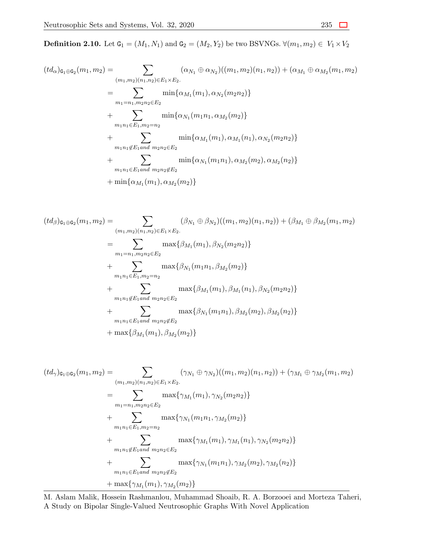**Definition 2.10.** Let  $G_1 = (M_1, N_1)$  and  $G_2 = (M_2, Y_2)$  be two BSVNGs.  $∀(m_1, m_2) ∈ V_1 × V_2$ 

$$
(td_{\alpha})_{\mathbf{G}_1 \oplus \mathbf{G}_2}(m_1, m_2) = \sum_{(m_1, m_2)(n_1, n_2) \in E_1 \times E_2} (\alpha_{N_1} \oplus \alpha_{N_2})((m_1, m_2)(n_1, n_2)) + (\alpha_{M_1} \oplus \alpha_{M_2}(m_1, m_2))
$$
  
\n
$$
= \sum_{m_1 = n_1, m_2 n_2 \in E_2} \min{\{\alpha_{M_1}(m_1), \alpha_{N_2}(m_2 n_2)\}}
$$
  
\n
$$
+ \sum_{m_1 n_1 \in E_1, m_2 = n_2} \min{\{\alpha_{N_1}(m_1 n_1, \alpha_{M_2}(m_2)\}\}
$$
  
\n
$$
+ \sum_{m_1 n_1 \notin E_1 \text{ and } m_2 n_2 \in E_2} \min{\{\alpha_{M_1}(m_1), \alpha_{M_1}(n_1), \alpha_{N_2}(m_2 n_2)\}\}
$$
  
\n
$$
+ \sum_{m_1 n_1 \in E_1 \text{ and } m_2 n_2 \notin E_2} \min{\{\alpha_{N_1}(m_1 n_1), \alpha_{M_2}(m_2), \alpha_{M_2}(n_2)\}\}
$$
  
\n
$$
+ \min{\{\alpha_{M_1}(m_1), \alpha_{M_2}(m_2)\}}
$$

$$
(td_{\beta})_{\mathfrak{a}_{1}\oplus\mathfrak{c}_{2}}(m_{1},m_{2}) = \sum_{(m_{1},m_{2})(n_{1},n_{2})\in E_{1}\times E_{2}.} (\beta_{N_{1}}\oplus\beta_{N_{2}})((m_{1},m_{2})(n_{1},n_{2})) + (\beta_{M_{1}}\oplus\beta_{M_{2}}(m_{1},m_{2}))
$$
  
\n
$$
= \sum_{m_{1}=n_{1},m_{2}n_{2}\in E_{2}} \max\{\beta_{M_{1}}(m_{1}),\beta_{N_{2}}(m_{2}n_{2})\}
$$
  
\n
$$
+ \sum_{m_{1}n_{1}\in E_{1},m_{2}=n_{2}} \max\{\beta_{N_{1}}(m_{1}n_{1},\beta_{M_{2}}(m_{2}))\}
$$
  
\n
$$
+ \sum_{m_{1}n_{1}\notin E_{1} \text{ and } m_{2}n_{2}\in E_{2}} \max\{\beta_{M_{1}}(m_{1}),\beta_{M_{1}}(n_{1}),\beta_{N_{2}}(m_{2}n_{2})\}
$$
  
\n
$$
+ \sum_{m_{1}n_{1}\in E_{1} \text{ and } m_{2}n_{2}\notin E_{2}} \max\{\beta_{N_{1}}(m_{1}n_{1}),\beta_{M_{2}}(m_{2}),\beta_{M_{2}}(n_{2})\}
$$
  
\n
$$
+ \max\{\beta_{M_{1}}(m_{1}),\beta_{M_{2}}(m_{2})\}
$$

$$
(td_{\gamma})_{\mathbf{G}_1 \oplus \mathbf{G}_2}(m_1, m_2) = \sum_{(m_1, m_2)(n_1, n_2) \in E_1 \times E_2} (\gamma_{N_1} \oplus \gamma_{N_2})((m_1, m_2)(n_1, n_2)) + (\gamma_{M_1} \oplus \gamma_{M_2}(m_1, m_2))
$$
  
\n
$$
= \sum_{m_1 = n_1, m_2 n_2 \in E_2} \max{\gamma_{M_1}(m_1), \gamma_{N_2}(m_2 n_2)}
$$
  
\n
$$
+ \sum_{m_1 n_1 \in E_1, m_2 = n_2} \max{\gamma_{N_1}(m_1 n_1, \gamma_{M_2}(m_2))}
$$
  
\n
$$
+ \sum_{m_1 n_1 \notin E_1 \text{ and } m_2 n_2 \in E_2} \max{\gamma_{M_1}(m_1), \gamma_{M_1}(n_1), \gamma_{N_2}(m_2 n_2)}
$$
  
\n
$$
+ \sum_{m_1 n_1 \in E_1 \text{ and } m_2 n_2 \notin E_2} \max{\gamma_{N_1}(m_1 n_1), \gamma_{M_2}(m_2), \gamma_{M_2}(n_2)}
$$
  
\n
$$
+ \max{\gamma_{M_1}(m_1), \gamma_{M_2}(m_2)}
$$

M. Aslam Malik, Hossein Rashmanlou, Muhammad Shoaib, R. A. Borzooei and Morteza Taheri, A Study on Bipolar Single-Valued Neutrosophic Graphs With Novel Application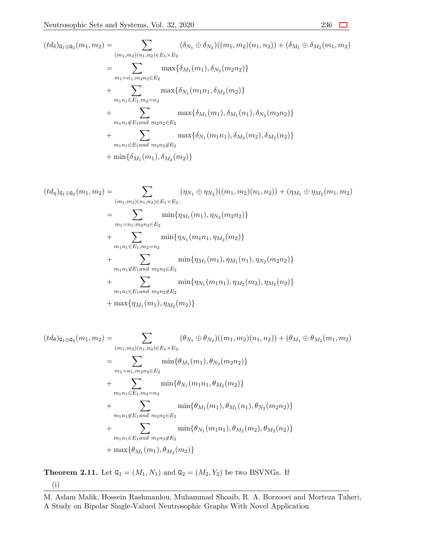$$
(td_{\delta})_{\mathbf{G}_{1}\oplus\mathbf{G}_{2}}(m_{1},m_{2}) = \sum_{(m_{1},m_{2})(n_{1},n_{2})\in E_{1}\times E_{2}.} (\delta_{N_{1}}\oplus\delta_{N_{2}})((m_{1},m_{2})(n_{1},n_{2})) + (\delta_{M_{1}}\oplus\delta_{M_{2}}(m_{1},m_{2}))
$$
  
\n
$$
= \sum_{m_{1}=n_{1},m_{2}n_{2}\in E_{2}} \max\{\delta_{M_{1}}(m_{1}),\delta_{N_{2}}(m_{2}n_{2})\}
$$
  
\n
$$
+ \sum_{m_{1}n_{1}\in E_{1},m_{2}=n_{2}} \max\{\delta_{N_{1}}(m_{1}n_{1},\delta_{M_{2}}(m_{2})\}
$$
  
\n
$$
+ \sum_{m_{1}n_{1}\notin E_{1} \text{ and } m_{2}n_{2}\in E_{2}} \max\{\delta_{M_{1}}(m_{1}),\delta_{M_{1}}(n_{1}),\delta_{N_{2}}(m_{2}n_{2})\}
$$
  
\n
$$
+ \sum_{m_{1}n_{1}\in E_{1} \text{ and } m_{2}n_{2}\notin E_{2}} \max\{\delta_{N_{1}}(m_{1}n_{1}),\delta_{M_{2}}(m_{2}),\delta_{M_{2}}(n_{2})\}
$$
  
\n
$$
+ \min\{\delta_{M_{1}}(m_{1}),\delta_{M_{2}}(m_{2})\}
$$

$$
(td_{\eta})_{\mathbf{G}_1 \oplus \mathbf{G}_2}(m_1, m_2) = \sum_{(m_1, m_2)(n_1, n_2) \in E_1 \times E_2} (\eta_{N_1} \oplus \eta_{N_2})((m_1, m_2)(n_1, n_2)) + (\eta_{M_1} \oplus \eta_{M_2}(m_1, m_2))
$$
  
\n
$$
= \sum_{m_1 = n_1, m_2 n_2 \in E_2} \min{\{\eta_{M_1}(m_1), \eta_{N_2}(m_2 n_2)\}}
$$
  
\n
$$
+ \sum_{m_1 n_1 \in E_1, m_2 = n_2} \min{\{\eta_{N_1}(m_1 n_1, \eta_{M_2}(m_2)\}}
$$
  
\n
$$
+ \sum_{m_1 n_1 \notin E_1 \text{ and } m_2 n_2 \in E_2} \min{\{\eta_{M_1}(m_1), \eta_{M_1}(n_1), \eta_{N_2}(m_2 n_2)\}}
$$
  
\n
$$
+ \sum_{m_1 n_1 \in E_1 \text{ and } m_2 n_2 \notin E_2} \min{\{\eta_{N_1}(m_1 n_1), \eta_{M_2}(m_2), \eta_{M_2}(n_2)\}}
$$
  
\n
$$
+ \max{\{\eta_{M_1}(m_1), \eta_{M_2}(m_2)\}}
$$

$$
(td_{\theta})_{\mathsf{G}_1 \oplus \mathsf{G}_2}(m_1, m_2) = \sum_{(m_1, m_2)(n_1, n_2) \in E_1 \times E_2} (\theta_{N_1} \oplus \theta_{N_2})((m_1, m_2)(n_1, n_2)) + (\theta_{M_1} \oplus \theta_{M_2}(m_1, m_2))
$$
  
\n
$$
= \sum_{m_1 = n_1, m_2 n_2 \in E_2} \min{\{\theta_{M_1}(m_1), \theta_{N_2}(m_2 n_2)\}}
$$
  
\n
$$
+ \sum_{m_1 n_1 \in E_1, m_2 = n_2} \min{\{\theta_{N_1}(m_1 n_1, \theta_{M_2}(m_2)\}\}
$$
  
\n
$$
+ \sum_{m_1 n_1 \notin E_1 \text{ and } m_2 n_2 \in E_2} \min{\{\theta_{M_1}(m_1), \theta_{M_1}(n_1), \theta_{N_2}(m_2 n_2)\}\}
$$
  
\n
$$
+ \sum_{m_1 n_1 \in E_1 \text{ and } m_2 n_2 \notin E_2} \min{\{\theta_{N_1}(m_1 n_1), \theta_{M_2}(m_2), \theta_{M_2}(n_2)\}\}
$$
  
\n
$$
+ \max{\{\theta_{M_1}(m_1), \theta_{M_2}(m_2)\}}
$$

**Theorem 2.11.** Let  $G_1 = (M_1, N_1)$  and  $G_2 = (M_2, Y_2)$  be two BSVNGs. If (i)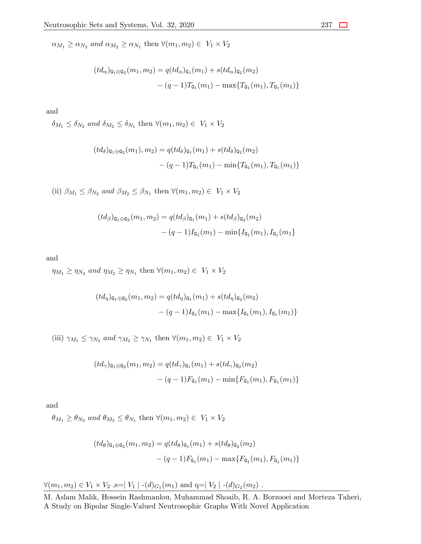$\alpha_{M_1} \geq \alpha_{N_2}$  *and*  $\alpha_{M_2} \geq \alpha_{N_1}$  then  $\forall (m_1, m_2) \in V_1 \times V_2$ 

$$
(td_{\alpha})_{\mathbf{G}_1 \oplus \mathbf{G}_2}(m_1, m_2) = q(t d_{\alpha})_{\mathbf{G}_1}(m_1) + s(t d_{\alpha})_{\mathbf{G}_2}(m_2)
$$

$$
- (q-1)T_{\mathbf{G}_1}(m_1) - \max\{T_{\mathbf{G}_1}(m_1), T_{\mathbf{G}_1}(m_1)\}
$$

and

 $\delta_{M_1} \leq \delta_{N_2}$  *and*  $\delta_{M_2} \leq \delta_{N_1}$  then  $\forall (m_1, m_2) \in V_1 \times V_2$ 

$$
(td_{\delta})_{\mathbf{G}_{1}\oplus\mathbf{G}_{2}}(m_{1}), m_{2}) = q(t d_{\delta})_{\mathbf{G}_{1}}(m_{1}) + s (td_{\delta})_{\mathbf{G}_{2}}(m_{2}) - (q - 1)T_{\mathbf{G}_{1}}(m_{1}) - \min\{T_{\mathbf{G}_{1}}(m_{1}), T_{\mathbf{G}_{1}}(m_{1})\}
$$

(ii)  $\beta_{M_1} \leq \beta_{N_2}$  and  $\beta_{M_2} \leq \beta_{N_1}$  then  $\forall (m_1, m_2) \in V_1 \times V_2$ 

$$
(td_{\beta})_{\mathbf{G}_1 \oplus \mathbf{G}_2}(m_1, m_2) = q(t d_{\beta})_{\mathbf{G}_1}(m_1) + s (td_{\beta})_{\mathbf{G}_2}(m_2)
$$

$$
- (q - 1)I_{\mathbf{G}_1}(m_1) - \min\{I_{\mathbf{G}_1}(m_1), I_{\mathbf{G}_1}(m_1)\}
$$

and

*n*<sub>*M*1</sub></sub>  $\geq \eta_{N_2}$  *and*  $\eta_{M_2} \geq \eta_{N_1}$  then  $\forall (m_1, m_2) \in V_1 \times V_2$ 

$$
(td_{\eta})_{\mathbf{G}_1 \oplus \mathbf{G}_2}(m_1, m_2) = q(t d_{\eta})_{\mathbf{G}_1}(m_1) + s(t d_{\eta})_{\mathbf{G}_2}(m_2)
$$

$$
- (q - 1)I_{\mathbf{G}_1}(m_1) - \max\{I_{\mathbf{G}_1}(m_1), I_{\mathbf{G}_1}(m_1)\}
$$

(iii)  $\gamma_{M_1} \leq \gamma_{N_2}$  *and*  $\gamma_{M_2} \geq \gamma_{N_1}$  then  $\forall (m_1, m_2) \in V_1 \times V_2$ 

$$
(td_{\gamma})_{\mathbf{G}_1 \oplus \mathbf{G}_2}(m_1, m_2) = q(t d_{\gamma})_{\mathbf{G}_1}(m_1) + s (t d_{\gamma})_{\mathbf{G}_2}(m_2)
$$

$$
- (q - 1) F_{\mathbf{G}_1}(m_1) - \min\{F_{\mathbf{G}_1}(m_1), F_{\mathbf{G}_1}(m_1)\}
$$

and

 $\theta_{M_1} \ge \theta_{N_2}$  *and*  $\theta_{M_2} \le \theta_{N_1}$  then  $\forall (m_1, m_2) \in V_1 \times V_2$ 

$$
(td_{\theta})_{\mathsf{G}_1 \oplus \mathsf{G}_2}(m_1, m_2) = q(t d_{\theta})_{\mathsf{G}_1}(m_1) + s(t d_{\theta})_{\mathsf{G}_2}(m_2)
$$

$$
- (q - 1)F_{\mathsf{G}_1}(m_1) - \max\{F_{\mathsf{G}_1}(m_1), F_{\mathsf{G}_1}(m_1)\}
$$

*∀*( $m_1, m_2$ ) ∈ *V*<sub>1</sub> × *V*<sub>2</sub> ,s=| *V*<sub>1</sub> | -(*d*)*G*<sub>1</sub>( $m_1$ ) and q=| *V*<sub>2</sub> | -(*d*)*G*<sub>2</sub>( $m_2$ ) .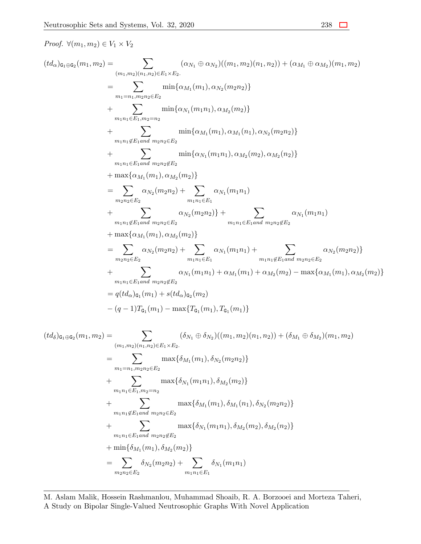*Proof. ∀*(*m*1*, m*2) *∈ V*<sup>1</sup> *× V*<sup>2</sup>

$$
(td_{\alpha})_{\mathfrak{G}_{1}\oplus\mathfrak{G}_{2}}(m_{1},m_{2}) = \sum_{(m_{1},m_{2})(n_{1},n_{2})\in E_{1}\times E_{2}} (\alpha_{N_{1}} \oplus \alpha_{N_{2}})((m_{1},m_{2})(n_{1},n_{2})) + (\alpha_{M_{1}} \oplus \alpha_{M_{2}})(m_{1},m_{2})
$$
  
\n
$$
= \sum_{m_{1}=n_{1},m_{2}n_{2}\in E_{2}} \min\{\alpha_{M_{1}}(m_{1}),\alpha_{N_{2}}(m_{2}n_{2})\}
$$
  
\n
$$
+ \sum_{m_{1}n_{1}\in E_{1},m_{2}=n_{2}} \min\{\alpha_{N_{1}}(m_{1}n_{1}),\alpha_{M_{2}}(m_{2})\}
$$
  
\n
$$
+ \sum_{m_{1}n_{1}\in E_{1}\text{and }m_{2}n_{2}\in E_{2}} \min\{\alpha_{M_{1}}(m_{1}),\alpha_{M_{1}}(n_{1}),\alpha_{N_{2}}(m_{2}n_{2})\}
$$
  
\n
$$
+ \sum_{m_{1}n_{1}\in E_{1}\text{and }m_{2}n_{2}\in E_{2}} \min\{\alpha_{N_{1}}(m_{1}n_{1}),\alpha_{M_{2}}(m_{2}),\alpha_{M_{2}}(n_{2})\}
$$
  
\n
$$
= \sum_{m_{2}n_{2}\in E_{2}} \alpha_{N_{2}}(m_{2}n_{2}) + \sum_{m_{1}n_{1}\in E_{1}} \alpha_{N_{1}}(m_{1}n_{1})
$$
  
\n
$$
+ \sum_{m_{1}n_{1}\notin E_{1}\text{and }m_{2}n_{2}\in E_{2}} \alpha_{N_{2}}(m_{2}n_{2})\} + \sum_{m_{1}n_{1}\in E_{1}\text{and }m_{2}n_{2}\notin E_{2}} \alpha_{N_{1}}(m_{1}n_{1})
$$
  
\n
$$
+ \max\{\alpha_{M_{1}}(m_{1}),\alpha_{M_{2}}(m_{2})\}
$$
  
\n
$$
= \sum_{m_{2}n_{2}\in E_{2}} \alpha_{N_{2}}(m_{2}n_{2}) + \sum_{m_{1}n_{1}\in E_{1}\text{and }m_{2}n_{2}\in E_{2}} \
$$

$$
(td_{\delta})_{\mathbf{G}_{1}\oplus\mathbf{G}_{2}}(m_{1},m_{2}) = \sum_{(m_{1},m_{2})(n_{1},n_{2})\in E_{1}\times E_{2}.} (\delta_{N_{1}}\oplus\delta_{N_{2}})((m_{1},m_{2})(n_{1},n_{2})) + (\delta_{M_{1}}\oplus\delta_{M_{2}})(m_{1},m_{2})
$$
  
\n
$$
= \sum_{m_{1}=n_{1},m_{2}n_{2}\in E_{2}} \max\{\delta_{M_{1}}(m_{1}),\delta_{N_{2}}(m_{2}n_{2})\}
$$
  
\n
$$
+ \sum_{m_{1}n_{1}\in E_{1},m_{2}=n_{2}} \max\{\delta_{N_{1}}(m_{1}n_{1}),\delta_{M_{2}}(m_{2})\}
$$
  
\n
$$
+ \sum_{m_{1}n_{1}\notin E_{1} \text{ and } m_{2}n_{2}\in E_{2}} \max\{\delta_{M_{1}}(m_{1}),\delta_{M_{1}}(n_{1}),\delta_{N_{2}}(m_{2}n_{2})\}
$$
  
\n
$$
+ \sum_{m_{1}n_{1}\in E_{1} \text{ and } m_{2}n_{2}\notin E_{2}} \max\{\delta_{N_{1}}(m_{1}n_{1}),\delta_{M_{2}}(m_{2}),\delta_{M_{2}}(n_{2})\}
$$
  
\n
$$
+ \min\{\delta_{M_{1}}(m_{1}),\delta_{M_{2}}(m_{2})\}
$$
  
\n
$$
= \sum_{m_{2}n_{2}\in E_{2}} \delta_{N_{2}}(m_{2}n_{2}) + \sum_{m_{1}n_{1}\in E_{1}} \delta_{N_{1}}(m_{1}n_{1})
$$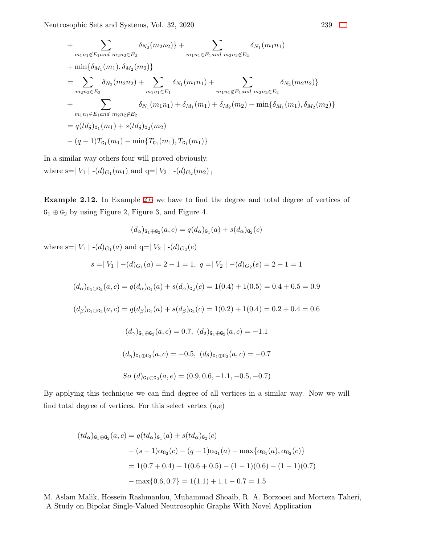+ 
$$
\sum_{m_1n_1 \notin E_1 \text{ and } m_2n_2 \in E_2} \delta_{N_2}(m_2n_2) + \sum_{m_1n_1 \in E_1 \text{ and } m_2n_2 \notin E_2} \delta_{N_1}(m_1n_1)
$$
  
+ 
$$
\min{\{\delta_{M_1}(m_1), \delta_{M_2}(m_2)\}}
$$
  
= 
$$
\sum_{m_2n_2 \in E_2} \delta_{N_2}(m_2n_2) + \sum_{m_1n_1 \in E_1} \delta_{N_1}(m_1n_1) + \sum_{m_1n_1 \notin E_1 \text{ and } m_2n_2 \in E_2} \delta_{N_2}(m_2n_2)\}
$$
  
+ 
$$
\sum_{m_1n_1 \in E_1 \text{ and } m_2n_2 \notin E_2} \delta_{N_1}(m_1n_1) + \delta_{M_1}(m_1) + \delta_{M_2}(m_2) - \min{\{\delta_{M_1}(m_1), \delta_{M_2}(m_2)\}}
$$
  
= 
$$
q(t d_\delta)_{\mathbf{G}_1}(m_1) + s(t d_\delta)_{\mathbf{G}_2}(m_2)
$$
  
- 
$$
(q-1)T_{\mathbf{G}_1}(m_1) - \min\{T_{\mathbf{G}_1}(m_1), T_{\mathbf{G}_1}(m_1)\}
$$

In a similar way others four will proved obviously. where s= $|V_1|$  -(*d*)<sub>*G*1</sub>(*m*<sub>1</sub>) and q= $|V_2|$  -(*d*)<sub>*G*2</sub>(*m*<sub>2</sub>)  $\Box$ 

**Example 2.12.** In Example [2.6](#page-5-0) we have to find the degree and total degree of vertices of G<sup>1</sup> *⊕* G<sup>2</sup> by using Figure 2, Figure 3, and Figure 4.

$$
(d_{\alpha})_{\mathbf{G}_1 \oplus \mathbf{G}_2}(a, c) = q(d_{\alpha})_{\mathbf{G}_1}(a) + s(d_{\alpha})_{\mathbf{G}_2}(c)
$$

where s= $|V_1|$  -(*d*)<sub>*G*1</sub></sub>(*a*) and q= $|V_2|$  -(*d*)<sub>*G*2</sub>(*e*)

$$
s = |V_1| - (d)_{G_1}(a) = 2 - 1 = 1, q = |V_2| - (d)_{G_2}(e) = 2 - 1 = 1
$$

$$
(d_{\alpha})_{\texttt{G}_1\oplus\texttt{G}_2}(a,c)=q(d_{\alpha})_{\texttt{G}_1}(a)+s(d_{\alpha})_{\texttt{G}_2}(c)=1(0.4)+1(0.5)=0.4+0.5=0.9
$$

 $(d_{\beta})_{\mathbf{G}_1 \oplus \mathbf{G}_2}(a, c) = q(d_{\beta})_{\mathbf{G}_1}(a) + s(d_{\beta})_{\mathbf{G}_2}(c) = 1(0.2) + 1(0.4) = 0.2 + 0.4 = 0.6$ 

$$
(d_{\gamma})_{\mathbf{G}_1 \oplus \mathbf{G}_2}(a, c) = 0.7, (d_{\delta})_{\mathbf{G}_1 \oplus \mathbf{G}_2}(a, c) = -1.1
$$
  

$$
(d_{\eta})_{\mathbf{G}_1 \oplus \mathbf{G}_2}(a, c) = -0.5, (d_{\theta})_{\mathbf{G}_1 \oplus \mathbf{G}_2}(a, c) = -0.7
$$
  
So 
$$
(d)_{\mathbf{G}_1 \oplus \mathbf{G}_2}(a, e) = (0.9, 0.6, -1.1, -0.5, -0.7)
$$

By applying this technique we can find degree of all vertices in a similar way. Now we will find total degree of vertices. For this select vertex  $(a,e)$ 

$$
(td_{\alpha})_{\mathbf{G}_1 \oplus \mathbf{G}_2}(a,c) = q(t d_{\alpha})_{\mathbf{G}_1}(a) + s(t d_{\alpha})_{\mathbf{G}_2}(c)
$$
  

$$
- (s - 1)\alpha_{\mathbf{G}_2}(c) - (q - 1)\alpha_{\mathbf{G}_1}(a) - \max\{\alpha_{\mathbf{G}_1}(a), \alpha_{\mathbf{G}_2}(c)\}
$$
  

$$
= 1(0.7 + 0.4) + 1(0.6 + 0.5) - (1 - 1)(0.6) - (1 - 1)(0.7)
$$
  

$$
- \max\{0.6, 0.7\} = 1(1.1) + 1.1 - 0.7 = 1.5
$$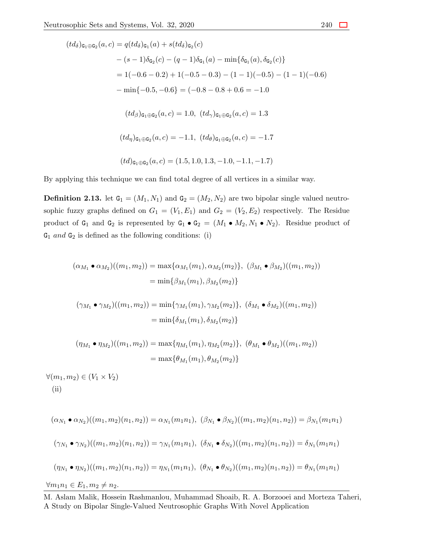$$
(td_{\delta})_{\mathbf{G}_{1}\oplus\mathbf{G}_{2}}(a,c) = q(t d_{\delta})_{\mathbf{G}_{1}}(a) + s(t d_{\delta})_{\mathbf{G}_{2}}(c)
$$
  
\n
$$
- (s - 1)\delta_{\mathbf{G}_{2}}(c) - (q - 1)\delta_{\mathbf{G}_{1}}(a) - \min\{\delta_{\mathbf{G}_{1}}(a), \delta_{\mathbf{G}_{2}}(c)\}
$$
  
\n
$$
= 1(-0.6 - 0.2) + 1(-0.5 - 0.3) - (1 - 1)(-0.5) - (1 - 1)(-0.6)
$$
  
\n
$$
- \min\{-0.5, -0.6\} = (-0.8 - 0.8 + 0.6 = -1.0
$$
  
\n
$$
(td_{\beta})_{\mathbf{G}_{1}\oplus\mathbf{G}_{2}}(a,c) = 1.0, (td_{\gamma})_{\mathbf{G}_{1}\oplus\mathbf{G}_{2}}(a,c) = 1.3
$$
  
\n
$$
(td_{\eta})_{\mathbf{G}_{1}\oplus\mathbf{G}_{2}}(a,c) = -1.1, (td_{\theta})_{\mathbf{G}_{1}\oplus\mathbf{G}_{2}}(a,c) = -1.7
$$
  
\n
$$
(td)_{\mathbf{G}_{1}\oplus\mathbf{G}_{2}}(a,c) = (1.5, 1.0, 1.3, -1.0, -1.1, -1.7)
$$

By applying this technique we can find total degree of all vertices in a similar way.

**Definition 2.13.** let  $G_1 = (M_1, N_1)$  and  $G_2 = (M_2, N_2)$  are two bipolar single valued neutrosophic fuzzy graphs defined on  $G_1 = (V_1, E_1)$  and  $G_2 = (V_2, E_2)$  respectively. The Residue product of  $G_1$  and  $G_2$  is represented by  $G_1 \bullet G_2 = (M_1 \bullet M_2, N_1 \bullet N_2)$ . Residue product of  $G_1$  *and*  $G_2$  is defined as the following conditions: (i)

$$
(\alpha_{M_1} \bullet \alpha_{M_2})((m_1, m_2)) = \max{\{\alpha_{M_1}(m_1), \alpha_{M_2}(m_2)\}}, (\beta_{M_1} \bullet \beta_{M_2})((m_1, m_2))
$$
  
\n
$$
= \min{\{\beta_{M_1}(m_1), \beta_{M_2}(m_2)\}}
$$
  
\n
$$
(\gamma_{M_1} \bullet \gamma_{M_2})((m_1, m_2)) = \min{\{\gamma_{M_1}(m_1), \gamma_{M_2}(m_2)\}}, (\delta_{M_1} \bullet \delta_{M_2})((m_1, m_2))
$$
  
\n
$$
= \min{\{\delta_{M_1}(m_1), \delta_{M_2}(m_2)\}}
$$
  
\n
$$
(\eta_{M_1} \bullet \eta_{M_2})((m_1, m_2)) = \max{\{\eta_{M_1}(m_1), \eta_{M_2}(m_2)\}}, (\theta_{M_1} \bullet \theta_{M_2})((m_1, m_2))
$$

$$
(\eta_{M_1} \bullet \eta_{M_2})((m_1, m_2)) = \max{\{\eta_{M_1}(m_1), \eta_{M_2}(m_2)\}, \ (\theta_{M_1} \bullet \theta_{M_2})((m_1, m_2))}
$$

$$
= \max{\{\theta_{M_1}(m_1), \theta_{M_2}(m_2)\}}
$$

 $∀(m_1, m_2) ∈ (V_1 × V_2)$ (ii)

$$
(\alpha_{N_1} \bullet \alpha_{N_2})((m_1, m_2)(n_1, n_2)) = \alpha_{N_1}(m_1 n_1), \ (\beta_{N_1} \bullet \beta_{N_2})((m_1, m_2)(n_1, n_2)) = \beta_{N_1}(m_1 n_1)
$$

$$
(\gamma_{N_1} \bullet \gamma_{N_2})((m_1, m_2)(n_1, n_2)) = \gamma_{N_1}(m_1 n_1), \ (\delta_{N_1} \bullet \delta_{N_2})((m_1, m_2)(n_1, n_2)) = \delta_{N_1}(m_1 n_1)
$$

$$
(\eta_{N_1} \bullet \eta_{N_2})((m_1, m_2)(n_1, n_2)) = \eta_{N_1}(m_1 n_1), \ (\theta_{N_1} \bullet \theta_{N_2})((m_1, m_2)(n_1, n_2)) = \theta_{N_1}(m_1 n_1)
$$

$$
\forall m_1 n_1 \in E_1, m_2 \neq n_2.
$$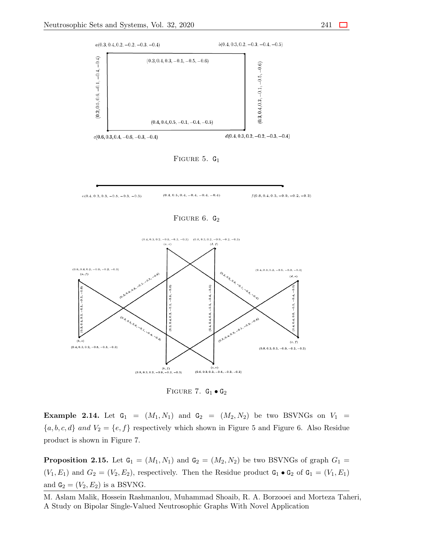

FIGURE 5.  $G_1$ 



FIGURE  $6. G_2$ 



Figure 7. G<sup>1</sup> *•* G<sup>2</sup>

<span id="page-20-0"></span>**Example 2.14.** Let  $G_1 = (M_1, N_1)$  and  $G_2 = (M_2, N_2)$  be two BSVNGs on  $V_1$  ${a, b, c, d}$  *and*  $V_2 = {e, f}$  respectively which shown in Figure 5 and Figure 6. Also Residue product is shown in Figure 7.

**Proposition 2.15.** Let  $G_1 = (M_1, N_1)$  and  $G_2 = (M_2, N_2)$  be two BSVNGs of graph  $G_1$  $(V_1, E_1)$  and  $G_2 = (V_2, E_2)$ , respectively. Then the Residue product  $G_1 \bullet G_2$  of  $G_1 = (V_1, E_1)$ and  $G_2 = (V_2, E_2)$  is a BSVNG.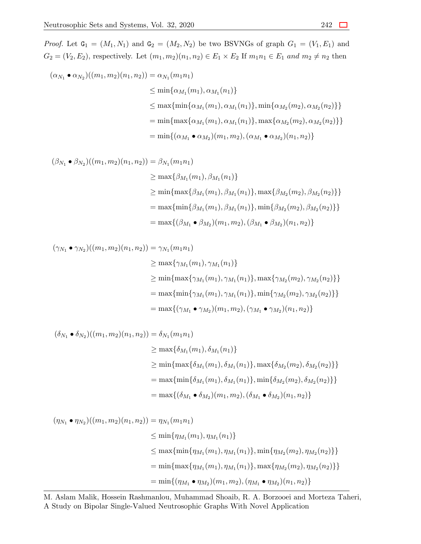*Proof.* Let  $G_1 = (M_1, N_1)$  and  $G_2 = (M_2, N_2)$  be two BSVNGs of graph  $G_1 = (V_1, E_1)$  and  $G_2 = (V_2, E_2)$ , respectively. Let  $(m_1, m_2)(n_1, n_2) \in E_1 \times E_2$  If  $m_1 n_1 \in E_1$  and  $m_2 \neq n_2$  then

$$
(\alpha_{N_1} \bullet \alpha_{N_2})((m_1, m_2)(n_1, n_2)) = \alpha_{N_1}(m_1 n_1)
$$
  
\n
$$
\leq \min{\{\alpha_{M_1}(m_1), \alpha_{M_1}(n_1)\}}
$$
  
\n
$$
\leq \max{\{\min{\{\alpha_{M_1}(m_1), \alpha_{M_1}(n_1)\}, \min{\{\alpha_{M_2}(m_2), \alpha_{M_2}(n_2)\}\}}\}}
$$
  
\n
$$
= \min{\{\max{\{\alpha_{M_1}(m_1), \alpha_{M_1}(n_1)\}, \max{\{\alpha_{M_2}(m_2), \alpha_{M_2}(n_2)\}}\}}
$$
  
\n
$$
= \min{\{(\alpha_{M_1} \bullet \alpha_{M_2})(m_1, m_2), (\alpha_{M_1} \bullet \alpha_{M_2})(n_1, n_2)\}}
$$

$$
(\beta_{N_1} \bullet \beta_{N_2})((m_1, m_2)(n_1, n_2)) = \beta_{N_1}(m_1 n_1)
$$
  
\n
$$
\geq \max{\beta_{M_1}(m_1), \beta_{M_1}(n_1)}
$$
  
\n
$$
\geq \min{\max{\beta_{M_1}(m_1), \beta_{M_1}(n_1)}, \max{\beta_{M_2}(m_2), \beta_{M_2}(n_2)}}
$$
  
\n
$$
= \max{\min{\beta_{M_1}(m_1), \beta_{M_1}(n_1)}, \min{\beta_{M_2}(m_2), \beta_{M_2}(n_2)}}
$$
  
\n
$$
= \max{\{(\beta_{M_1} \bullet \beta_{M_2})(m_1, m_2), (\beta_{M_1} \bullet \beta_{M_2})(n_1, n_2)\}}
$$

$$
(\gamma_{N_1} \bullet \gamma_{N_2})((m_1, m_2)(n_1, n_2)) = \gamma_{N_1}(m_1 n_1)
$$
  
\n
$$
\ge \max{\gamma_{M_1}(m_1), \gamma_{M_1}(n_1)}
$$
  
\n
$$
\ge \min{\max{\gamma_{M_1}(m_1), \gamma_{M_1}(n_1)}, \max{\gamma_{M_2}(m_2), \gamma_{M_2}(n_2)}}
$$
  
\n
$$
= \max{\min{\gamma_{M_1}(m_1), \gamma_{M_1}(n_1)}, \min{\gamma_{M_2}(m_2), \gamma_{M_2}(n_2)}}
$$
  
\n
$$
= \max{\{(\gamma_{M_1} \bullet \gamma_{M_2})(m_1, m_2), (\gamma_{M_1} \bullet \gamma_{M_2})(n_1, n_2)\}}
$$

$$
(\delta_{N_1} \bullet \delta_{N_2})((m_1, m_2)(n_1, n_2)) = \delta_{N_1}(m_1 n_1)
$$
  
\n
$$
\ge \max{\delta_{M_1}(m_1), \delta_{M_1}(n_1)}
$$
  
\n
$$
\ge \min{\max{\delta_{M_1}(m_1), \delta_{M_1}(n_1)}, \max{\delta_{M_2}(m_2), \delta_{M_2}(n_2)}}
$$
  
\n
$$
= \max{\min{\delta_{M_1}(m_1), \delta_{M_1}(n_1)}, \min{\delta_{M_2}(m_2), \delta_{M_2}(n_2)}}
$$
  
\n
$$
= \max{\{(\delta_{M_1} \bullet \delta_{M_2})(m_1, m_2), (\delta_{M_1} \bullet \delta_{M_2})(n_1, n_2)\}}
$$

$$
(\eta_{N_1} \bullet \eta_{N_2})((m_1, m_2)(n_1, n_2)) = \eta_{N_1}(m_1 n_1)
$$
  
\n
$$
\leq \min{\eta_{M_1}(m_1), \eta_{M_1}(n_1)}
$$
  
\n
$$
\leq \max{\{\min{\eta_{M_1}(m_1), \eta_{M_1}(n_1)\}, \min{\eta_{M_2}(m_2), \eta_{M_2}(n_2)\}}\}}
$$
  
\n
$$
= \min{\{\max{\eta_{M_1}(m_1), \eta_{M_1}(n_1)\}, \max{\eta_{M_2}(m_2), \eta_{M_2}(n_2)\}}}
$$
  
\n
$$
= \min{\{(\eta_{M_1} \bullet \eta_{M_2})(m_1, m_2), (\eta_{M_1} \bullet \eta_{M_2})(n_1, n_2)\}}
$$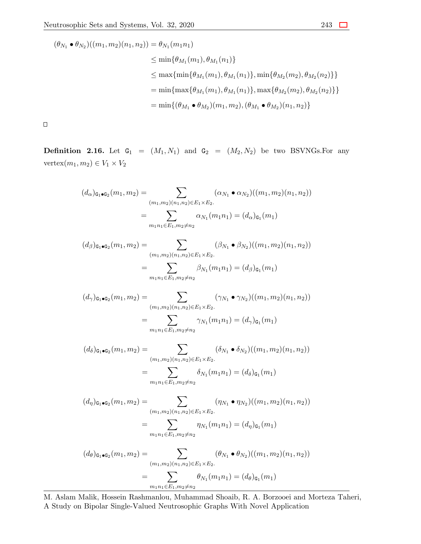$$
(\theta_{N_1} \bullet \theta_{N_2})((m_1, m_2)(n_1, n_2)) = \theta_{N_1}(m_1 n_1)
$$
  
\n
$$
\leq \min{\theta_{M_1}(m_1), \theta_{M_1}(n_1)}
$$
  
\n
$$
\leq \max{\min{\theta_{M_1}(m_1), \theta_{M_1}(n_1)}, \min{\theta_{M_2}(m_2), \theta_{M_2}(n_2)} }
$$
  
\n
$$
= \min{\max{\theta_{M_1}(m_1), \theta_{M_1}(n_1)}, \max{\theta_{M_2}(m_2), \theta_{M_2}(n_2)} }
$$
  
\n
$$
= \min{\{(\theta_{M_1} \bullet \theta_{M_2})(m_1, m_2), (\theta_{M_1} \bullet \theta_{M_2})(n_1, n_2)\}}
$$

 $\Box$ 

**Definition 2.16.** Let  $G_1 = (M_1, N_1)$  and  $G_2 = (M_2, N_2)$  be two BSVNGs. For any  $\text{vertex}(m_1, m_2) \in V_1 \times V_2$ 

$$
(d_{\alpha})_{\mathbf{G}_1 \bullet \mathbf{G}_2}(m_1, m_2) = \sum_{\substack{(m_1, m_2)(n_1, n_2) \in E_1 \times E_2. \\ m_1 n_1 \in E_1, m_2 \neq n_2}} (\alpha_{N_1} \bullet \alpha_{N_2})((m_1, m_2)(n_1, n_2))
$$

$$
(d_{\beta})_{\mathbf{G}_1 \bullet \mathbf{G}_2}(m_1, m_2) = \sum_{\substack{(m_1, m_2)(n_1, n_2) \in E_1 \times E_2. \\ m_1 n_1 \in E_1, m_2 \neq n_2}} (\beta_{N_1} \bullet \beta_{N_2})((m_1, m_2)(n_1, n_2))
$$

$$
(d_{\gamma})_{\mathbf{G}_1 \bullet \mathbf{G}_2}(m_1, m_2) = \sum_{\substack{(m_1, m_2)(n_1, n_2) \in E_1 \times E_2. \\ m_1 n_1 \in E_1, m_2 \neq n_2}} (\gamma_{N_1} \bullet \gamma_{N_2})((m_1, m_2)(n_1, n_2))
$$

$$
(d_{\delta})_{\mathbf{G}_1 \bullet \mathbf{G}_2}(m_1, m_2) = \sum_{\substack{(m_1, m_2)(n_1, n_2) \in E_1 \times E_2. \\ m_1 n_1 \in E_1, m_2 \neq n_2}} (\delta_{N_1} \bullet \delta_{N_2})((m_1, m_2)(n_1, n_2))
$$

$$
(d_{\eta})_{\mathbf{G}_1 \bullet \mathbf{G}_2}(m_1, m_2) = \sum_{\substack{(m_1, m_2)(n_1, n_2) \in E_1 \times E_2. \\ m_1 n_1 \in E_1, m_2 \neq n_2}} (\eta_{N_1} \bullet \eta_{N_2})((m_1, m_2)(n_1, n_2))
$$

$$
= \sum_{m_1 n_1 \in E_1, m_2 \neq n_2} \eta_{N_1}(m_1 n_1) = (d_{\eta})_{\mathbf{G}_1}(m_1)
$$

$$
(d_{\theta})_{\mathbf{G}_1 \bullet \mathbf{G}_2}(m_1, m_2) = \sum (\theta_{N_1} \bullet \theta_{N_2})((m_1, m_2)(n_1, n_2))
$$

$$
d_{\theta})_{\mathbf{G}_1 \bullet \mathbf{G}_2}(m_1, m_2) = \sum_{(m_1, m_2)(n_1, n_2) \in E_1 \times E_2} (\theta_{N_1} \bullet \theta_{N_2})((m_1, m_2)(n_1, n_2))
$$
  
= 
$$
\sum_{m_1 n_1 \in E_1, m_2 \neq n_2} \theta_{N_1}(m_1 n_1) = (d_{\theta})_{\mathbf{G}_1}(m_1)
$$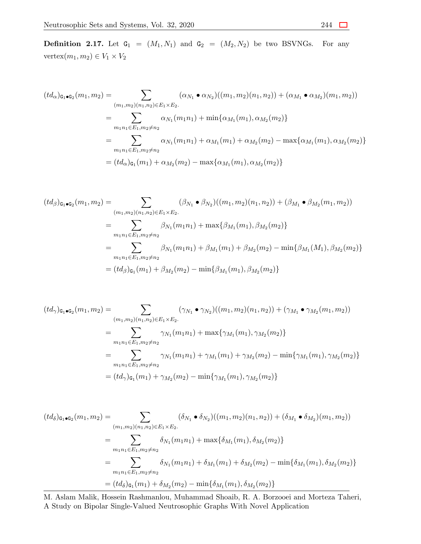**Definition 2.17.** Let  $G_1 = (M_1, N_1)$  and  $G_2 = (M_2, N_2)$  be two BSVNGs. For any  $\text{vertex}(m_1, m_2) \in V_1 \times V_2$ 

$$
(td_{\alpha})_{\mathbf{G}_1 \bullet \mathbf{G}_2}(m_1, m_2) = \sum_{(m_1, m_2)(n_1, n_2) \in E_1 \times E_2} (\alpha_{N_1} \bullet \alpha_{N_2})((m_1, m_2)(n_1, n_2)) + (\alpha_{M_1} \bullet \alpha_{M_2})(m_1, m_2))
$$
  
\n
$$
= \sum_{m_1 n_1 \in E_1, m_2 \neq n_2} \alpha_{N_1}(m_1 n_1) + \min{\alpha_{M_1}(m_1), \alpha_{M_2}(m_2)}
$$
  
\n
$$
= \sum_{m_1 n_1 \in E_1, m_2 \neq n_2} \alpha_{N_1}(m_1 n_1) + \alpha_{M_1}(m_1) + \alpha_{M_2}(m_2) - \max{\alpha_{M_1}(m_1), \alpha_{M_2}(m_2)}
$$
  
\n
$$
= (td_{\alpha})_{\mathbf{G}_1}(m_1) + \alpha_{M_2}(m_2) - \max{\alpha_{M_1}(m_1), \alpha_{M_2}(m_2)}
$$

$$
(td_{\beta})_{\mathbf{G}_1 \bullet \mathbf{G}_2}(m_1, m_2) = \sum_{(m_1, m_2)(n_1, n_2) \in E_1 \times E_2} (\beta_{N_1} \bullet \beta_{N_2})((m_1, m_2)(n_1, n_2)) + (\beta_{M_1} \bullet \beta_{M_2}(m_1, m_2))
$$
  
\n
$$
= \sum_{m_1 n_1 \in E_1, m_2 \neq n_2} \beta_{N_1}(m_1 n_1) + \max{\beta_{M_1}(m_1), \beta_{M_2}(m_2)}
$$
  
\n
$$
= \sum_{m_1 n_1 \in E_1, m_2 \neq n_2} \beta_{N_1}(m_1 n_1) + \beta_{M_1}(m_1) + \beta_{M_2}(m_2) - \min{\beta_{M_1}(M_1), \beta_{M_2}(m_2)}
$$
  
\n
$$
= (td_{\beta})_{\mathbf{G}_1}(m_1) + \beta_{M_2}(m_2) - \min{\beta_{M_1}(m_1), \beta_{M_2}(m_2)}
$$

$$
(td_{\gamma})_{\mathbf{G}_1 \bullet \mathbf{G}_2}(m_1, m_2) = \sum_{(m_1, m_2)(n_1, n_2) \in E_1 \times E_2} (\gamma_{N_1} \bullet \gamma_{N_2})((m_1, m_2)(n_1, n_2)) + (\gamma_{M_1} \bullet \gamma_{M_2}(m_1, m_2))
$$
  
\n
$$
= \sum_{m_1 n_1 \in E_1, m_2 \neq n_2} \gamma_{N_1}(m_1 n_1) + \max{\gamma_{M_1}(m_1), \gamma_{M_2}(m_2)}
$$
  
\n
$$
= \sum_{m_1 n_1 \in E_1, m_2 \neq n_2} \gamma_{N_1}(m_1 n_1) + \gamma_{M_1}(m_1) + \gamma_{M_2}(m_2) - \min{\gamma_{M_1}(m_1), \gamma_{M_2}(m_2)}
$$
  
\n
$$
= (td_{\gamma})_{\mathbf{G}_1}(m_1) + \gamma_{M_2}(m_2) - \min{\gamma_{M_1}(m_1), \gamma_{M_2}(m_2)}
$$

$$
(td_{\delta})_{\mathbf{G}_{1}\bullet\mathbf{G}_{2}}(m_{1},m_{2}) = \sum_{(m_{1},m_{2})(n_{1},n_{2})\in E_{1}\times E_{2}.} (\delta_{N_{1}}\bullet\delta_{N_{2}})((m_{1},m_{2})(n_{1},n_{2})) + (\delta_{M_{1}}\bullet\delta_{M_{2}})(m_{1},m_{2}))
$$
  

$$
= \sum_{m_{1}n_{1}\in E_{1},m_{2}\neq n_{2}} \delta_{N_{1}}(m_{1}n_{1}) + \max\{\delta_{M_{1}}(m_{1}),\delta_{M_{2}}(m_{2})\}
$$
  

$$
= \sum_{m_{1}n_{1}\in E_{1},m_{2}\neq n_{2}} \delta_{N_{1}}(m_{1}n_{1}) + \delta_{M_{1}}(m_{1}) + \delta_{M_{2}}(m_{2}) - \min\{\delta_{M_{1}}(m_{1}),\delta_{M_{2}}(m_{2})\}
$$
  

$$
= (td_{\delta})_{\mathbf{G}_{1}}(m_{1}) + \delta_{M_{2}}(m_{2}) - \min\{\delta_{M_{1}}(m_{1}),\delta_{M_{2}}(m_{2})\}
$$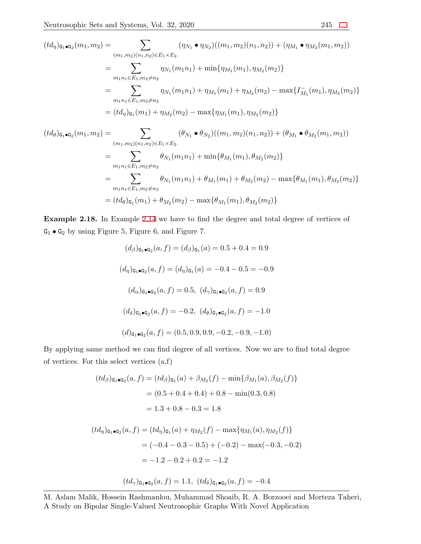$$
(td_{\eta})_{\mathbf{G}_1\bullet\mathbf{G}_2}(m_1, m_2) = \sum_{(m_1, m_2)(n_1, n_2) \in E_1 \times E_2} (\eta_{N_1} \bullet \eta_{N_2})((m_1, m_2)(n_1, n_2)) + (\eta_{M_1} \bullet \eta_{M_2}(m_1, m_2))
$$
  
\n
$$
= \sum_{m_1n_1 \in E_1, m_2 \neq n_2} \eta_{N_1}(m_1n_1) + \min{\eta_{M_1}(m_1), \eta_{M_2}(m_2)}
$$
  
\n
$$
= \sum_{m_1n_1 \in E_1, m_2 \neq n_2} \eta_{N_1}(m_1n_1) + \eta_{M_1}(m_1) + \eta_{M_2}(m_2) - \max{\{\Gamma_{M_1}(m_1), \eta_{M_2}(m_2)\}}
$$
  
\n
$$
= (td_{\eta})_{\mathbf{G}_1}(m_1) + \eta_{M_2}(m_2) - \max{\{\eta_{M_1}(m_1), \eta_{M_2}(m_2)\}}
$$
  
\n
$$
(td_{\theta})_{\mathbf{G}_1\bullet\mathbf{G}_2}(m_1, m_2) = \sum (\theta_{N_1} \bullet \theta_{N_2})((m_1, m_2)(n_1, n_2)) + (\theta_{M_1} \bullet \theta_{M_2}(m_1, m_2))
$$

$$
h_1, m_2) = \sum_{(m_1, m_2)(n_1, n_2) \in E_1 \times E_2} (\theta_{N_1} \bullet \theta_{N_2})((m_1, m_2)(n_1, n_2)) + (\theta_{M_1} \bullet \theta_{M_2}(m_1, m_2))
$$
  
\n
$$
= \sum_{m_1 n_1 \in E_1, m_2 \neq n_2} \theta_{N_1}(m_1 n_1) + \min{\theta_{M_1}(m_1), \theta_{M_2}(m_2)}
$$
  
\n
$$
= \sum_{m_1 n_1 \in E_1, m_2 \neq n_2} \theta_{N_1}(m_1 n_1) + \theta_{M_1}(m_1) + \theta_{M_2}(m_2) - \max{\theta_{M_1}(m_1), \theta_{M_2}(m_2)}
$$
  
\n
$$
= (td_\theta)_{\mathfrak{G}_1}(m_1) + \theta_{M_2}(m_2) - \max{\theta_{M_1}(m_1), \theta_{M_2}(m_2)}
$$

**Example 2.18.** In Example [2.14](#page-20-0) we have to find the degree and total degree of vertices of  $\texttt{G}_1 \bullet \texttt{G}_2$  by using Figure 5, Figure 6, and Figure 7.

$$
(d_{\beta})_{\mathbf{G}_1 \bullet \mathbf{G}_2}(a, f) = (d_{\beta})_{\mathbf{G}_1}(a) = 0.5 + 0.4 = 0.9
$$
  

$$
(d_{\eta})_{\mathbf{G}_1 \bullet \mathbf{G}_2}(a, f) = (d_{\eta})_{\mathbf{G}_1}(a) = -0.4 - 0.5 = -0.9
$$
  

$$
(d_{\alpha})_{\mathbf{G}_1 \bullet \mathbf{G}_2}(a, f) = 0.5, (d_{\gamma})_{\mathbf{G}_1 \bullet \mathbf{G}_2}(a, f) = 0.9
$$
  

$$
(d_{\delta})_{\mathbf{G}_1 \bullet \mathbf{G}_2}(a, f) = -0.2, (d_{\theta})_{\mathbf{G}_1 \bullet \mathbf{G}_2}(a, f) = -1.0
$$
  

$$
(d)_{\mathbf{G}_1 \bullet \mathbf{G}_2}(a, f) = (0.5, 0.9, 0.9, -0.2, -0.9, -1.0)
$$

By applying same method we can find degree of all vertices. Now we are to find total degree of vertices. For this select vertices (a,f)

$$
(td_{\beta})_{\mathbf{G}_1 \bullet \mathbf{G}_2}(a, f) = (td_{\beta})_{\mathbf{G}_1}(a) + \beta_{M_2}(f) - \min\{\beta_{M_1}(a), \beta_{M_2}(f)\}\
$$

$$
= (0.5 + 0.4 + 0.4) + 0.8 - \min(0.3, 0.8)
$$

$$
= 1.3 + 0.8 - 0.3 = 1.8
$$

$$
(td_{\eta})_{\mathbf{G}_1 \bullet \mathbf{G}_2}(a, f) = (td_{\eta})_{\mathbf{G}_1}(a) + \eta_{M_2}(f) - \max\{\eta_{M_1}(a), \eta_{M_2}(f)\}
$$
  

$$
= (-0.4 - 0.3 - 0.5) + (-0.2) - \max(-0.3, -0.2)
$$
  

$$
= -1.2 - 0.2 + 0.2 = -1.2
$$
  

$$
(td_{\gamma})_{\mathbf{G}_1 \bullet \mathbf{G}_2}(a, f) = 1.1, (td_{\delta})_{\mathbf{G}_1 \bullet \mathbf{G}_2}(a, f) = -0.4
$$

M. Aslam Malik, Hossein Rashmanlou, Muhammad Shoaib, R. A. Borzooei and Morteza Taheri, A Study on Bipolar Single-Valued Neutrosophic Graphs With Novel Application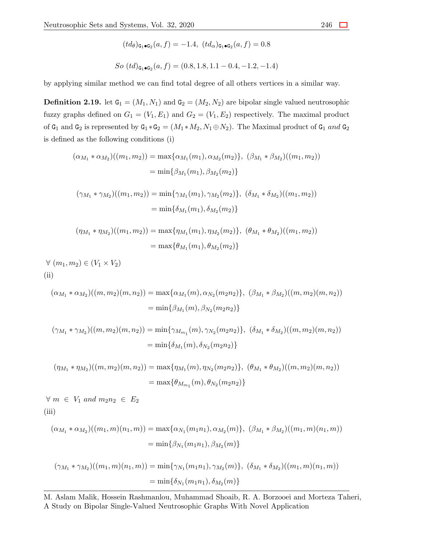$$
(td_{\theta})_{\mathbf{G}_1 \bullet \mathbf{G}_2}(a, f) = -1.4, \ (td_{\alpha})_{\mathbf{G}_1 \bullet \mathbf{G}_2}(a, f) = 0.8
$$
  
So  $(td)_{\mathbf{G}_1 \bullet \mathbf{G}_2}(a, f) = (0.8, 1.8, 1.1 - 0.4, -1.2, -1.4)$ 

by applying similar method we can find total degree of all others vertices in a similar way.

**Definition 2.19.** let  $G_1 = (M_1, N_1)$  and  $G_2 = (M_2, N_2)$  are bipolar single valued neutrosophic fuzzy graphs defined on  $G_1 = (V_1, E_1)$  and  $G_2 = (V_1, E_2)$  respectively. The maximal product of  $G_1$  and  $G_2$  is represented by  $G_1 * G_2 = (M_1 * M_2, N_1 \oplus N_2)$ . The Maximal product of  $G_1$  and  $G_2$ is defined as the following conditions (i)

$$
(\alpha_{M_1} * \alpha_{M_2})((m_1, m_2)) = \max{\alpha_{M_1}(m_1), \alpha_{M_2}(m_2)}, (\beta_{M_1} * \beta_{M_2})((m_1, m_2))
$$
  

$$
= \min{\beta_{M_1}(m_1), \beta_{M_2}(m_2)}
$$
  

$$
(\gamma_{M_1} * \gamma_{M_2})((m_1, m_2)) = \min{\gamma_{M_1}(m_1), \gamma_{M_2}(m_2)}, (\delta_{M_1} * \delta_{M_2})((m_1, m_2))
$$
  

$$
= \min{\delta_{M_1}(m_1), \delta_{M_2}(m_2)}
$$

$$
(\eta_{M_1} * \eta_{M_2})((m_1, m_2)) = \max{\{\eta_{M_1}(m_1), \eta_{M_2}(m_2)\}, \ (\theta_{M_1} * \theta_{M_2})((m_1, m_2))}
$$
  
=  $\max{\{\theta_{M_1}(m_1), \theta_{M_2}(m_2)\}}$ 

*∀* (*m*1*, m*2) *∈* (*V*<sup>1</sup> *× V*2) (ii)

$$
(\alpha_{M_1} * \alpha_{M_2})((m, m_2)(m, n_2)) = \max{\{\alpha_{M_1}(m), \alpha_{N_2}(m_2 n_2)\}, (\beta_{M_1} * \beta_{M_2})((m, m_2)(m, n_2))\}
$$
  
=  $\min{\{\beta_{M_1}(m), \beta_{N_2}(m_2 n_2)\}}$ 

$$
(\gamma_{M_1} * \gamma_{M_2})((m, m_2)(m, n_2)) = \min{\gamma_{M_{m_1}}(m), \gamma_{N_2}(m_2 n_2)}, (\delta_{M_1} * \delta_{M_2})((m, m_2)(m, n_2))
$$
  
=  $\min{\delta_{M_1}(m), \delta_{N_2}(m_2 n_2)}$ 

$$
(\eta_{M_1} * \eta_{M_2})((m, m_2)(m, n_2)) = \max{\{\eta_{M_1}(m), \eta_{N_2}(m_2 n_2)\}, \ (\theta_{M_1} * \theta_{M_2})((m, m_2)(m, n_2))\}
$$
  
=  $\max{\{\theta_{M_{m_1}}(m), \theta_{N_2}(m_2 n_2)\}}$ 

*∀*  $m \in V_1$  *and*  $m_2n_2 \in E_2$ (iii)

$$
(\alpha_{M_1} * \alpha_{M_2})((m_1, m)(n_1, m)) = \max{\alpha_{N_1}(m_1 n_1), \alpha_{M_2}(m)}, (\beta_{M_1} * \beta_{M_2})((m_1, m)(n_1, m))
$$
  
=  $\min{\beta_{N_1}(m_1 n_1), \beta_{M_2}(m)}$ 

$$
(\gamma_{M_1} * \gamma_{M_2})((m_1, m)(n_1, m)) = \min{\gamma_{N_1}(m_1 n_1), \gamma_{M_2}(m)}, (\delta_{M_1} * \delta_{M_2})((m_1, m)(n_1, m))
$$
  
=  $\min{\delta_{N_1}(m_1 n_1), \delta_{M_2}(m)}$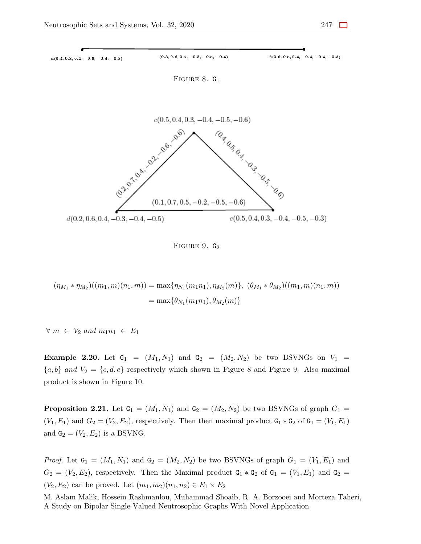

FIGURE 9.  $G_2$ 

$$
(\eta_{M_1} * \eta_{M_2})((m_1, m)(n_1, m)) = \max{\{\eta_{N_1}(m_1 n_1), \eta_{M_2}(m)\}, \ (\theta_{M_1} * \theta_{M_2})((m_1, m)(n_1, m))}
$$
  
=  $\max{\{\theta_{N_1}(m_1 n_1), \theta_{M_2}(m)\}}$ 

*∀ m ∈ V*<sup>2</sup> *and m*1*n*<sup>1</sup> *∈ E*<sup>1</sup>

<span id="page-26-0"></span>**Example 2.20.** Let  $G_1 = (M_1, N_1)$  and  $G_2 = (M_2, N_2)$  be two BSVNGs on  $V_1$  ${a,b}$  *and*  $V_2 = {c,d,e}$  respectively which shown in Figure 8 and Figure 9. Also maximal product is shown in Figure 10.

**Proposition 2.21.** Let  $G_1 = (M_1, N_1)$  and  $G_2 = (M_2, N_2)$  be two BSVNGs of graph  $G_1$  $(V_1, E_1)$  and  $G_2 = (V_2, E_2)$ , respectively. Then then maximal product  $G_1 * G_2$  of  $G_1 = (V_1, E_1)$ and  $G_2 = (V_2, E_2)$  is a BSVNG.

*Proof.* Let  $\mathbf{G}_1 = (M_1, N_1)$  and  $\mathbf{G}_2 = (M_2, N_2)$  be two BSVNGs of graph  $G_1 = (V_1, E_1)$  and  $G_2 = (V_2, E_2)$ , respectively. Then the Maximal product  $G_1 * G_2$  of  $G_1 = (V_1, E_1)$  and  $G_2 =$  $(V_2, E_2)$  can be proved. Let  $(m_1, m_2)(n_1, n_2) \in E_1 \times E_2$ 

M. Aslam Malik, Hossein Rashmanlou, Muhammad Shoaib, R. A. Borzooei and Morteza Taheri, A Study on Bipolar Single-Valued Neutrosophic Graphs With Novel Application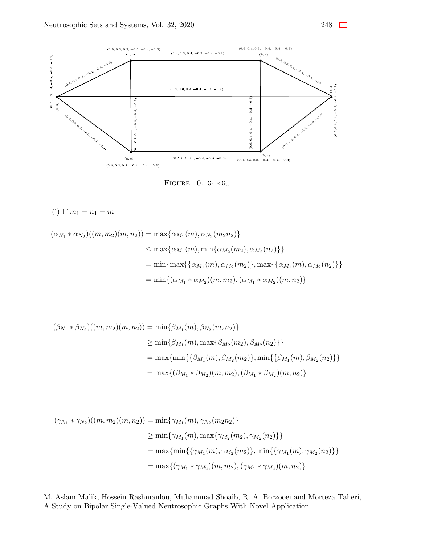



(i) If 
$$
m_1 = n_1 = m
$$

$$
(\alpha_{N_1} * \alpha_{N_2})((m, m_2)(m, n_2)) = \max{\alpha_{M_1}(m), \alpha_{N_2}(m_2 n_2)}
$$
  
\n
$$
\leq \max{\alpha_{M_1}(m), \min{\alpha_{M_2}(m_2), \alpha_{M_2}(n_2)} }
$$
  
\n
$$
= \min{\max{\{\alpha_{M_1}(m), \alpha_{M_2}(m_2)\}, \max{\{\alpha_{M_1}(m), \alpha_{M_2}(n_2)\}} }
$$
  
\n
$$
= \min{\{\alpha_{M_1} * \alpha_{M_2}(m, m_2), (\alpha_{M_1} * \alpha_{M_2})(m, n_2)\}}
$$

$$
(\beta_{N_1} * \beta_{N_2})((m, m_2)(m, n_2)) = \min{\beta_{M_1}(m), \beta_{N_2}(m_2 n_2)}
$$
  
\n
$$
\geq \min{\beta_{M_1}(m), \max{\beta_{M_2}(m_2), \beta_{M_2}(n_2)} }
$$
  
\n
$$
= \max{\min{\{\beta_{M_1}(m), \beta_{M_2}(m_2)\}, \min{\{\beta_{M_1}(m), \beta_{M_2}(n_2)\}} }
$$
  
\n
$$
= \max{\{(\beta_{M_1} * \beta_{M_2})(m, m_2), (\beta_{M_1} * \beta_{M_2})(m, n_2)\}}
$$

$$
(\gamma_{N_1} * \gamma_{N_2})((m, m_2)(m, n_2)) = \min{\gamma_{M_1}(m), \gamma_{N_2}(m_2 n_2)}
$$
  
\n
$$
\geq \min{\gamma_{M_1}(m), \max{\gamma_{M_2}(m_2), \gamma_{M_2}(n_2)} }
$$
  
\n
$$
= \max{\min{\{\gamma_{M_1}(m), \gamma_{M_2}(m_2)\}, \min{\{\gamma_{M_1}(m), \gamma_{M_2}(n_2)\}} }
$$
  
\n
$$
= \max{\{(\gamma_{M_1} * \gamma_{M_2})(m, m_2), (\gamma_{M_1} * \gamma_{M_2})(m, n_2)\}}
$$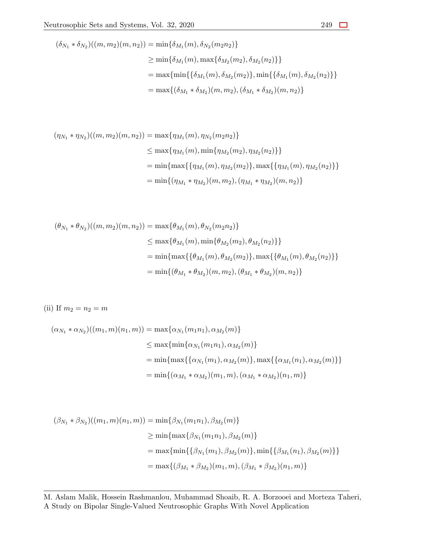$$
(\delta_{N_1} * \delta_{N_2})((m, m_2)(m, n_2)) = \min{\delta_{M_1}(m), \delta_{N_2}(m_2 n_2)}
$$
  
\n
$$
\geq \min{\delta_{M_1}(m), \max{\delta_{M_2}(m_2), \delta_{M_2}(n_2)} }
$$
  
\n
$$
= \max{\min{\{\delta_{M_1}(m), \delta_{M_2}(m_2)\}, \min{\{\delta_{M_1}(m), \delta_{M_2}(n_2)\}} }
$$
  
\n
$$
= \max{\{(\delta_{M_1} * \delta_{M_2})(m, m_2), (\delta_{M_1} * \delta_{M_2})(m, n_2)\}}
$$

$$
(\eta_{N_1} * \eta_{N_2})((m, m_2)(m, n_2)) = \max{\eta_{M_1}(m), \eta_{N_2}(m_2 n_2)}
$$
  

$$
\leq \max{\eta_{M_1}(m), \min{\eta_{M_2}(m_2), \eta_{M_2}(n_2)} }
$$
  

$$
= \min{\{\max{\{\eta_{M_1}(m), \eta_{M_2}(m_2)\}, \max{\{\eta_{M_1}(m), \eta_{M_2}(n_2)\}}\}}
$$
  

$$
= \min{\{(\eta_{M_1} * \eta_{M_2})(m, m_2), (\eta_{M_1} * \eta_{M_2})(m, n_2)\}}
$$

$$
(\theta_{N_1} * \theta_{N_2})((m, m_2)(m, n_2)) = \max{\theta_{M_1}(m), \theta_{N_2}(m_2 n_2)}
$$
  

$$
\leq \max{\theta_{M_1}(m), \min{\theta_{M_2}(m_2), \theta_{M_2}(n_2)} }
$$
  

$$
= \min{\max{\{\theta_{M_1}(m), \theta_{M_2}(m_2)\}, \max{\{\theta_{M_1}(m), \theta_{M_2}(n_2)\}} }
$$
  

$$
= \min{\{\theta_{M_1} * \theta_{M_2}(m, m_2), (\theta_{M_1} * \theta_{M_2})(m, n_2)\}}
$$

(ii) If  $m_2 = n_2 = m$ 

$$
(\alpha_{N_1} * \alpha_{N_2})((m_1, m)(n_1, m)) = \max{\{\alpha_{N_1}(m_1n_1), \alpha_{M_2}(m)\}}
$$
  
\n
$$
\leq \max{\{\min{\{\alpha_{N_1}(m_1n_1), \alpha_{M_2}(m)\}}\}}
$$
  
\n
$$
= \min{\{\max{\{\{\alpha_{N_1}(m_1), \alpha_{M_2}(m)\}}, \max{\{\alpha_{M_1}(n_1), \alpha_{M_2}(m)\}}\}}
$$
  
\n
$$
= \min{\{(\alpha_{M_1} * \alpha_{M_2})(m_1, m), (\alpha_{M_1} * \alpha_{M_2})(n_1, m)\}}
$$

$$
(\beta_{N_1} * \beta_{N_2})((m_1, m)(n_1, m)) = \min{\beta_{N_1}(m_1n_1), \beta_{M_2}(m)}
$$
  
\n
$$
\geq \min{\max{\beta_{N_1}(m_1n_1), \beta_{M_2}(m)}}
$$
  
\n
$$
= \max{\min{\{\beta_{N_1}(m_1), \beta_{M_2}(m)\}, \min{\{\beta_{M_1}(n_1), \beta_{M_2}(m)\}\}}
$$
  
\n
$$
= \max{\{(\beta_{M_1} * \beta_{M_2})(m_1, m), (\beta_{M_1} * \beta_{M_2})(n_1, m)\}}
$$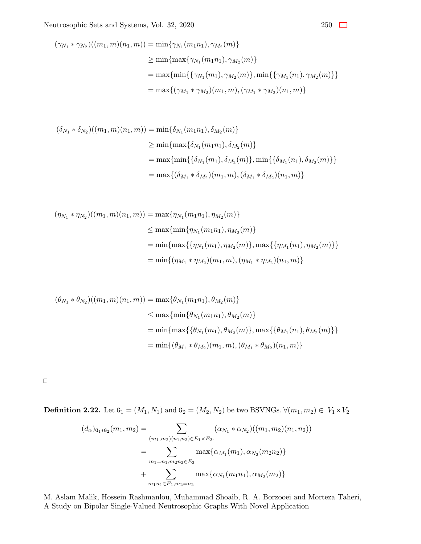$$
(\gamma_{N_1} * \gamma_{N_2})((m_1, m)(n_1, m)) = \min{\gamma_{N_1}(m_1n_1), \gamma_{M_2}(m)}
$$
  
\n
$$
\geq \min{\max{\gamma_{N_1}(m_1n_1), \gamma_{M_2}(m)}}
$$
  
\n
$$
= \max{\min{\{\gamma_{N_1}(m_1), \gamma_{M_2}(m)\}, \min{\{\gamma_{M_1}(n_1), \gamma_{M_2}(m)\}\}}
$$
  
\n
$$
= \max{\{(\gamma_{M_1} * \gamma_{M_2})(m_1, m), (\gamma_{M_1} * \gamma_{M_2})(n_1, m)\}}
$$

$$
(\delta_{N_1} * \delta_{N_2})((m_1, m)(n_1, m)) = \min{\{\delta_{N_1}(m_1n_1), \delta_{M_2}(m)\}}
$$
  
\n
$$
\geq \min{\{\max{\delta_{N_1}(m_1n_1), \delta_{M_2}(m)\}}}
$$
  
\n
$$
= \max{\{\min{\{\delta_{N_1}(m_1), \delta_{M_2}(m)\}}, \min{\{\delta_{M_1}(n_1), \delta_{M_2}(m)\}}\}}
$$
  
\n
$$
= \max{\{\delta_{M_1} * \delta_{M_2}(m_1, m), (\delta_{M_1} * \delta_{M_2})(n_1, m)\}}
$$

$$
(\eta_{N_1} * \eta_{N_2})((m_1, m)(n_1, m)) = \max{\{\eta_{N_1}(m_1n_1), \eta_{M_2}(m)\}}
$$
  
\n
$$
\leq \max{\{\min{\{\eta_{N_1}(m_1n_1), \eta_{M_2}(m)\}}\}}
$$
  
\n
$$
= \min{\{\max{\{\{\eta_{N_1}(m_1), \eta_{M_2}(m)\}}, \max{\{\eta_{M_1}(n_1), \eta_{M_2}(m)\}}\}}
$$
  
\n
$$
= \min{\{(\eta_{M_1} * \eta_{M_2})(m_1, m), (\eta_{M_1} * \eta_{M_2})(n_1, m)\}}
$$

$$
(\theta_{N_1} * \theta_{N_2})((m_1, m)(n_1, m)) = \max{\theta_{N_1}(m_1 n_1), \theta_{M_2}(m)}
$$
  

$$
\leq \max{\min{\theta_{N_1}(m_1 n_1), \theta_{M_2}(m)}}
$$
  

$$
= \min{\max{\{\theta_{N_1}(m_1), \theta_{M_2}(m)\}, \max{\{\theta_{M_1}(n_1), \theta_{M_2}(m)\}}}
$$
  

$$
= \min{\{(\theta_{M_1} * \theta_{M_2})(m_1, m), (\theta_{M_1} * \theta_{M_2})(n_1, m)\}}
$$

 $\Box$ 

**Definition 2.22.** Let  $G_1 = (M_1, N_1)$  and  $G_2 = (M_2, N_2)$  be two BSVNGs.  $∀(m_1, m_2) ∈ V_1 × V_2$ 

$$
(d_{\alpha})_{\mathsf{G}_1 * \mathsf{G}_2}(m_1, m_2) = \sum_{(m_1, m_2)(n_1, n_2) \in E_1 \times E_2} (\alpha_{N_1} * \alpha_{N_2})((m_1, m_2)(n_1, n_2))
$$
  

$$
= \sum_{m_1 = n_1, m_2 n_2 \in E_2} \max{\{\alpha_{M_1}(m_1), \alpha_{N_2}(m_2 n_2)\}}
$$
  

$$
+ \sum_{m_1 n_1 \in E_1, m_2 = n_2} \max{\{\alpha_{N_1}(m_1 n_1), \alpha_{M_2}(m_2)\}}
$$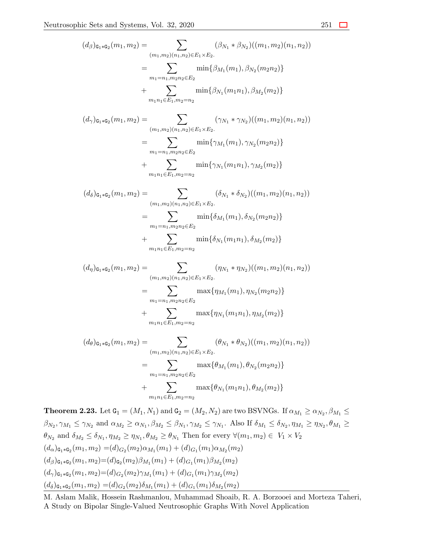$$
(d_{\beta})_{\mathfrak{G}_{1}*\mathfrak{G}_{2}}(m_{1}, m_{2}) = \sum_{(m_{1}, m_{2})(n_{1}, n_{2}) \in E_{1} \times E_{2}} (\beta_{N_{1}} * \beta_{N_{2}})((m_{1}, m_{2})(n_{1}, n_{2}))
$$
  
\n
$$
= \sum_{m_{1}=n_{1}, m_{2}n_{2} \in E_{2}} \min \{\beta_{M_{1}}(m_{1}), \beta_{N_{2}}(m_{2}n_{2})\}
$$
  
\n
$$
+ \sum_{m_{1}n_{1} \in E_{1}, m_{2}=n_{2}} \min \{\beta_{N_{1}}(m_{1}n_{1}), \beta_{M_{2}}(m_{2})\}
$$
  
\n
$$
(d_{\gamma})_{\mathfrak{G}_{1}*\mathfrak{G}_{2}}(m_{1}, m_{2}) = \sum_{(m_{1}, m_{2})(n_{1}, n_{2}) \in E_{1} \times E_{2}} (\gamma_{N_{1}} * \gamma_{N_{2}})((m_{1}, m_{2})(n_{1}, n_{2}))
$$
  
\n
$$
= \sum_{m_{1}=n_{1}, m_{2}n_{2} \in E_{2}} \min \{\gamma_{M_{1}}(m_{1}), \gamma_{N_{2}}(m_{2}n_{2})\}
$$
  
\n
$$
+ \sum_{m_{1}n_{1} \in E_{1}, m_{2}=n_{2}} \min \{\gamma_{N_{1}}(m_{1}n_{1}), \gamma_{M_{2}}(m_{2})\}
$$
  
\n
$$
(d_{\delta})_{\mathfrak{G}_{1}*\mathfrak{G}_{2}}(m_{1}, m_{2}) = \sum_{(m_{1}, m_{2})(n_{1}, n_{2}) \in E_{1} \times E_{2}} (\delta_{N_{1}} * \delta_{N_{2}})((m_{1}, m_{2})(n_{1}, n_{2}))
$$
  
\n
$$
= \sum_{m_{1}=n_{1}, m_{2}n_{2} \in E_{2}} \min \{\delta_{M_{1}}(m_{1}), \delta_{N_{2}}(m_{2}n_{2})\}
$$
  
\n
$$
+ \sum_{m_{1}n_{1} \in E_{1}, m_{2}=n_{2}} \min \{\delta_{N_{1}}(m_{1}n_{1}), \delta_{M_{2}}(m_{2})\}
$$
  
\n
$$
(d_{\eta})_{\mathfr
$$

$$
(d_{\theta})_{\mathsf{G}_1 * \mathsf{G}_2}(m_1, m_2) = \sum_{(m_1, m_2)(n_1, n_2) \in E_1 \times E_2} (\theta_{N_1} * \theta_{N_2})((m_1, m_2)(n_1, n_2))
$$
  

$$
= \sum_{m_1 = n_1, m_2 n_2 \in E_2} \max{\theta_{M_1}(m_1), \theta_{N_2}(m_2 n_2)}
$$
  

$$
+ \sum_{m_1 n_1 \in E_1, m_2 = n_2} \max{\theta_{N_1}(m_1 n_1), \theta_{M_2}(m_2)}
$$

**Theorem 2.23.** Let  $G_1 = (M_1, N_1)$  and  $G_2 = (M_2, N_2)$  are two BSVNGs. If  $\alpha_{M_1} \ge \alpha_{N_2}, \beta_{M_1} \le$  $\beta_{N_2}, \gamma_{M_1} \leq \gamma_{N_2}$  and  $\alpha_{M_2} \geq \alpha_{N_1}, \beta_{M_2} \leq \beta_{N_1}, \gamma_{M_2} \leq \gamma_{N_1}$ . Also If  $\delta_{M_1} \leq \delta_{N_2}, \eta_{M_1} \geq \eta_{N_2}, \theta_{M_1} \geq \theta_{M_1}$  $\theta_{N_2}$  and  $\delta_{M_2} \leq \delta_{N_1}, \eta_{M_2} \geq \eta_{N_1}, \theta_{M_2} \geq \theta_{N_1}$  Then for every  $\forall (m_1, m_2) \in V_1 \times V_2$  $(d_{\alpha})_{\mathsf{G}_1 * \mathsf{G}_2}(m_1, m_2) = (d)_{G_2}(m_2) \alpha_{M_1}(m_1) + (d)_{G_1}(m_1) \alpha_{M_2}(m_2)$  $(d_{\beta})_{\mathsf{G}_1 * \mathsf{G}_2} (m_1, m_2) = (d)_{\mathsf{G}_2} (m_2) \beta_{M_1} (m_1) + (d)_{G_1} (m_1) \beta_{M_2} (m_2)$  $(d_{\gamma})_{\mathsf{G}_1 * \mathsf{G}_2} (m_1, m_2) = (d)_{G_2} (m_2) \gamma_{M_1} (m_1) + (d)_{G_1} (m_1) \gamma_{M_2} (m_2)$  $(d_{\delta})_{\mathbf{G}_1 * \mathbf{G}_2}(m_1, m_2) = (d)_{G_2}(m_2) \delta_{M_1}(m_1) + (d)_{G_1}(m_1) \delta_{M_2}(m_2)$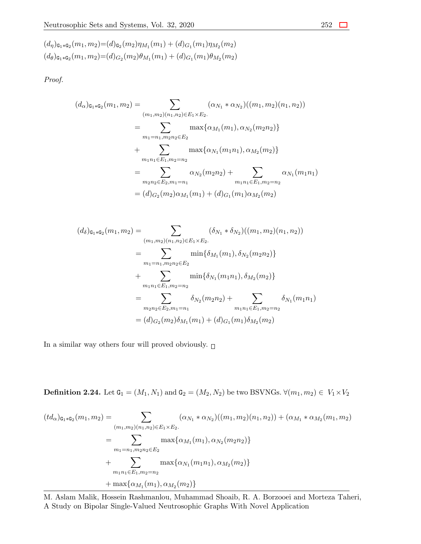$$
(d_{\eta})_{\mathbf{G}_1 * \mathbf{G}_2}(m_1, m_2) = (d)_{\mathbf{G}_2}(m_2) \eta_{M_1}(m_1) + (d)_{G_1}(m_1) \eta_{M_2}(m_2)
$$
  

$$
(d_{\theta})_{\mathbf{G}_1 * \mathbf{G}_2}(m_1, m_2) = (d)_{G_2}(m_2) \theta_{M_1}(m_1) + (d)_{G_1}(m_1) \theta_{M_2}(m_2)
$$

*Proof.*

$$
(d_{\alpha})_{\mathsf{G}_1 * \mathsf{G}_2}(m_1, m_2) = \sum_{(m_1, m_2)(n_1, n_2) \in E_1 \times E_2} (\alpha_{N_1} * \alpha_{N_2})((m_1, m_2)(n_1, n_2))
$$
  
\n
$$
= \sum_{m_1 = n_1, m_2 n_2 \in E_2} \max{\{\alpha_{M_1}(m_1), \alpha_{N_2}(m_2 n_2)\}}
$$
  
\n
$$
+ \sum_{m_1 n_1 \in E_1, m_2 = n_2} \max{\{\alpha_{N_1}(m_1 n_1), \alpha_{M_2}(m_2)\}}
$$
  
\n
$$
= \sum_{m_2 n_2 \in E_2, m_1 = n_1} \alpha_{N_2}(m_2 n_2) + \sum_{m_1 n_1 \in E_1, m_2 = n_2} \alpha_{N_1}(m_1 n_1)
$$
  
\n
$$
= (d)_{G_2}(m_2) \alpha_{M_1}(m_1) + (d)_{G_1}(m_1) \alpha_{M_2}(m_2)
$$

$$
(d_{\delta})_{\mathbf{G}_{1}*\mathbf{G}_{2}}(m_{1}, m_{2}) = \sum_{(m_{1}, m_{2})(n_{1}, n_{2}) \in E_{1} \times E_{2}.} (\delta_{N_{1}} * \delta_{N_{2}})((m_{1}, m_{2})(n_{1}, n_{2}))
$$
  
\n
$$
= \sum_{m_{1}=n_{1}, m_{2}n_{2} \in E_{2}} \min\{\delta_{M_{1}}(m_{1}), \delta_{N_{2}}(m_{2}n_{2})\}
$$
  
\n
$$
+ \sum_{m_{1}n_{1} \in E_{1}, m_{2}=n_{2}} \min\{\delta_{N_{1}}(m_{1}n_{1}), \delta_{M_{2}}(m_{2})\}
$$
  
\n
$$
= \sum_{m_{2}n_{2} \in E_{2}, m_{1}=n_{1}} \delta_{N_{2}}(m_{2}n_{2}) + \sum_{m_{1}n_{1} \in E_{1}, m_{2}=n_{2}} \delta_{N_{1}}(m_{1}n_{1})
$$
  
\n
$$
= (d)_{G_{2}}(m_{2})\delta_{M_{1}}(m_{1}) + (d)_{G_{1}}(m_{1})\delta_{M_{2}}(m_{2})
$$

In a similar way others four will proved obviously.  $_\Box$ 

**Definition 2.24.** Let  $G_1 = (M_1, N_1)$  and  $G_2 = (M_2, N_2)$  be two BSVNGs.  $∀(m_1, m_2) ∈ V_1 × V_2$ 

$$
(td_{\alpha})_{\mathbf{G}_1 * \mathbf{G}_2}(m_1, m_2) = \sum_{(m_1, m_2)(n_1, n_2) \in E_1 \times E_2} (\alpha_{N_1} * \alpha_{N_2})((m_1, m_2)(n_1, n_2)) + (\alpha_{M_1} * \alpha_{M_2}(m_1, m_2))
$$
  

$$
= \sum_{m_1 = n_1, m_2 n_2 \in E_2} \max{\{\alpha_{M_1}(m_1), \alpha_{N_2}(m_2 n_2)\}}
$$
  

$$
+ \sum_{m_1 n_1 \in E_1, m_2 = n_2} \max{\{\alpha_{N_1}(m_1 n_1), \alpha_{M_2}(m_2)\}}
$$
  

$$
+ \max{\{\alpha_{M_1}(m_1), \alpha_{M_2}(m_2)\}}
$$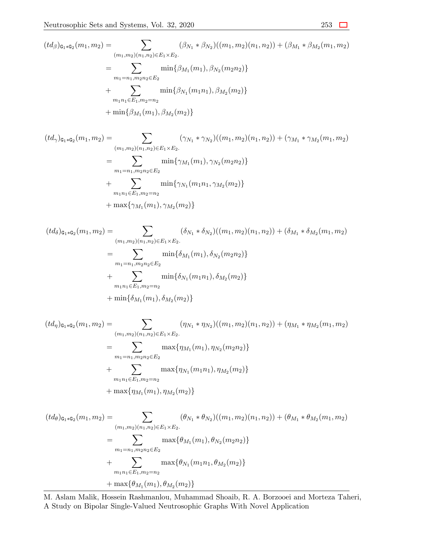$$
(td_{\beta})_{\mathbf{G}_{1}*\mathbf{G}_{2}}(m_{1},m_{2}) = \sum_{(m_{1},m_{2})(n_{1},n_{2}) \in E_{1} \times E_{2}.} (\beta_{N_{1}} * \beta_{N_{2}})((m_{1},m_{2})(n_{1},n_{2})) + (\beta_{M_{1}} * \beta_{M_{2}}(m_{1},m_{2}))
$$
  

$$
= \sum_{m_{1}=n_{1},m_{2}n_{2} \in E_{2}} \min{\{\beta_{M_{1}}(m_{1}), \beta_{N_{2}}(m_{2}n_{2})\}}
$$
  

$$
+ \sum_{m_{1}n_{1} \in E_{1},m_{2}=n_{2}} \min{\{\beta_{N_{1}}(m_{1}n_{1}), \beta_{M_{2}}(m_{2})\}}
$$
  

$$
+ \min{\{\beta_{M_{1}}(m_{1}), \beta_{M_{2}}(m_{2})\}}
$$

$$
(td_{\gamma})_{\mathbf{G}_1 * \mathbf{G}_2}(m_1, m_2) = \sum_{(m_1, m_2)(n_1, n_2) \in E_1 \times E_2} (\gamma_{N_1} * \gamma_{N_2})((m_1, m_2)(n_1, n_2)) + (\gamma_{M_1} * \gamma_{M_2}(m_1, m_2))
$$
  

$$
= \sum_{m_1 = n_1, m_2 n_2 \in E_2} \min{\gamma_{M_1}(m_1), \gamma_{N_2}(m_2 n_2)}
$$
  

$$
+ \sum_{m_1 n_1 \in E_1, m_2 = n_2} \min{\gamma_{N_1}(m_1 n_1, \gamma_{M_2}(m_2))}
$$
  

$$
+ \max{\gamma_{M_1}(m_1), \gamma_{M_2}(m_2)}
$$

$$
(td_{\delta})_{\mathbf{G}_{1}*\mathbf{G}_{2}}(m_{1},m_{2}) = \sum_{\substack{(m_{1},m_{2})(n_{1},n_{2}) \in E_{1} \times E_{2}. \\ m_{1} = n_{1}, m_{2}n_{2} \in E_{2}}} (\delta_{N_{1}} * \delta_{N_{2}})((m_{1},m_{2})(n_{1},n_{2})) + (\delta_{M_{1}} * \delta_{M_{2}}(m_{1},m_{2}))
$$
  

$$
= \sum_{\substack{m_{1} = n_{1}, m_{2}n_{2} \in E_{2}}} \min{\{\delta_{M_{1}}(m_{1}), \delta_{N_{2}}(m_{2}n_{2})\}}
$$
  

$$
+ \sum_{\substack{m_{1}n_{1} \in E_{1}, m_{2} = n_{2} \\ m_{1} \{\delta_{M_{1}}(m_{1}), \delta_{M_{2}}(m_{2})\}} \min{\{\delta_{M_{1}}(m_{1}), \delta_{M_{2}}(m_{2})\}}
$$

$$
(td_{\eta})_{\mathbf{G}_1 * \mathbf{G}_2}(m_1, m_2) = \sum_{(m_1, m_2)(n_1, n_2) \in E_1 \times E_2} (\eta_{N_1} * \eta_{N_2})((m_1, m_2)(n_1, n_2)) + (\eta_{M_1} * \eta_{M_2}(m_1, m_2))
$$
  

$$
= \sum_{m_1 = n_1, m_2 n_2 \in E_2} \max{\eta_{M_1}(m_1), \eta_{N_2}(m_2 n_2)}
$$
  

$$
+ \sum_{m_1 n_1 \in E_1, m_2 = n_2} \max{\eta_{N_1}(m_1 n_1), \eta_{M_2}(m_2)}
$$
  

$$
+ \max{\eta_{M_1}(m_1), \eta_{M_2}(m_2)}
$$

$$
(td_{\theta})_{\mathbf{G}_{1} * \mathbf{G}_{2}}(m_{1}, m_{2}) = \sum_{(m_{1}, m_{2})(n_{1}, n_{2}) \in E_{1} \times E_{2}.} (\theta_{N_{1}} * \theta_{N_{2}})((m_{1}, m_{2})(n_{1}, n_{2})) + (\theta_{M_{1}} * \theta_{M_{2}}(m_{1}, m_{2}))
$$
  

$$
= \sum_{m_{1} = n_{1}, m_{2} n_{2} \in E_{2}} \max{\theta_{M_{1}}(m_{1}), \theta_{N_{2}}(m_{2} n_{2})}
$$
  

$$
+ \sum_{m_{1} n_{1} \in E_{1}, m_{2} = n_{2}} \max{\theta_{N_{1}}(m_{1} n_{1}, \theta_{M_{2}}(m_{2}))}
$$
  

$$
+ \max{\theta_{M_{1}}(m_{1}), \theta_{M_{2}}(m_{2})}
$$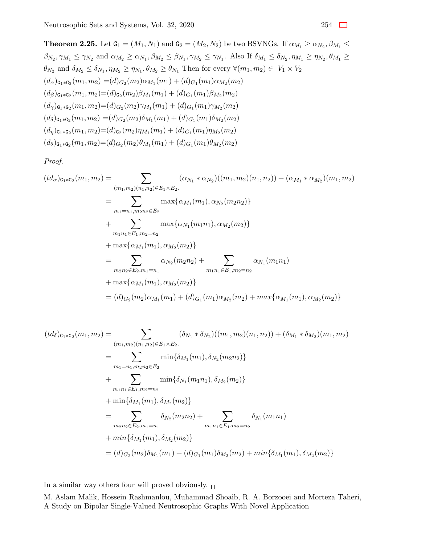**Theorem 2.25.** Let  $G_1 = (M_1, N_1)$  and  $G_2 = (M_2, N_2)$  be two BSVNGs. If  $\alpha_{M_1} \ge \alpha_{N_2}, \beta_{M_1} \le$  $\beta_{N_2}, \gamma_{M_1} \leq \gamma_{N_2}$  and  $\alpha_{M_2} \geq \alpha_{N_1}, \beta_{M_2} \leq \beta_{N_1}, \gamma_{M_2} \leq \gamma_{N_1}$ . Also If  $\delta_{M_1} \leq \delta_{N_2}, \eta_{M_1} \geq \eta_{N_2}, \theta_{M_1} \geq \theta_{N_1}$  $\theta_{N_2}$  and  $\delta_{M_2} \leq \delta_{N_1}, \eta_{M_2} \geq \eta_{N_1}, \theta_{M_2} \geq \theta_{N_1}$  Then for every  $\forall (m_1, m_2) \in V_1 \times V_2$  $(d_{\alpha})_{\mathbf{G}_1 * \mathbf{G}_2} (m_1, m_2) = (d)_{G_2} (m_2) \alpha_{M_1} (m_1) + (d)_{G_1} (m_1) \alpha_{M_2} (m_2)$  $(d_{\beta})_{\mathsf{G}_1 * \mathsf{G}_2} (m_1, m_2) = (d)_{\mathsf{G}_2} (m_2) \beta_{M_1} (m_1) + (d)_{G_1} (m_1) \beta_{M_2} (m_2)$  $(d_{\gamma})_{\mathsf{G}_1 * \mathsf{G}_2} (m_1, m_2) = (d)_{G_2} (m_2) \gamma_{M_1} (m_1) + (d)_{G_1} (m_1) \gamma_{M_2} (m_2)$  $(d_{\delta})_{\mathbf{G}_1 * \mathbf{G}_2} (m_1, m_2) = (d)_{G_2} (m_2) \delta_{M_1} (m_1) + (d)_{G_1} (m_1) \delta_{M_2} (m_2)$  $(d_n)_{\mathsf{G}_1 * \mathsf{G}_2} (m_1, m_2) = (d)_{\mathsf{G}_2} (m_2) \eta_{M_1} (m_1) + (d)_{G_1} (m_1) \eta_{M_2} (m_2)$  $(d_{\theta})_{\mathbf{G}_1 * \mathbf{G}_2} (m_1, m_2) = (d)_{G_2} (m_2) \theta_{M_1} (m_1) + (d)_{G_1} (m_1) \theta_{M_2} (m_2)$ 

*Proof.*

$$
(td_{\alpha})_{\mathbf{G}_{1}*\mathbf{G}_{2}}(m_{1},m_{2}) = \sum_{(m_{1},m_{2})(n_{1},n_{2})\in E_{1}\times E_{2}.} (\alpha_{N_{1}}*\alpha_{N_{2}})((m_{1},m_{2})(n_{1},n_{2})) + (\alpha_{M_{1}}*\alpha_{M_{2}})(m_{1},m_{2})
$$
  
\n
$$
= \sum_{m_{1}=n_{1},m_{2}n_{2}\in E_{2}} \max{\{\alpha_{M_{1}}(m_{1}),\alpha_{N_{2}}(m_{2}n_{2})\}}
$$
  
\n
$$
+ \sum_{m_{1}n_{1}\in E_{1},m_{2}=n_{2}} \max{\{\alpha_{N_{1}}(m_{1}n_{1}),\alpha_{M_{2}}(m_{2})\}}
$$
  
\n
$$
+ \max{\{\alpha_{M_{1}}(m_{1}),\alpha_{M_{2}}(m_{2})\}}
$$
  
\n
$$
= \sum_{m_{2}n_{2}\in E_{2},m_{1}=n_{1}} \alpha_{N_{2}}(m_{2}n_{2}) + \sum_{m_{1}n_{1}\in E_{1},m_{2}=n_{2}} \alpha_{N_{1}}(m_{1}n_{1})
$$
  
\n
$$
+ \max{\{\alpha_{M_{1}}(m_{1}),\alpha_{M_{2}}(m_{2})\}}
$$
  
\n
$$
= (d)_{G_{2}}(m_{2})\alpha_{M_{1}}(m_{1}) + (d)_{G_{1}}(m_{1})\alpha_{M_{2}}(m_{2}) + \max{\{\alpha_{M_{1}}(m_{1}),\alpha_{M_{2}}(m_{2})\}}
$$

$$
(td_{\delta})_{\mathbf{G}_{1}*\mathbf{G}_{2}}(m_{1},m_{2}) = \sum_{(m_{1},m_{2})(n_{1},n_{2})\in E_{1}\times E_{2}.} (\delta_{N_{1}}*\delta_{N_{2}})((m_{1},m_{2})(n_{1},n_{2})) + (\delta_{M_{1}}*\delta_{M_{2}})(m_{1},m_{2})
$$
  
\n
$$
= \sum_{m_{1}=n_{1},m_{2}n_{2}\in E_{2}} \min\{\delta_{M_{1}}(m_{1}),\delta_{N_{2}}(m_{2}n_{2})\}
$$
  
\n
$$
+ \sum_{m_{1}n_{1}\in E_{1},m_{2}=n_{2}} \min\{\delta_{N_{1}}(m_{1}n_{1}),\delta_{M_{2}}(m_{2})\}
$$
  
\n
$$
+ \min\{\delta_{M_{1}}(m_{1}),\delta_{M_{2}}(m_{2})\}
$$
  
\n
$$
= \sum_{m_{2}n_{2}\in E_{2},m_{1}=n_{1}} \delta_{N_{2}}(m_{2}n_{2}) + \sum_{m_{1}n_{1}\in E_{1},m_{2}=n_{2}} \delta_{N_{1}}(m_{1}n_{1})
$$
  
\n
$$
+ \min\{\delta_{M_{1}}(m_{1}),\delta_{M_{2}}(m_{2})\}
$$
  
\n
$$
= (d)_{G_{2}}(m_{2})\delta_{M_{1}}(m_{1}) + (d)_{G_{1}}(m_{1})\delta_{M_{2}}(m_{2}) + \min\{\delta_{M_{1}}(m_{1}),\delta_{M_{2}}(m_{2})\}
$$

In a similar way others four will proved obviously.  $\Box$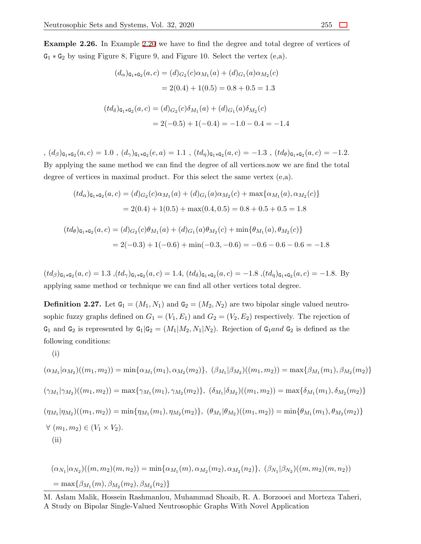**Example 2.26.** In Example [2.20](#page-26-0) we have to find the degree and total degree of vertices of G<sup>1</sup> *∗* G<sup>2</sup> by using Figure 8, Figure 9, and Figure 10. Select the vertex (e,a).

$$
(d_{\alpha})_{\mathbf{G}_1 * \mathbf{G}_2}(a, c) = (d)_{G_2}(c)\alpha_{M_1}(a) + (d)_{G_1}(a)\alpha_{M_2}(c)
$$

$$
= 2(0.4) + 1(0.5) = 0.8 + 0.5 = 1.3
$$

$$
(td_{\delta})_{\mathbf{G}_1 * \mathbf{G}_2}(a, c) = (d)_{G_2}(c)\delta_{M_1}(a) + (d)_{G_1}(a)\delta_{M_2}(c)
$$

$$
= 2(-0.5) + 1(-0.4) = -1.0 - 0.4 = -1.4
$$

,  $(d_{\beta})_{\mathbf{G}_1 * \mathbf{G}_2}(a, c) = 1.0$ ,  $(d_{\gamma})_{\mathbf{G}_1 * \mathbf{G}_2}(e, a) = 1.1$ ,  $(td_{\eta})_{\mathbf{G}_1 * \mathbf{G}_2}(a, c) = -1.3$ ,  $(td_{\theta})_{\mathbf{G}_1 * \mathbf{G}_2}(a, c) = -1.2$ . By applying the same method we can find the degree of all vertices.now we are find the total degree of vertices in maximal product. For this select the same vertex (e,a).

$$
(td_{\alpha})_{\mathbf{G}_1 * \mathbf{G}_2}(a, c) = (d)_{G_2}(c)\alpha_{M_1}(a) + (d)_{G_1}(a)\alpha_{M_2}(c) + \max\{\alpha_{M_1}(a), \alpha_{M_2}(c)\}\
$$

$$
= 2(0.4) + 1(0.5) + \max(0.4, 0.5) = 0.8 + 0.5 + 0.5 = 1.8
$$

$$
(td_{\theta})_{\mathbf{G}_1 * \mathbf{G}_2}(a, c) = (d)_{G_2}(c)\theta_{M_1}(a) + (d)_{G_1}(a)\theta_{M_2}(c) + \min\{\theta_{M_1}(a), \theta_{M_2}(c)\}\
$$

$$
= 2(-0.3) + 1(-0.6) + \min(-0.3, -0.6) = -0.6 - 0.6 - 0.6 = -1.8
$$

 $(t d_{\beta})_{\mathbf{G}_1 * \mathbf{G}_2}(a, c) = 1.3$ ,  $(t d_{\gamma})_{\mathbf{G}_1 * \mathbf{G}_2}(a, c) = 1.4$ ,  $(t d_{\delta})_{\mathbf{G}_1 * \mathbf{G}_2}(a, c) = -1.8$ ,  $(t d_{\eta})_{\mathbf{G}_1 * \mathbf{G}_2}(a, c) = -1.8$ . By applying same method or technique we can find all other vertices total degree.

**Definition 2.27.** Let  $G_1 = (M_1, N_1)$  and  $G_2 = (M_2, N_2)$  are two bipolar single valued neutrosophic fuzzy graphs defined on  $G_1 = (V_1, E_1)$  and  $G_2 = (V_2, E_2)$  respectively. The rejection of  $G_1$  and  $G_2$  is represented by  $G_1|G_2 = (M_1|M_2, N_1|N_2)$ . Rejection of  $G_1$ *and*  $G_2$  is defined as the following conditions:

$$
\left( i\right)
$$

$$
(\alpha_{M_1}|\alpha_{M_2})((m_1, m_2)) = \min{\{\alpha_{M_1}(m_1), \alpha_{M_2}(m_2)\}}, (\beta_{M_1}|\beta_{M_2})((m_1, m_2)) = \max{\{\beta_{M_1}(m_1), \beta_{M_2}(m_2)\}}
$$
  

$$
(\gamma_{M_1}|\gamma_{M_2})((m_1, m_2)) = \max{\{\gamma_{M_1}(m_1), \gamma_{M_2}(m_2)\}}, (\delta_{M_1}|\delta_{M_2})((m_1, m_2)) = \max{\{\delta_{M_1}(m_1), \delta_{M_2}(m_2)\}}
$$
  

$$
(\eta_{M_1}|\eta_{M_2})((m_1, m_2)) = \min{\{\eta_{M_1}(m_1), \eta_{M_2}(m_2)\}}, (\theta_{M_1}|\theta_{M_2})((m_1, m_2)) = \min{\{\theta_{M_1}(m_1), \theta_{M_2}(m_2)\}}
$$
  

$$
\forall (m_1, m_2) \in (V_1 \times V_2).
$$
  
(ii)

$$
(\alpha_{N_1}|\alpha_{N_2})((m, m_2)(m, n_2)) = \min{\{\alpha_{M_1}(m), \alpha_{M_2}(m_2), \alpha_{M_2}(n_2)\}}, (\beta_{N_1}|\beta_{N_2})((m, m_2)(m, n_2))
$$
  
= max{ $\beta_{M_1}(m), \beta_{M_2}(m_2), \beta_{M_2}(n_2)\}$ 

M. Aslam Malik, Hossein Rashmanlou, Muhammad Shoaib, R. A. Borzooei and Morteza Taheri, A Study on Bipolar Single-Valued Neutrosophic Graphs With Novel Application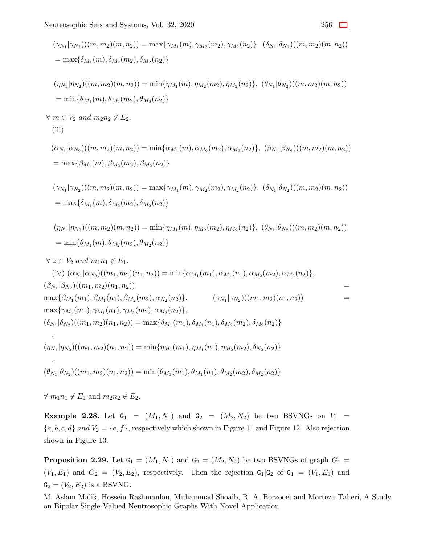$$
(\gamma_{N_1}|\gamma_{N_2})((m, m_2)(m, n_2)) = \max{\gamma_{M_1}(m), \gamma_{M_2}(m_2), \gamma_{M_2}(n_2)}, \delta_{N_1}|\delta_{N_2})((m, m_2)(m, n_2))
$$
  
\n
$$
= \max{\delta_{M_1}(m), \delta_{M_2}(m_2), \delta_{M_2}(n_2)}
$$
  
\n
$$
(\eta_{N_1}|\eta_{N_2})((m, m_2)(m, n_2)) = \min{\eta_{M_1}(m), \eta_{M_2}(m_2), \eta_{M_2}(n_2)}, \delta_{N_2}(\eta_{N_2})((m, m_2)(m, n_2))
$$
  
\n
$$
= \min{\theta_{M_1}(m), \theta_{M_2}(m_2), \theta_{M_2}(n_2)}
$$
  
\n
$$
\forall m \in V_2 \text{ and } m_2n_2 \notin E_2.
$$
  
\n(iii)  
\n
$$
(\alpha_{N_1}|\alpha_{N_2})((m, m_2)(m, n_2)) = \min{\alpha_{M_1}(m), \alpha_{M_2}(m_2), \alpha_{M_2}(n_2)}, \delta_{N_1}|\beta_{N_2})((m, m_2)(m, n_2))
$$
  
\n
$$
= \max{\beta_{M_1}(m), \beta_{M_2}(m_2), \beta_{M_2}(n_2)}
$$
  
\n
$$
(\gamma_{N_1}|\gamma_{N_2})((m, m_2)(m, n_2)) = \max{\gamma_{M_1}(m), \gamma_{M_2}(m_2), \gamma_{M_2}(n_2)}, \delta_{N_1}|\delta_{N_2})((m, m_2)(m, n_2))
$$
  
\n
$$
= \max{\delta_{M_1}(m), \delta_{M_2}(m_2), \delta_{M_2}(n_2)}
$$
  
\n
$$
(\eta_{N_1}|\eta_{N_2})((m, m_2)(m, n_2)) = \min{\eta_{M_1}(m), \eta_{M_2}(m_2), \eta_{M_2}(n_2)}, \delta_{N_1}|\delta_{N_2})((m, m_2)(m, n_2))
$$
  
\n
$$
= \min{\theta_{M_1}(m), \theta_{M_2}(m_2), \theta_{M_2}(n_2)}
$$
  
\

*∀*  $m_1 n_1 \notin E_1$  and  $m_2 n_2 \notin E_2$ .

<span id="page-35-0"></span>**Example 2.28.** Let  $G_1 = (M_1, N_1)$  and  $G_2 = (M_2, N_2)$  be two BSVNGs on  $V_1$  =  ${a, b, c, d}$  *and*  $V_2 = {e, f}$ , respectively which shown in Figure 11 and Figure 12. Also rejection shown in Figure 13.

**Proposition 2.29.** Let  $G_1 = (M_1, N_1)$  and  $G_2 = (M_2, N_2)$  be two BSVNGs of graph  $G_1$  $(V_1, E_1)$  and  $G_2 = (V_2, E_2)$ , respectively. Then the rejection  $G_1 | G_2$  of  $G_1 = (V_1, E_1)$  and  $G_2 = (V_2, E_2)$  is a BSVNG.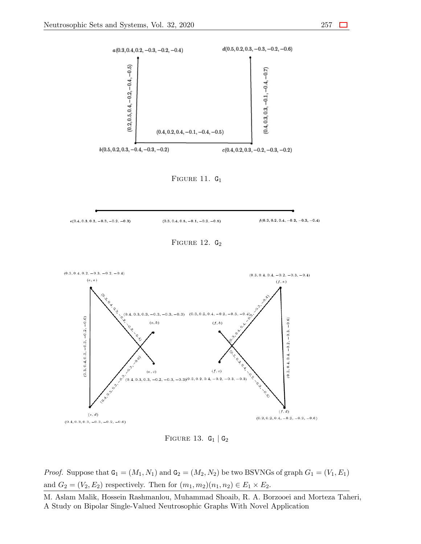$e(0.4, 0.3, 0.2, -0.3, -0.2, -0.3)$ 



FIGURE 11.  $G_1$ 

 $(0.3, 0.4, 0.5, -0.1, -0.2, -0.5)$ 



Figure 13. G<sup>1</sup> *|* G<sup>2</sup>

*Proof.* Suppose that  $G_1 = (M_1, N_1)$  and  $G_2 = (M_2, N_2)$  be two BSVNGs of graph  $G_1 = (V_1, E_1)$ and  $G_2 = (V_2, E_2)$  respectively. Then for  $(m_1, m_2)(n_1, n_2) \in E_1 \times E_2$ .

 $f(0.3, 0.2, 0.4, -0.2, -0.3, -0.4)$ 

M. Aslam Malik, Hossein Rashmanlou, Muhammad Shoaib, R. A. Borzooei and Morteza Taheri, A Study on Bipolar Single-Valued Neutrosophic Graphs With Novel Application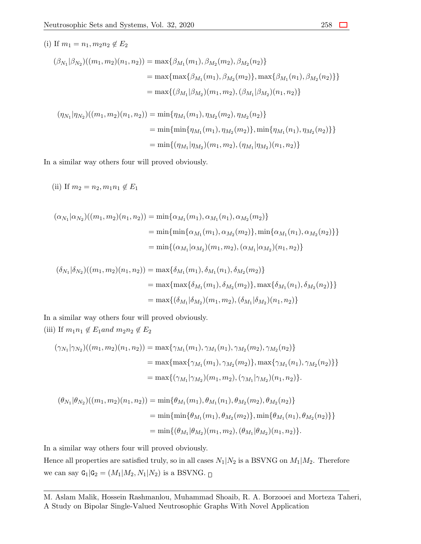(i) If 
$$
m_1 = n_1, m_2n_2 \notin E_2
$$
  
\n
$$
(\beta_{N_1}|\beta_{N_2})((m_1, m_2)(n_1, n_2)) = \max{\beta_{M_1}(m_1), \beta_{M_2}(m_2), \beta_{M_2}(n_2)}
$$
\n
$$
= \max{\{\max{\beta_{M_1}(m_1), \beta_{M_2}(m_2)\}}, \max{\beta_{M_1}(n_1), \beta_{M_2}(n_2)\}}
$$
\n
$$
= \max{\{(\beta_{M_1}|\beta_{M_2})(m_1, m_2), (\beta_{M_1}|\beta_{M_2})(n_1, n_2)\}
$$
\n
$$
(\eta_{N_1}|\eta_{N_2})((m_1, m_2)(n_1, n_2)) = \min{\{\eta_{M_1}(m_1), \eta_{M_2}(m_2), \eta_{M_2}(n_2)\}}
$$
\n
$$
= \min{\{\min{\{\eta_{M_1}(m_1), \eta_{M_2}(m_2)\}}, \min{\{\eta_{M_1}(n_1), \eta_{M_2}(n_2)\}}\}}
$$
\n
$$
= \min{\{(\eta_{M_1}|\eta_{M_2})(m_1, m_2), (\eta_{M_1}|\eta_{M_2})(n_1, n_2)\}}
$$

In a similar way others four will proved obviously.

(ii) If  $m_2 = n_2, m_1 n_1 \notin E_1$ 

$$
(\alpha_{N_1}|\alpha_{N_2})((m_1, m_2)(n_1, n_2)) = \min{\{\alpha_{M_1}(m_1), \alpha_{M_1}(n_1), \alpha_{M_2}(m_2)\}}
$$
  
=  $\min{\{\min{\{\alpha_{M_1}(m_1), \alpha_{M_2}(m_2)\}}, \min{\{\alpha_{M_1}(n_1), \alpha_{M_2}(n_2)\}}\}}$   
=  $\min{\{\alpha_{M_1}|\alpha_{M_2})(m_1, m_2), (\alpha_{M_1}|\alpha_{M_2})(n_1, n_2)\}}$ 

$$
(\delta_{N_1}|\delta_{N_2})((m_1, m_2)(n_1, n_2)) = \max{\{\delta_{M_1}(m_1), \delta_{M_1}(n_1), \delta_{M_2}(m_2)\}}
$$
  
=  $\max{\{\max{\{\delta_{M_1}(m_1), \delta_{M_2}(m_2)\}}, \max{\{\delta_{M_1}(n_1), \delta_{M_2}(n_2)\}}\}}$   
=  $\max{\{\delta_{M_1}|\delta_{M_2})(m_1, m_2), (\delta_{M_1}|\delta_{M_2})(n_1, n_2)\}}$ 

In a similar way others four will proved obviously.  $(iii)$  If  $m_1n_1 \notin E_1$  *and*  $m_2n_2 \notin E_2$ 

$$
(\gamma_{N_1}|\gamma_{N_2})((m_1, m_2)(n_1, n_2)) = \max{\gamma_{M_1}(m_1), \gamma_{M_1}(n_1), \gamma_{M_2}(m_2), \gamma_{M_2}(n_2)}
$$
  

$$
= \max{\{\max{\gamma_{M_1}(m_1), \gamma_{M_2}(m_2)\}}, \max{\gamma_{M_1}(n_1), \gamma_{M_2}(n_2)\}}
$$
  

$$
= \max{\{(\gamma_{M_1}|\gamma_{M_2})(m_1, m_2), (\gamma_{M_1}|\gamma_{M_2})(n_1, n_2)\}}.
$$

$$
\begin{aligned} (\theta_{N_1}|\theta_{N_2})((m_1,m_2)(n_1,n_2)) &= \min\{\theta_{M_1}(m_1),\theta_{M_1}(n_1),\theta_{M_2}(m_2),\theta_{M_2}(n_2)\} \\ &= \min\{\min\{\theta_{M_1}(m_1),\theta_{M_2}(m_2)\},\min\{\theta_{M_1}(n_1),\theta_{M_2}(n_2)\}\} \\ &= \min\{(\theta_{M_1}|\theta_{M_2})(m_1,m_2),(\theta_{M_1}|\theta_{M_2})(n_1,n_2)\}. \end{aligned}
$$

In a similar way others four will proved obviously.

Hence all properties are satisfied truly, so in all cases  $N_1|N_2$  is a BSVNG on  $M_1|M_2$ . Therefore we can say  $G_1|G_2 = (M_1|M_2, N_1|N_2)$  is a BSVNG.  $\Box$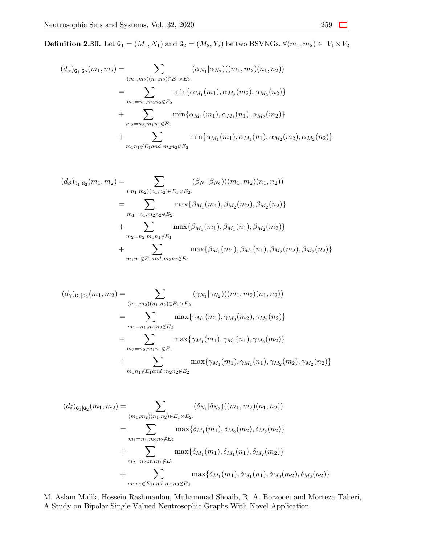**Definition 2.30.** Let  $G_1 = (M_1, N_1)$  and  $G_2 = (M_2, Y_2)$  be two BSVNGs.  $∀(m_1, m_2) ∈ V_1 × V_2$ 

$$
(d_{\alpha})_{\mathbf{G}_{1}|\mathbf{G}_{2}}(m_{1}, m_{2}) = \sum_{(m_{1}, m_{2})(n_{1}, n_{2}) \in E_{1} \times E_{2}.} (\alpha_{N_{1}}|\alpha_{N_{2}})(m_{1}, m_{2})(n_{1}, n_{2}))
$$
  
\n
$$
= \sum_{m_{1}=n_{1}, m_{2}n_{2} \notin E_{2}} \min\{\alpha_{M_{1}}(m_{1}), \alpha_{M_{2}}(m_{2}), \alpha_{M_{2}}(n_{2})\}
$$
  
\n
$$
+ \sum_{m_{2}=n_{2}, m_{1}n_{1} \notin E_{1}} \min\{\alpha_{M_{1}}(m_{1}), \alpha_{M_{1}}(n_{1}), \alpha_{M_{2}}(m_{2})\}
$$
  
\n
$$
+ \sum_{m_{1}n_{1} \notin E_{1} \text{ and } m_{2}n_{2} \notin E_{2}} \min\{\alpha_{M_{1}}(m_{1}), \alpha_{M_{1}}(n_{1}), \alpha_{M_{2}}(m_{2}), \alpha_{M_{2}}(n_{2})\}
$$

$$
(d_{\beta})_{\mathbf{G}_{1}|\mathbf{G}_{2}}(m_{1},m_{2}) = \sum_{(m_{1},m_{2})(n_{1},n_{2}) \in E_{1} \times E_{2}.} (\beta_{N_{1}}|\beta_{N_{2}})((m_{1},m_{2})(n_{1},n_{2}))
$$
  
\n
$$
= \sum_{m_{1}=n_{1},m_{2}n_{2} \notin E_{2}} \max\{\beta_{M_{1}}(m_{1}),\beta_{M_{2}}(m_{2}),\beta_{M_{2}}(n_{2})\}
$$
  
\n
$$
+ \sum_{m_{2}=n_{2},m_{1}n_{1} \notin E_{1}} \max\{\beta_{M_{1}}(m_{1}),\beta_{M_{1}}(n_{1}),\beta_{M_{2}}(m_{2})\}
$$
  
\n
$$
+ \sum_{m_{1}n_{1} \notin E_{1} \text{and } m_{2}n_{2} \notin E_{2}} \max\{\beta_{M_{1}}(m_{1}),\beta_{M_{1}}(n_{1}),\beta_{M_{2}}(m_{2}),\beta_{M_{2}}(n_{2})\}
$$

$$
(d_{\gamma})_{\mathsf{G}_{1}|\mathsf{G}_{2}}(m_{1},m_{2}) = \sum_{(m_{1},m_{2})(n_{1},n_{2}) \in E_{1} \times E_{2}.} (\gamma_{N_{1}}|\gamma_{N_{2}})((m_{1},m_{2})(n_{1},n_{2}))
$$
  

$$
= \sum_{m_{1}=n_{1},m_{2}n_{2} \notin E_{2}} \max{\gamma_{M_{1}}(m_{1}),\gamma_{M_{2}}(m_{2}),\gamma_{M_{2}}(n_{2})}
$$
  

$$
+ \sum_{m_{2}=n_{2},m_{1}n_{1} \notin E_{1}} \max{\gamma_{M_{1}}(m_{1}),\gamma_{M_{1}}(n_{1}),\gamma_{M_{2}}(m_{2})}
$$
  

$$
+ \sum_{m_{1}n_{1} \notin E_{1} \text{ and } m_{2}n_{2} \notin E_{2}} \max{\gamma_{M_{1}}(m_{1}),\gamma_{M_{1}}(n_{1}),\gamma_{M_{2}}(m_{2}),\gamma_{M_{2}}(n_{2})}
$$

$$
(d_{\delta})_{\mathsf{G}_{1}|\mathsf{G}_{2}}(m_{1}, m_{2}) = \sum_{(m_{1}, m_{2})(n_{1}, n_{2}) \in E_{1} \times E_{2}.} (\delta_{N_{1}}|\delta_{N_{2}})((m_{1}, m_{2})(n_{1}, n_{2}))
$$
  
\n
$$
= \sum_{m_{1}=n_{1}, m_{2}n_{2} \notin E_{2}} \max\{\delta_{M_{1}}(m_{1}), \delta_{M_{2}}(m_{2}), \delta_{M_{2}}(n_{2})\}
$$
  
\n
$$
+ \sum_{m_{2}=n_{2}, m_{1}n_{1} \notin E_{1}} \max\{\delta_{M_{1}}(m_{1}), \delta_{M_{1}}(n_{1}), \delta_{M_{2}}(m_{2})\}
$$
  
\n
$$
+ \sum_{m_{1}n_{1} \notin E_{1} \text{ and } m_{2}n_{2} \notin E_{2}} \max\{\delta_{M_{1}}(m_{1}), \delta_{M_{1}}(n_{1}), \delta_{M_{2}}(m_{2}), \delta_{M_{2}}(n_{2})\}
$$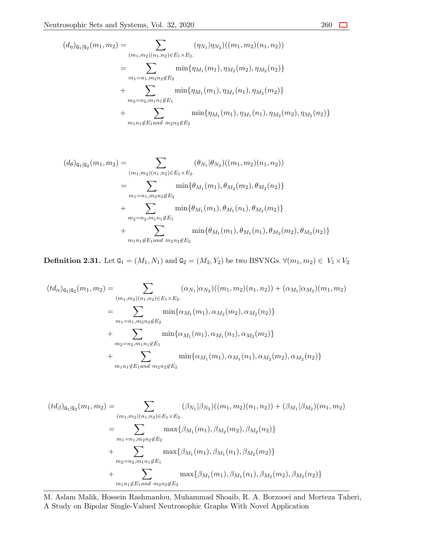$$
(d_{\eta})_{\mathbf{G}_{1}|\mathbf{G}_{2}}(m_{1},m_{2}) = \sum_{(m_{1},m_{2})(n_{1},n_{2}) \in E_{1} \times E_{2}.} (\eta_{N_{1}}|\eta_{N_{2}})((m_{1},m_{2})(n_{1},n_{2}))
$$
  

$$
= \sum_{m_{1}=n_{1},m_{2}n_{2} \notin E_{2}} \min\{\eta_{M_{1}}(m_{1}),\eta_{M_{2}}(m_{2}),\eta_{M_{2}}(n_{2})\}
$$
  

$$
+ \sum_{m_{2}=n_{2},m_{1}n_{1} \notin E_{1}} \min\{\eta_{M_{1}}(m_{1}),\eta_{M_{1}}(n_{1}),\eta_{M_{2}}(m_{2})\}
$$
  

$$
+ \sum_{m_{1}n_{1} \notin E_{1} \text{ and } m_{2}n_{2} \notin E_{2}} \min\{\eta_{M_{1}}(m_{1}),\eta_{M_{1}}(n_{1}),\eta_{M_{2}}(m_{2}),\eta_{M_{2}}(n_{2})\}
$$

$$
(d_{\theta})_{\mathbf{G}_{1}|\mathbf{G}_{2}}(m_{1}, m_{2}) = \sum_{(m_{1}, m_{2})(n_{1}, n_{2}) \in E_{1} \times E_{2}.} (\theta_{N_{1}}|\theta_{N_{2}})((m_{1}, m_{2})(n_{1}, n_{2}))
$$
  
\n
$$
= \sum_{m_{1}=n_{1}, m_{2}n_{2} \notin E_{2}} \min{\{\theta_{M_{1}}(m_{1}), \theta_{M_{2}}(m_{2}), \theta_{M_{2}}(n_{2})\}}
$$
  
\n
$$
+ \sum_{m_{2}=n_{2}, m_{1}n_{1} \notin E_{1}} \min{\{\theta_{M_{1}}(m_{1}), \theta_{M_{1}}(n_{1}), \theta_{M_{2}}(m_{2})\}}
$$
  
\n
$$
+ \sum_{m_{1}n_{1} \notin E_{1} \text{and } m_{2}n_{2} \notin E_{2}} \min{\{\theta_{M_{1}}(m_{1}), \theta_{M_{1}}(n_{1}), \theta_{M_{2}}(m_{2}), \theta_{M_{2}}(n_{2})\}}
$$

**Definition 2.31.** Let  $G_1 = (M_1, N_1)$  and  $G_2 = (M_2, Y_2)$  be two BSVNGs.  $\forall (m_1, m_2) \in V_1 \times V_2$ 

$$
(td_{\alpha})_{\mathsf{G}_1|\mathsf{G}_2}(m_1, m_2) = \sum_{(m_1, m_2)(n_1, n_2) \in E_1 \times E_2.} (\alpha_{N_1}|\alpha_{N_2})((m_1, m_2)(n_1, n_2)) + (\alpha_{M_1}|\alpha_{M_2})(m_1, m_2)
$$
  

$$
= \sum_{m_1 = n_1, m_2n_2 \notin E_2} \min{\{\alpha_{M_1}(m_1), \alpha_{M_2}(m_2), \alpha_{M_2}(n_2)\}}
$$
  

$$
+ \sum_{m_2 = n_2, m_1n_1 \notin E_1} \min{\{\alpha_{M_1}(m_1), \alpha_{M_1}(n_1), \alpha_{M_2}(m_2)\}}
$$
  

$$
+ \sum_{m_1n_1 \notin E_1 \text{ and } m_2n_2 \notin E_2} \min{\{\alpha_{M_1}(m_1), \alpha_{M_1}(n_1), \alpha_{M_2}(m_2), \alpha_{M_2}(n_2)\}}
$$

$$
(td_{\beta})_{\mathbf{G}_{1}|\mathbf{G}_{2}}(m_{1},m_{2}) = \sum_{(m_{1},m_{2})(n_{1},n_{2}) \in E_{1} \times E_{2}.} (\beta_{N_{1}}|\beta_{N_{2}})((m_{1},m_{2})(n_{1},n_{2})) + (\beta_{M_{1}}|\beta_{M_{2}})(m_{1},m_{2})
$$
  
\n
$$
= \sum_{m_{1}=n_{1},m_{2}n_{2} \notin E_{2}} \max\{\beta_{M_{1}}(m_{1}),\beta_{M_{2}}(m_{2}),\beta_{M_{2}}(n_{2})\}
$$
  
\n
$$
+ \sum_{m_{2}=n_{2},m_{1}n_{1} \notin E_{1}} \max\{\beta_{M_{1}}(m_{1}),\beta_{M_{1}}(n_{1}),\beta_{M_{2}}(m_{2})\}
$$
  
\n
$$
+ \sum_{m_{1}n_{1} \notin E_{1} \text{ and } m_{2}n_{2} \notin E_{2}} \max\{\beta_{M_{1}}(m_{1}),\beta_{M_{1}}(n_{1}),\beta_{M_{2}}(m_{2}),\beta_{M_{2}}(n_{2})\}
$$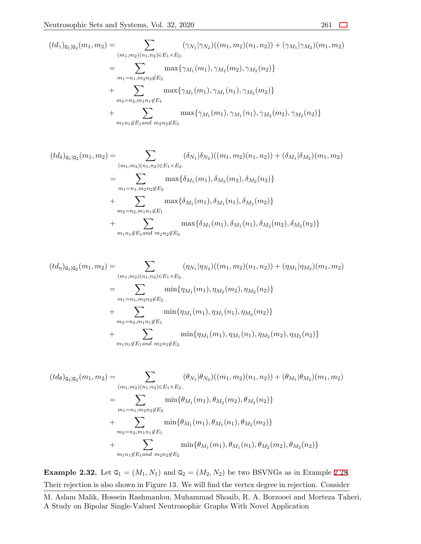$$
(td_{\gamma})_{\mathsf{G}_1|\mathsf{G}_2}(m_1, m_2) = \sum_{(m_1, m_2)(n_1, n_2) \in E_1 \times E_2.} (\gamma_{N_1}|\gamma_{N_2})((m_1, m_2)(n_1, n_2)) + (\gamma_{M_1}|\gamma_{M_2})(m_1, m_2)
$$
  

$$
= \sum_{m_1 = n_1, m_2 n_2 \notin E_2} \max{\gamma_{M_1}(m_1), \gamma_{M_2}(m_2), \gamma_{M_2}(n_2)}
$$
  

$$
+ \sum_{m_2 = n_2, m_1 n_1 \notin E_1} \max{\gamma_{M_1}(m_1), \gamma_{M_1}(n_1), \gamma_{M_2}(m_2)}
$$
  

$$
+ \sum_{m_1 n_1 \notin E_1 \text{ and } m_2 n_2 \notin E_2} \max{\gamma_{M_1}(m_1), \gamma_{M_1}(n_1), \gamma_{M_2}(m_2), \gamma_{M_2}(n_2)}
$$

$$
(td_{\delta})_{\mathbf{G}_{1}|\mathbf{G}_{2}}(m_{1},m_{2}) = \sum_{(m_{1},m_{2})(n_{1},n_{2}) \in E_{1} \times E_{2}.} (\delta_{N_{1}}|\delta_{N_{2}})((m_{1},m_{2})(n_{1},n_{2})) + (\delta_{M_{1}}|\delta_{M_{2}})(m_{1},m_{2})
$$
  
\n
$$
= \sum_{m_{1}=n_{1},m_{2}n_{2} \notin E_{2}} \max\{\delta_{M_{1}}(m_{1}),\delta_{M_{2}}(m_{2}),\delta_{M_{2}}(n_{2})\}
$$
  
\n
$$
+ \sum_{m_{2}=n_{2},m_{1}n_{1} \notin E_{1}} \max\{\delta_{M_{1}}(m_{1}),\delta_{M_{1}}(n_{1}),\delta_{M_{2}}(m_{2})\}
$$
  
\n
$$
+ \sum_{m_{1}n_{1} \notin E_{1} \text{ and } m_{2}n_{2} \notin E_{2}} \max\{\delta_{M_{1}}(m_{1}),\delta_{M_{1}}(n_{1}),\delta_{M_{2}}(m_{2}),\delta_{M_{2}}(n_{2})\}
$$

$$
(td_{\eta})_{\mathbf{G}_{1}|\mathbf{G}_{2}}(m_{1},m_{2}) = \sum_{(m_{1},m_{2})(n_{1},n_{2}) \in E_{1} \times E_{2}.} (\eta_{N_{1}}|\eta_{N_{2}})((m_{1},m_{2})(n_{1},n_{2})) + (\eta_{M_{1}}|\eta_{M_{2}})(m_{1},m_{2})
$$
  
\n
$$
= \sum_{m_{1}=n_{1},m_{2}n_{2} \notin E_{2}} \min{\{\eta_{M_{1}}(m_{1}),\eta_{M_{2}}(m_{2}),\eta_{M_{2}}(n_{2})\}}
$$
  
\n
$$
+ \sum_{m_{2}=n_{2},m_{1}n_{1} \notin E_{1}} \min{\{\eta_{M_{1}}(m_{1}),\eta_{M_{1}}(n_{1}),\eta_{M_{2}}(m_{2})\}}
$$
  
\n
$$
+ \sum_{m_{1}n_{1} \notin E_{1} \text{ and } m_{2}n_{2} \notin E_{2}} \min{\{\eta_{M_{1}}(m_{1}),\eta_{M_{1}}(n_{1}),\eta_{M_{2}}(m_{2}),\eta_{M_{2}}(n_{2})\}}
$$

$$
(td_{\theta})_{\mathbf{G}_{1}|\mathbf{G}_{2}}(m_{1},m_{2}) = \sum_{(m_{1},m_{2})(n_{1},n_{2}) \in E_{1} \times E_{2}.} (\theta_{N_{1}}|\theta_{N_{2}})((m_{1},m_{2})(n_{1},n_{2})) + (\theta_{M_{1}}|\theta_{M_{2}})(m_{1},m_{2})
$$

$$
= \sum_{m_{1}=n_{1},m_{2}n_{2} \notin E_{2}} \min{\{\theta_{M_{1}}(m_{1}), \theta_{M_{2}}(m_{2}), \theta_{M_{2}}(n_{2})\}}
$$

$$
+ \sum_{m_{2}=n_{2},m_{1}n_{1} \notin E_{1}} \min{\{\theta_{M_{1}}(m_{1}), \theta_{M_{1}}(n_{1}), \theta_{M_{2}}(m_{2})\}}
$$

$$
+ \sum_{m_{1}n_{1} \notin E_{1} \text{and } m_{2}n_{2} \notin E_{2}} \min{\{\theta_{M_{1}}(m_{1}), \theta_{M_{1}}(n_{1}), \theta_{M_{2}}(m_{2}), \theta_{M_{2}}(n_{2})\}}
$$

**Example 2.32.** Let  $G_1 = (M_1, N_1)$  and  $G_2 = (M_2, N_2)$  be two BSVNGs as in Example [2.28.](#page-35-0) Their rejection is also shown in Figure 13. We will find the vertex degree in rejection. Consider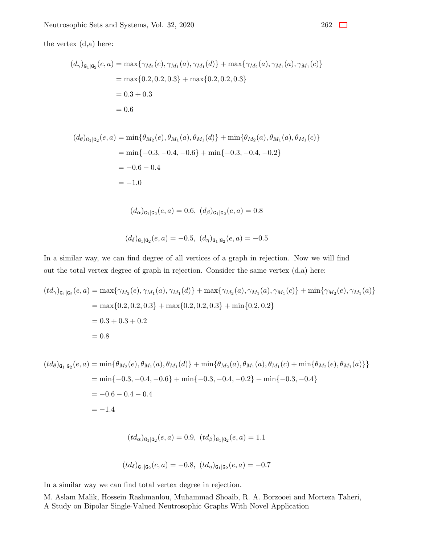the vertex (d,a) here:

$$
(d_{\gamma})_{\mathbf{G}_{1}|\mathbf{G}_{2}}(e, a) = \max\{\gamma_{M_{2}}(e), \gamma_{M_{1}}(a), \gamma_{M_{1}}(d)\} + \max\{\gamma_{M_{2}}(a), \gamma_{M_{1}}(a), \gamma_{M_{1}}(c)\}\
$$

$$
= \max\{0.2, 0.2, 0.3\} + \max\{0.2, 0.2, 0.3\}
$$

$$
= 0.3 + 0.3
$$

$$
= 0.6
$$

$$
(d_{\theta})_{\mathsf{G}_{1}|\mathsf{G}_{2}}(e, a) = \min\{\theta_{M_{2}}(e), \theta_{M_{1}}(a), \theta_{M_{1}}(d)\} + \min\{\theta_{M_{2}}(a), \theta_{M_{1}}(a), \theta_{M_{1}}(c)\}\
$$

$$
= \min\{-0.3, -0.4, -0.6\} + \min\{-0.3, -0.4, -0.2\}
$$

$$
= -0.6 - 0.4
$$

$$
= -1.0
$$

$$
(d_{\alpha})_{\mathbf{G}_1|\mathbf{G}_2}(e, a) = 0.6, (d_{\beta})_{\mathbf{G}_1|\mathbf{G}_2}(e, a) = 0.8
$$

$$
(d_{\delta})_{\mathbf{G}_1|\mathbf{G}_2}(e, a) = -0.5, (d_{\eta})_{\mathbf{G}_1|\mathbf{G}_2}(e, a) = -0.5
$$

In a similar way, we can find degree of all vertices of a graph in rejection. Now we will find out the total vertex degree of graph in rejection. Consider the same vertex (d,a) here:

$$
(td_{\gamma})_{\mathbf{G}_{1}|\mathbf{G}_{2}}(e,a) = \max\{\gamma_{M_{2}}(e),\gamma_{M_{1}}(a),\gamma_{M_{1}}(d)\} + \max\{\gamma_{M_{2}}(a),\gamma_{M_{1}}(a),\gamma_{M_{1}}(c)\} + \min\{\gamma_{M_{2}}(e),\gamma_{M_{1}}(a)\}
$$
  
= max{0.2, 0.2, 0.3} + max{0.2, 0.2, 0.3} + min{0.2, 0.2}  
= 0.3 + 0.3 + 0.2  
= 0.8

$$
(td_{\theta})_{\mathsf{G}_{1}|\mathsf{G}_{2}}(e, a) = \min\{\theta_{M_{2}}(e), \theta_{M_{1}}(a), \theta_{M_{1}}(d)\} + \min\{\theta_{M_{2}}(a), \theta_{M_{1}}(a), \theta_{M_{1}}(c) + \min\{\theta_{M_{2}}(e), \theta_{M_{1}}(a)\}\}\
$$
  
= min{-0.3, -0.4, -0.6} + min{-0.3, -0.4, -0.2} + min{-0.3, -0.4}  
= -0.6 - 0.4 - 0.4  
= -1.4

$$
(td_{\alpha})_{\mathbf{G}_1|\mathbf{G}_2}(e, a) = 0.9
$$
,  $(td_{\beta})_{\mathbf{G}_1|\mathbf{G}_2}(e, a) = 1.1$ 

$$
(td_{\delta})_{\mathbf{G}_1|\mathbf{G}_2}(e,a) = -0.8, (td_{\eta})_{\mathbf{G}_1|\mathbf{G}_2}(e,a) = -0.7
$$

In a similar way we can find total vertex degree in rejection.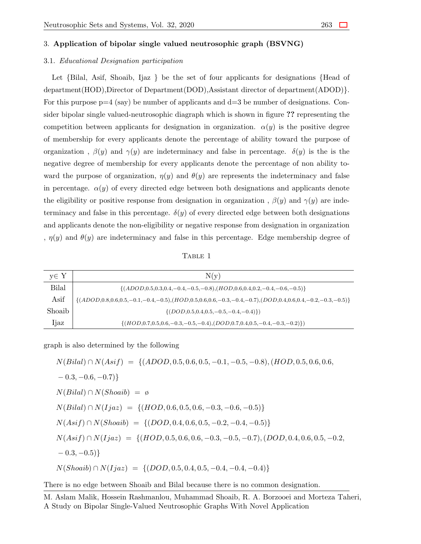### 3. **Application of bipolar single valued neutrosophic graph (BSVNG)**

#### 3.1. *Educational Designation participation*

Let *{*Bilal, Asif, Shoaib, Ijaz *}* be the set of four applicants for designations *{*Head of department(HOD),Director of Department(DOD),Assistant director of department(ADOD)*}*. For this purpose  $p=4$  (say) be number of applicants and  $d=3$  be number of designations. Consider bipolar single valued-neutrosophic diagraph which is shown in figure **??** representing the competition between applicants for designation in organization.  $\alpha(y)$  is the positive degree of membership for every applicants denote the percentage of ability toward the purpose of organization,  $\beta(y)$  and  $\gamma(y)$  are indeterminacy and false in percentage.  $\delta(y)$  is the is the negative degree of membership for every applicants denote the percentage of non ability toward the purpose of organization,  $\eta(y)$  and  $\theta(y)$  are represents the indeterminacy and false in percentage.  $\alpha(y)$  of every directed edge between both designations and applicants denote the eligibility or positive response from designation in organization ,  $\beta(y)$  and  $\gamma(y)$  are indeterminacy and false in this percentage.  $\delta(y)$  of every directed edge between both designations and applicants denote the non-eligibility or negative response from designation in organization ,  $\eta(y)$  and  $\theta(y)$  are indeterminacy and false in this percentage. Edge membership degree of

TABLE 1

| y∈ Y   | N(y)                                                                                                                          |
|--------|-------------------------------------------------------------------------------------------------------------------------------|
| Bilal  | $\{(ADOD, 0.5, 0.3, 0.4, -0.4, -0.5, -0.8), (HOD, 0.6, 0.4, 0.2, -0.4, -0.6, -0.5)\}$                                         |
| Asif   | $\{(ADOD, 0.8, 0.6, 0.5, -0.1, -0.4, -0.5), (HOD, 0.5, 0.6, 0.6, -0.3, -0.4, -0.7), (DOD, 0.4, 0.6, 0.4, -0.2, -0.3, -0.5)\}$ |
| Shoaib | $\{(DOD, 0.5, 0.4, 0.5, -0.5, -0.4, -0.4)\}\)$                                                                                |
| ljaz   | $\{(HOD, 0.7, 0.5, 0.6, -0.3, -0.5, -0.4), (DOD, 0.7, 0.4, 0.5, -0.4, -0.3, -0.2)\})$                                         |

graph is also determined by the following

$$
N(Bilal) \cap N(Asif) = \{(ADOD, 0.5, 0.6, 0.5, -0.1, -0.5, -0.8), (HOD, 0.5, 0.6, 0.6, -0.3, -0.6, -0.7)\}
$$
  
\n
$$
N(Bilal) \cap N(Shoaib) = \emptyset
$$
  
\n
$$
N(Bilal) \cap N(Ijaz) = \{(HOD, 0.6, 0.5, 0.6, -0.3, -0.6, -0.5)\}
$$
  
\n
$$
N(Asif) \cap N(Shoaib) = \{(DOD, 0.4, 0.6, 0.5, -0.2, -0.4, -0.5)\}
$$
  
\n
$$
N(Asif) \cap N(Ijaz) = \{(HOD, 0.5, 0.6, 0.6, -0.3, -0.5, -0.7), (DOD, 0.4, 0.6, 0.5, -0.2, -0.3, -0.5)\}
$$
  
\n
$$
N(Shoaib) \cap N(Ijaz) = \{(DOD, 0.5, 0.4, 0.5, -0.4, -0.4, -0.4)\}
$$

There is no edge between Shoaib and Bilal because there is no common designation.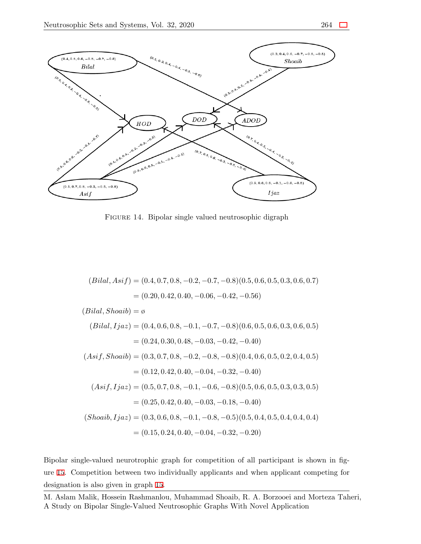

Figure 14. Bipolar single valued neutrosophic digraph

$$
(Bilal, Asif) = (0.4, 0.7, 0.8, -0.2, -0.7, -0.8)(0.5, 0.6, 0.5, 0.3, 0.6, 0.7)
$$
  
\n
$$
= (0.20, 0.42, 0.40, -0.06, -0.42, -0.56)
$$
  
\n
$$
(Bilal, Shoaib) = \emptyset
$$
  
\n
$$
(Bilal, Ijaz) = (0.4, 0.6, 0.8, -0.1, -0.7, -0.8)(0.6, 0.5, 0.6, 0.3, 0.6, 0.5)
$$
  
\n
$$
= (0.24, 0.30, 0.48, -0.03, -0.42, -0.40)
$$
  
\n
$$
(Asif, Shoaib) = (0.3, 0.7, 0.8, -0.2, -0.8, -0.8)(0.4, 0.6, 0.5, 0.2, 0.4, 0.5)
$$
  
\n
$$
= (0.12, 0.42, 0.40, -0.04, -0.32, -0.40)
$$
  
\n
$$
(Asif, Ijaz) = (0.5, 0.7, 0.8, -0.1, -0.6, -0.8)(0.5, 0.6, 0.5, 0.3, 0.3, 0.5)
$$
  
\n
$$
= (0.25, 0.42, 0.40, -0.03, -0.18, -0.40)
$$
  
\n
$$
(Shoaib, Ijaz) = (0.3, 0.6, 0.8, -0.1, -0.8, -0.5)(0.5, 0.4, 0.5, 0.4, 0.4, 0.4)
$$
  
\n
$$
= (0.15, 0.24, 0.40, -0.04, -0.32, -0.20)
$$

Bipolar single-valued neurotrophic graph for competition of all participant is shown in figure [15.](#page-44-0) Competition between two individually applicants and when applicant competing for designation is also given in graph [15](#page-44-0).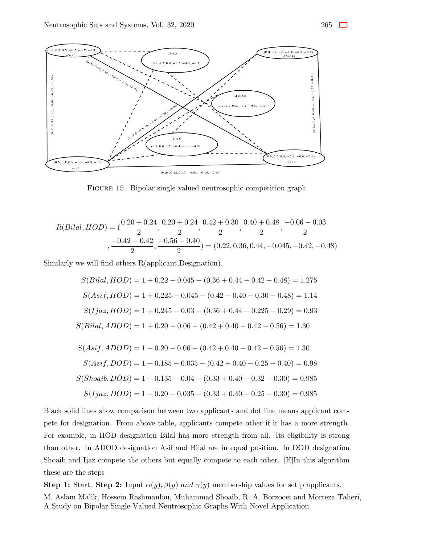<span id="page-44-0"></span>

FIGURE 15. Bipolar single valued neutrosophic competition graph

$$
R(Bilal, HOD) = \left(\frac{0.20 + 0.24}{2}, \frac{0.20 + 0.24}{2}, \frac{0.42 + 0.30}{2}, \frac{0.40 + 0.48}{2}, \frac{-0.06 - 0.03}{2}\right)
$$

$$
-\frac{-0.42 - 0.42}{2}, \frac{-0.56 - 0.40}{2} = (0.22, 0.36, 0.44, -0.045, -0.42, -0.48)
$$

Similarly we will find others R(applicant,Designation).

$$
S(Bilal, HOD) = 1 + 0.22 - 0.045 - (0.36 + 0.44 - 0.42 - 0.48) = 1.275
$$
  
\n
$$
S(Asif, HOD) = 1 + 0.225 - 0.045 - (0.42 + 0.40 - 0.30 - 0.48) = 1.14
$$
  
\n
$$
S(Ijaz, HOD) = 1 + 0.245 - 0.03 - (0.36 + 0.44 - 0.225 - 0.29) = 0.93
$$
  
\n
$$
S(Bilal, ADOD) = 1 + 0.20 - 0.06 - (0.42 + 0.40 - 0.42 - 0.56) = 1.30
$$
  
\n
$$
S(Asif, ADOD) = 1 + 0.20 - 0.06 - (0.42 + 0.40 - 0.42 - 0.56) = 1.30
$$
  
\n
$$
S(Asif, DOD) = 1 + 0.185 - 0.035 - (0.42 + 0.40 - 0.25 - 0.40) = 0.98
$$
  
\n
$$
S(Shoaib, DOD) = 1 + 0.135 - 0.04 - (0.33 + 0.40 - 0.32 - 0.30) = 0.985
$$
  
\n
$$
S(Ijaz, DOD) = 1 + 0.20 - 0.035 - (0.33 + 0.40 - 0.25 - 0.30) = 0.985
$$

Black solid lines show comparison between two applicants and dot line means applicant compete for designation. From above table, applicants compete other if it has a more strength. For example, in HOD designation Bilal has more strength from all. Its eligibility is strong than other. In ADOD designation Asif and Bilal are in equal position. In DOD designation Shoaib and Ijaz compete the others but equally compete to each other. [H]In this algorithm these are the steps

**Step 1:** Start. **Step 2:** Input  $\alpha(y)$ *,*  $\beta(y)$  *and*  $\gamma(y)$  membership values for set p applicants.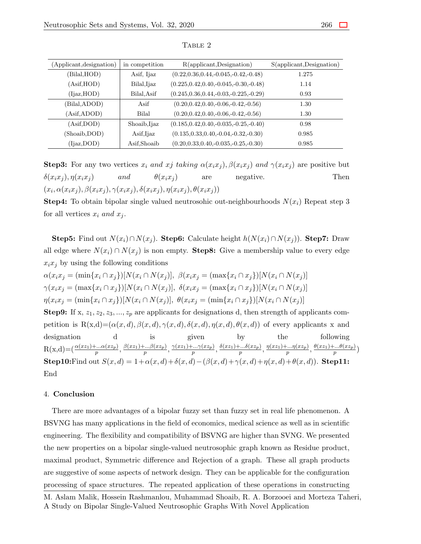| (Applicant, designation) | in competition | $R$ (applicant, Designation)                | S(applicant, Designation) |
|--------------------------|----------------|---------------------------------------------|---------------------------|
| (Bilal, HOD)             | Asif, Ijaz     | $(0.22, 0.36, 0.44, -0.045, -0.42, -0.48)$  | 1.275                     |
| (Asif, HOD)              | Bilal, Ijaz    | $(0.225, 0.42, 0.40, -0.045, -0.30, -0.48)$ | 1.14                      |
| (Ijaz, HOD)              | Bilal, Asif    | $(0.245, 0.36, 0.44, -0.03, -0.225, -0.29)$ | 0.93                      |
| (Bilal, ADOD)            | Asif           | $(0.20, 0.42, 0.40, -0.06, -0.42, -0.56)$   | 1.30                      |
| (Asif, ADOD)             | Bilal          | $(0.20, 0.42, 0.40, -0.06, -0.42, -0.56)$   | 1.30                      |
| (Asif, DOD)              | Shoaib, Ijaz   | $(0.185, 0.42, 0.40, -0.035, -0.25, -0.40)$ | 0.98                      |
| (Shoaib,DOD)             | Asif, Ijaz     | $(0.135, 0.33, 0.40, -0.04, -0.32, -0.30)$  | 0.985                     |
| (Ijaz,DOD)               | Asif,Shoaib    | $(0.20, 0.33, 0.40, -0.035, -0.25, -0.30)$  | 0.985                     |

TABLE 2

**Step3:** For any two vertices  $x_i$  and  $x_j$  taking  $\alpha(x_ix_j), \beta(x_ix_j)$  and  $\gamma(x_ix_j)$  are positive but  $\delta(x_ix_j)$ ,  $\eta(x_ix_j)$  and  $\theta(x_ix_j)$  are negative. Then  $(x_i, \alpha(x_ix_i), \beta(x_ix_i), \gamma(x_ix_i), \delta(x_ix_i), \eta(x_ix_i), \theta(x_ix_i))$ 

**Step4:** To obtain bipolar single valued neutrosohic out-neighbourhoods  $N(x_i)$  Repeat step 3 for all vertices  $x_i$  and  $x_j$ .

**Step5:** Find out  $N(x_i) \cap N(x_j)$ . **Step6:** Calculate height  $h(N(x_i) \cap N(x_j))$ . **Step7:** Draw all edge where  $N(x_i) \cap N(x_j)$  is non empty. **Step8:** Give a membership value to every edge  $x_i x_j$  by using the following conditions

 $\alpha(x_i x_j = (\min\{x_i \cap x_j\})[N(x_i \cap N(x_j)], \ \beta(x_i x_j = (\max\{x_i \cap x_j\})[N(x_i \cap N(x_j))]$  $\gamma(x_i x_j = (\max\{x_i \cap x_j\})[N(x_i \cap N(x_j)], \ \delta(x_i x_j = (\max\{x_i \cap x_j\})[N(x_i \cap N(x_j))]$  $\eta(x_i x_j = (\min\{x_i \cap x_j\})[N(x_i \cap N(x_j)], \ \theta(x_i x_j = (\min\{x_i \cap x_j\})[N(x_i \cap N(x_j))]$ **Step9:** If x,  $z_1, z_2, z_3, \ldots, z_p$  are applicants for designations d, then strength of applicants competition is R(x,d)= $(\alpha(x,d), \beta(x,d), \gamma(x,d), \delta(x,d), \eta(x,d), \theta(x,d))$  of every applicants x and designation d is given by the following  $R(x,d) = (\frac{\alpha(xz_1)+\dots\alpha(xz_p)}{p}, \frac{\beta(xz_1)+\dots\beta(xz_p)}{p}, \frac{\gamma(xz_1)+\dots\gamma(xz_p)}{p}, \frac{\delta(xz_1)+\dots\delta(xz_p)}{p}, \frac{\eta(xz_1)+\dots\eta(xz_p)}{p}, \frac{\theta(xz_1)+\dots\theta(xz_p)}{p})$ **Step10:**Find out  $S(x,d) = 1 + \alpha(x,d) + \delta(x,d) - (\beta(x,d) + \gamma(x,d) + \eta(x,d) + \theta(x,d))$ . **Step11:** End

### 4. **Conclusion**

There are more advantages of a bipolar fuzzy set than fuzzy set in real life phenomenon. A BSVNG has many applications in the field of economics, medical science as well as in scientific engineering. The flexibility and compatibility of BSVNG are higher than SVNG. We presented the new properties on a bipolar single-valued neutrosophic graph known as Residue product, maximal product, Symmetric difference and Rejection of a graph. These all graph products are suggestive of some aspects of network design. They can be applicable for the configuration processing of space structures. The repeated application of these operations in constructing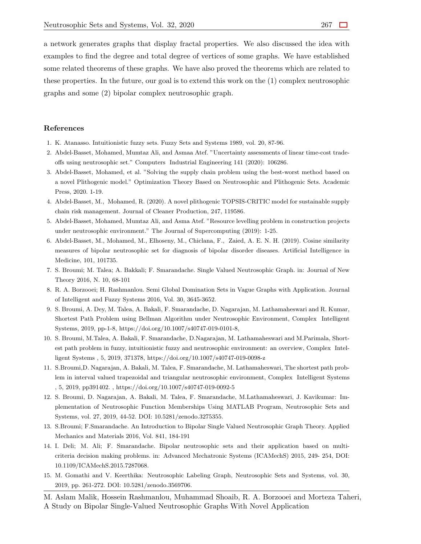a network generates graphs that display fractal properties. We also discussed the idea with examples to find the degree and total degree of vertices of some graphs. We have established some related theorems of these graphs. We have also proved the theorems which are related to these properties. In the future, our goal is to extend this work on the (1) complex neutrosophic graphs and some (2) bipolar complex neutrosophic graph.

#### **References**

- <span id="page-46-0"></span>1. K. Atanasso. Intuitionistic fuzzy sets. Fuzzy Sets and Systems 1989, vol. 20, 87-96.
- <span id="page-46-1"></span>2. Abdel-Basset, Mohamed, Mumtaz Ali, and Asmaa Atef. "Uncertainty assessments of linear time-cost tradeoffs using neutrosophic set." Computers Industrial Engineering 141 (2020): 106286.
- 3. Abdel-Basset, Mohamed, et al. "Solving the supply chain problem using the best-worst method based on a novel Plithogenic model." Optimization Theory Based on Neutrosophic and Plithogenic Sets. Academic Press, 2020. 1-19.
- 4. Abdel-Basset, M., Mohamed, R. (2020). A novel plithogenic TOPSIS-CRITIC model for sustainable supply chain risk management. Journal of Cleaner Production, 247, 119586.
- 5. Abdel-Basset, Mohamed, Mumtaz Ali, and Asma Atef. "Resource levelling problem in construction projects under neutrosophic environment." The Journal of Supercomputing (2019): 1-25.
- <span id="page-46-2"></span>6. Abdel-Basset, M., Mohamed, M., Elhoseny, M., Chiclana, F., Zaied, A. E. N. H. (2019). Cosine similarity measures of bipolar neutrosophic set for diagnosis of bipolar disorder diseases. Artificial Intelligence in Medicine, 101, 101735.
- <span id="page-46-3"></span>7. S. Broumi; M. Talea; A. Bakkali; F. Smarandache. Single Valued Neutrosophic Graph. in: Journal of New Theory 2016, N. 10, 68-101
- <span id="page-46-6"></span>8. R. A. Borzooei; H. Rashmanlou. Semi Global Domination Sets in Vague Graphs with Application. Journal of Intelligent and Fuzzy Systems 2016, Vol. 30, 3645-3652.
- <span id="page-46-4"></span>9. S. Broumi, A. Dey, M. Talea, A. Bakali, F. Smarandache, D. Nagarajan, M. Lathamaheswari and R. Kumar, Shortest Path Problem using Bellman Algorithm under Neutrosophic Environment, Complex Intelligent Systems, 2019, pp-1-8, https://doi.org/10.1007/s40747-019-0101-8,
- 10. S. Broumi, M.Talea, A. Bakali, F. Smarandache, D.Nagarajan, M. Lathamaheswari and M.Parimala, Shortest path problem in fuzzy, intuitionistic fuzzy and neutrosophic environment: an overview, Complex Intelligent Systems , 5, 2019, 371378, https://doi.org/10.1007/s40747-019-0098-z
- 11. S.Broumi,D. Nagarajan, A. Bakali, M. Talea, F. Smarandache, M. Lathamaheswari, The shortest path problem in interval valued trapezoidal and triangular neutrosophic environment, Complex Intelligent Systems , 5, 2019, pp391402. , https://doi.org/10.1007/s40747-019-0092-5
- 12. S. Broumi, D. Nagarajan, A. Bakali, M. Talea, F. Smarandache, M.Lathamaheswari, J. Kavikumar: Implementation of Neutrosophic Function Memberships Using MATLAB Program, Neutrosophic Sets and Systems, vol. 27, 2019, 44-52. DOI: 10.5281/zenodo.3275355.
- <span id="page-46-5"></span>13. S.Broumi; F.Smarandache. An Introduction to Bipolar Single Valued Neutrosophic Graph Theory. Applied Mechanics and Materials 2016, Vol. 841, 184-191
- <span id="page-46-7"></span>14. I. Deli; M. Ali; F. Smarandache. Bipolar neutrosophic sets and their application based on multicriteria decision making problems. in: Advanced Mechatronic Systems (ICAMechS) 2015, 249- 254, DOI: 10.1109/ICAMechS.2015.7287068.
- <span id="page-46-8"></span>15. M. Gomathi and V. Keerthika: Neutrosophic Labeling Graph, Neutrosophic Sets and Systems, vol. 30, 2019, pp. 261-272. DOI: 10.5281/zenodo.3569706.